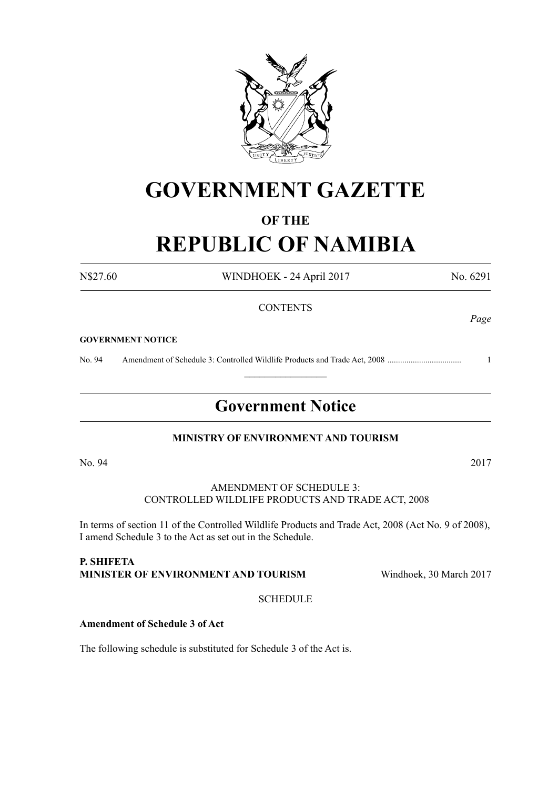

## **GOVERNMENT GAZETTE**

### **OF THE**

# **REPUBLIC OF NAMIBIA**

N\$27.60 WINDHOEK - 24 April 2017 No. 6291

#### **CONTENTS**

#### **GOVERNMENT NOTICE**

No. 94 Amendment of Schedule 3: Controlled Wildlife Products and Trade Act, 2008 ................................... 1

### **Government Notice**

 $\frac{1}{2}$ 

#### **MINISTRY OF ENVIRONMENT AND TOURISM**

No. 94 2017

#### AMENDMENT OF SCHEDULE 3: CONTROLLED WILDLIFE PRODUCTS AND TRADE ACT, 2008

In terms of section 11 of the Controlled Wildlife Products and Trade Act, 2008 (Act No. 9 of 2008), I amend Schedule 3 to the Act as set out in the Schedule.

#### **P. Shifeta Minister of Environment and Tourism** Windhoek, 30 March 2017

**SCHEDULE** 

#### **Amendment of Schedule 3 of Act**

The following schedule is substituted for Schedule 3 of the Act is.

*Page*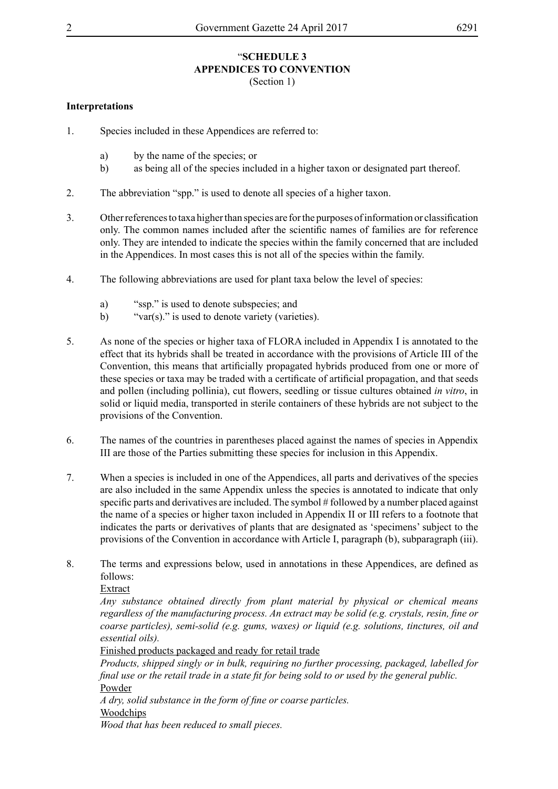#### "**SCHEDULE 3 APPENDICES TO CONVENTION** (Section 1)

#### **Interpretations**

- 1. Species included in these Appendices are referred to:
	- a) by the name of the species; or
	- b) as being all of the species included in a higher taxon or designated part thereof.
- 2. The abbreviation "spp." is used to denote all species of a higher taxon.
- 3. Otherreferencesto taxa higherthan species are forthe purposes ofinformation or classification only. The common names included after the scientific names of families are for reference only. They are intended to indicate the species within the family concerned that are included in the Appendices. In most cases this is not all of the species within the family.
- 4. The following abbreviations are used for plant taxa below the level of species:
	- a) "ssp." is used to denote subspecies; and
	- b) "var(s)." is used to denote variety (varieties).
- 5. As none of the species or higher taxa of FLORA included in Appendix I is annotated to the effect that its hybrids shall be treated in accordance with the provisions of Article III of the Convention, this means that artificially propagated hybrids produced from one or more of these species or taxa may be traded with a certificate of artificial propagation, and that seeds and pollen (including pollinia), cut flowers, seedling or tissue cultures obtained *in vitro*, in solid or liquid media, transported in sterile containers of these hybrids are not subject to the provisions of the Convention.
- 6. The names of the countries in parentheses placed against the names of species in Appendix III are those of the Parties submitting these species for inclusion in this Appendix.
- 7. When a species is included in one of the Appendices, all parts and derivatives of the species are also included in the same Appendix unless the species is annotated to indicate that only specific parts and derivatives are included. The symbol # followed by a number placed against the name of a species or higher taxon included in Appendix II or III refers to a footnote that indicates the parts or derivatives of plants that are designated as 'specimens' subject to the provisions of the Convention in accordance with Article I, paragraph (b), subparagraph (iii).
- 8. The terms and expressions below, used in annotations in these Appendices, are defined as follows:

Extract

*Any substance obtained directly from plant material by physical or chemical means regardless of the manufacturing process. An extract may be solid (e.g. crystals, resin, fine or coarse particles), semi-solid (e.g. gums, waxes) or liquid (e.g. solutions, tinctures, oil and essential oils).*

Finished products packaged and ready for retail trade

*Products, shipped singly or in bulk, requiring no further processing, packaged, labelled for final use or the retail trade in a state fit for being sold to or used by the general public.* Powder

*A dry, solid substance in the form of fine or coarse particles.*

Woodchips

*Wood that has been reduced to small pieces.*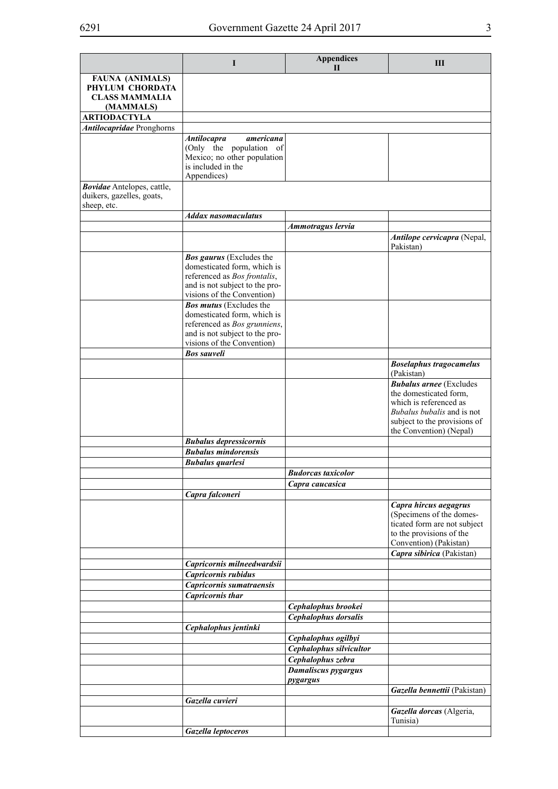|                                                                                 | I                                                                                                                                                              | <b>Appendices</b><br>$\mathbf{H}$           | Ш                                                                                                                                                                                  |
|---------------------------------------------------------------------------------|----------------------------------------------------------------------------------------------------------------------------------------------------------------|---------------------------------------------|------------------------------------------------------------------------------------------------------------------------------------------------------------------------------------|
| <b>FAUNA (ANIMALS)</b><br>PHYLUM CHORDATA<br><b>CLASS MAMMALIA</b><br>(MAMMALS) |                                                                                                                                                                |                                             |                                                                                                                                                                                    |
| <b>ARTIODACTYLA</b>                                                             |                                                                                                                                                                |                                             |                                                                                                                                                                                    |
| <b>Antilocapridae</b> Pronghorns                                                |                                                                                                                                                                |                                             |                                                                                                                                                                                    |
|                                                                                 | <b>Antilocapra</b><br>americana<br>(Only the population of<br>Mexico; no other population<br>is included in the<br>Appendices)                                 |                                             |                                                                                                                                                                                    |
| Bovidae Antelopes, cattle,<br>duikers, gazelles, goats,<br>sheep, etc.          |                                                                                                                                                                |                                             |                                                                                                                                                                                    |
|                                                                                 | <b>Addax nasomaculatus</b>                                                                                                                                     |                                             |                                                                                                                                                                                    |
|                                                                                 |                                                                                                                                                                | Ammotragus lervia                           |                                                                                                                                                                                    |
|                                                                                 |                                                                                                                                                                |                                             | Antilope cervicapra (Nepal,<br>Pakistan)                                                                                                                                           |
|                                                                                 | <b>Bos gaurus</b> (Excludes the<br>domesticated form, which is<br>referenced as Bos frontalis,<br>and is not subject to the pro-<br>visions of the Convention) |                                             |                                                                                                                                                                                    |
|                                                                                 | <b>Bos mutus</b> (Excludes the<br>domesticated form, which is<br>referenced as Bos grunniens,<br>and is not subject to the pro-<br>visions of the Convention)  |                                             |                                                                                                                                                                                    |
|                                                                                 | <b>Bos sauveli</b>                                                                                                                                             |                                             |                                                                                                                                                                                    |
|                                                                                 |                                                                                                                                                                |                                             | <b>Boselaphus tragocamelus</b><br>(Pakistan)                                                                                                                                       |
|                                                                                 |                                                                                                                                                                |                                             | <b>Bubalus arnee</b> (Excludes<br>the domesticated form.<br>which is referenced as<br><i>Bubalus bubalis</i> and is not<br>subject to the provisions of<br>the Convention) (Nepal) |
|                                                                                 | <b>Bubalus depressicornis</b>                                                                                                                                  |                                             |                                                                                                                                                                                    |
|                                                                                 | <b>Bubalus mindorensis</b>                                                                                                                                     |                                             |                                                                                                                                                                                    |
|                                                                                 | <b>Bubalus</b> quarlesi                                                                                                                                        |                                             |                                                                                                                                                                                    |
|                                                                                 |                                                                                                                                                                | <b>Budorcas taxicolor</b>                   |                                                                                                                                                                                    |
|                                                                                 |                                                                                                                                                                | Capra caucasica                             |                                                                                                                                                                                    |
|                                                                                 | Capra falconeri                                                                                                                                                |                                             | Capra hircus aegagrus<br>(Specimens of the domes-<br>ticated form are not subject<br>to the provisions of the<br>Convention) (Pakistan)                                            |
|                                                                                 |                                                                                                                                                                |                                             | Capra sibirica (Pakistan)                                                                                                                                                          |
|                                                                                 | Capricornis milneedwardsii                                                                                                                                     |                                             |                                                                                                                                                                                    |
|                                                                                 | Capricornis rubidus                                                                                                                                            |                                             |                                                                                                                                                                                    |
|                                                                                 | Capricornis sumatraensis                                                                                                                                       |                                             |                                                                                                                                                                                    |
|                                                                                 | <b>Capricornis</b> thar                                                                                                                                        |                                             |                                                                                                                                                                                    |
|                                                                                 |                                                                                                                                                                | Cephalophus brookei<br>Cephalophus dorsalis |                                                                                                                                                                                    |
|                                                                                 | Cephalophus jentinki                                                                                                                                           |                                             |                                                                                                                                                                                    |
|                                                                                 |                                                                                                                                                                | Cephalophus ogilbyi                         |                                                                                                                                                                                    |
|                                                                                 |                                                                                                                                                                | Cephalophus silvicultor                     |                                                                                                                                                                                    |
|                                                                                 |                                                                                                                                                                | Cephalophus zebra                           |                                                                                                                                                                                    |
|                                                                                 |                                                                                                                                                                | <b>Damaliscus</b> pygargus<br>pygargus      |                                                                                                                                                                                    |
|                                                                                 |                                                                                                                                                                |                                             | Gazella bennettii (Pakistan)                                                                                                                                                       |
|                                                                                 | Gazella cuvieri                                                                                                                                                |                                             | Gazella dorcas (Algeria,                                                                                                                                                           |
|                                                                                 |                                                                                                                                                                |                                             | Tunisia)                                                                                                                                                                           |
|                                                                                 | Gazella leptoceros                                                                                                                                             |                                             |                                                                                                                                                                                    |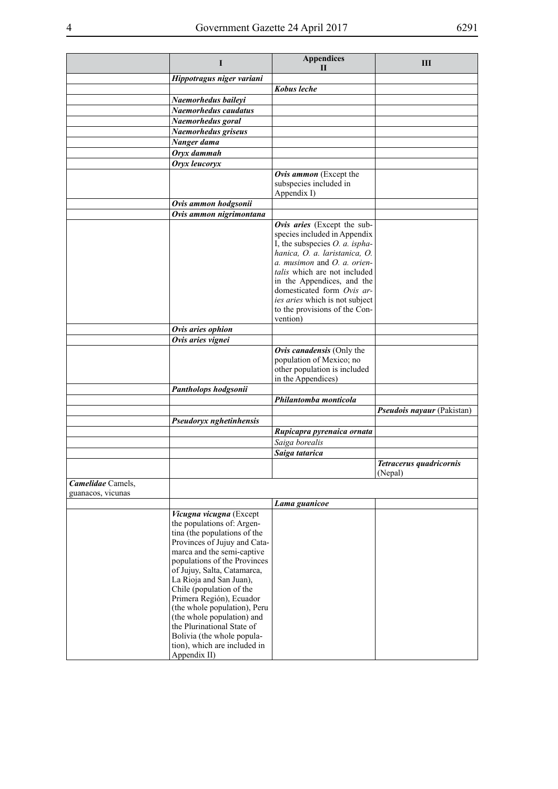|                                        | I                                                                                                                                                                                                                                                                                                                                                                                                                                                                               | <b>Appendices</b><br>$\mathbf{H}$                                                                                                                                                                                                                                                                                               | Ш                                  |
|----------------------------------------|---------------------------------------------------------------------------------------------------------------------------------------------------------------------------------------------------------------------------------------------------------------------------------------------------------------------------------------------------------------------------------------------------------------------------------------------------------------------------------|---------------------------------------------------------------------------------------------------------------------------------------------------------------------------------------------------------------------------------------------------------------------------------------------------------------------------------|------------------------------------|
|                                        | Hippotragus niger variani                                                                                                                                                                                                                                                                                                                                                                                                                                                       |                                                                                                                                                                                                                                                                                                                                 |                                    |
|                                        |                                                                                                                                                                                                                                                                                                                                                                                                                                                                                 | Kobus leche                                                                                                                                                                                                                                                                                                                     |                                    |
|                                        | Naemorhedus baileyi                                                                                                                                                                                                                                                                                                                                                                                                                                                             |                                                                                                                                                                                                                                                                                                                                 |                                    |
|                                        | Naemorhedus caudatus                                                                                                                                                                                                                                                                                                                                                                                                                                                            |                                                                                                                                                                                                                                                                                                                                 |                                    |
|                                        | Naemorhedus goral                                                                                                                                                                                                                                                                                                                                                                                                                                                               |                                                                                                                                                                                                                                                                                                                                 |                                    |
|                                        | Naemorhedus griseus                                                                                                                                                                                                                                                                                                                                                                                                                                                             |                                                                                                                                                                                                                                                                                                                                 |                                    |
|                                        | Nanger dama                                                                                                                                                                                                                                                                                                                                                                                                                                                                     |                                                                                                                                                                                                                                                                                                                                 |                                    |
|                                        | Oryx dammah                                                                                                                                                                                                                                                                                                                                                                                                                                                                     |                                                                                                                                                                                                                                                                                                                                 |                                    |
|                                        | Oryx leucoryx                                                                                                                                                                                                                                                                                                                                                                                                                                                                   |                                                                                                                                                                                                                                                                                                                                 |                                    |
|                                        |                                                                                                                                                                                                                                                                                                                                                                                                                                                                                 | Ovis ammon (Except the<br>subspecies included in<br>Appendix I)                                                                                                                                                                                                                                                                 |                                    |
|                                        | Ovis ammon hodgsonii                                                                                                                                                                                                                                                                                                                                                                                                                                                            |                                                                                                                                                                                                                                                                                                                                 |                                    |
|                                        | Ovis ammon nigrimontana                                                                                                                                                                                                                                                                                                                                                                                                                                                         |                                                                                                                                                                                                                                                                                                                                 |                                    |
|                                        |                                                                                                                                                                                                                                                                                                                                                                                                                                                                                 | Ovis aries (Except the sub-<br>species included in Appendix<br>I, the subspecies $O$ . a. ispha-<br>hanica, O. a. laristanica, O.<br>a. musimon and O. a. orien-<br>talis which are not included<br>in the Appendices, and the<br>domesticated form Ovis ar-<br>ies aries which is not subject<br>to the provisions of the Con- |                                    |
|                                        | Ovis aries ophion                                                                                                                                                                                                                                                                                                                                                                                                                                                               | vention)                                                                                                                                                                                                                                                                                                                        |                                    |
|                                        | Ovis aries vignei                                                                                                                                                                                                                                                                                                                                                                                                                                                               |                                                                                                                                                                                                                                                                                                                                 |                                    |
|                                        |                                                                                                                                                                                                                                                                                                                                                                                                                                                                                 | Ovis canadensis (Only the<br>population of Mexico; no<br>other population is included<br>in the Appendices)                                                                                                                                                                                                                     |                                    |
|                                        | Pantholops hodgsonii                                                                                                                                                                                                                                                                                                                                                                                                                                                            |                                                                                                                                                                                                                                                                                                                                 |                                    |
|                                        |                                                                                                                                                                                                                                                                                                                                                                                                                                                                                 | Philantomba monticola                                                                                                                                                                                                                                                                                                           |                                    |
|                                        |                                                                                                                                                                                                                                                                                                                                                                                                                                                                                 |                                                                                                                                                                                                                                                                                                                                 | Pseudois nayaur (Pakistan)         |
|                                        | Pseudoryx nghetinhensis                                                                                                                                                                                                                                                                                                                                                                                                                                                         |                                                                                                                                                                                                                                                                                                                                 |                                    |
|                                        |                                                                                                                                                                                                                                                                                                                                                                                                                                                                                 | Rupicapra pyrenaica ornata                                                                                                                                                                                                                                                                                                      |                                    |
|                                        |                                                                                                                                                                                                                                                                                                                                                                                                                                                                                 | Saiga borealis                                                                                                                                                                                                                                                                                                                  |                                    |
|                                        |                                                                                                                                                                                                                                                                                                                                                                                                                                                                                 | Saiga tatarica                                                                                                                                                                                                                                                                                                                  |                                    |
|                                        |                                                                                                                                                                                                                                                                                                                                                                                                                                                                                 |                                                                                                                                                                                                                                                                                                                                 | Tetracerus quadricornis<br>(Nepal) |
| Camelidae Camels,<br>guanacos, vicunas |                                                                                                                                                                                                                                                                                                                                                                                                                                                                                 |                                                                                                                                                                                                                                                                                                                                 |                                    |
|                                        |                                                                                                                                                                                                                                                                                                                                                                                                                                                                                 | Lama guanicoe                                                                                                                                                                                                                                                                                                                   |                                    |
|                                        | Vicugna vicugna (Except<br>the populations of: Argen-<br>tina (the populations of the<br>Provinces of Jujuy and Cata-<br>marca and the semi-captive<br>populations of the Provinces<br>of Jujuy, Salta, Catamarca,<br>La Rioja and San Juan),<br>Chile (population of the<br>Primera Región), Ecuador<br>(the whole population), Peru<br>(the whole population) and<br>the Plurinational State of<br>Bolivia (the whole popula-<br>tion), which are included in<br>Appendix II) |                                                                                                                                                                                                                                                                                                                                 |                                    |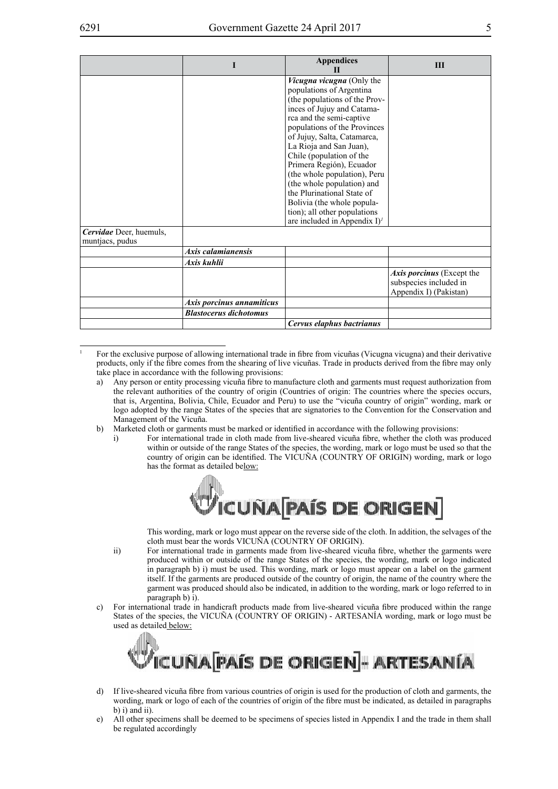|                                            |                               | <b>Appendices</b>                                                                           | Ш                         |
|--------------------------------------------|-------------------------------|---------------------------------------------------------------------------------------------|---------------------------|
|                                            |                               | Vicugna vicugna (Only the                                                                   |                           |
|                                            |                               | populations of Argentina                                                                    |                           |
|                                            |                               | (the populations of the Prov-                                                               |                           |
|                                            |                               | inces of Jujuy and Catama-                                                                  |                           |
|                                            |                               | rca and the semi-captive                                                                    |                           |
|                                            |                               | populations of the Provinces                                                                |                           |
|                                            |                               | of Jujuy, Salta, Catamarca,                                                                 |                           |
|                                            |                               | La Rioja and San Juan),                                                                     |                           |
|                                            |                               | Chile (population of the                                                                    |                           |
|                                            |                               | Primera Región), Ecuador                                                                    |                           |
|                                            |                               | (the whole population), Peru                                                                |                           |
|                                            |                               | (the whole population) and<br>the Plurinational State of                                    |                           |
|                                            |                               |                                                                                             |                           |
|                                            |                               | Bolivia (the whole popula-                                                                  |                           |
|                                            |                               | tion); all other populations<br>are included in Appendix $I$ <sup><math>\prime</math></sup> |                           |
|                                            |                               |                                                                                             |                           |
| Cervidae Deer, huemuls,<br>muntiacs, pudus |                               |                                                                                             |                           |
|                                            | Axis calamianensis            |                                                                                             |                           |
|                                            |                               |                                                                                             |                           |
|                                            | Axis kuhlii                   |                                                                                             |                           |
|                                            |                               |                                                                                             | Axis porcinus (Except the |
|                                            |                               |                                                                                             | subspecies included in    |
|                                            |                               |                                                                                             | Appendix I) (Pakistan)    |
|                                            | Axis porcinus annamiticus     |                                                                                             |                           |
|                                            | <b>Blastocerus dichotomus</b> |                                                                                             |                           |
|                                            |                               | Cervus elaphus bactrianus                                                                   |                           |

<sup>1</sup> For the exclusive purpose of allowing international trade in fibre from vicuñas (Vicugna vicugna) and their derivative products, only if the fibre comes from the shearing of live vicuñas. Trade in products derived from the fibre may only take place in accordance with the following provisions:

- a) Any person or entity processing vicuña fibre to manufacture cloth and garments must request authorization from the relevant authorities of the country of origin (Countries of origin: The countries where the species occurs, that is, Argentina, Bolivia, Chile, Ecuador and Peru) to use the "vicuña country of origin" wording, mark or logo adopted by the range States of the species that are signatories to the Convention for the Conservation and Management of the Vicuña.
- b) Marketed cloth or garments must be marked or identified in accordance with the following provisions:
	- i) For international trade in cloth made from live-sheared vicuña fibre, whether the cloth was produced within or outside of the range States of the species, the wording, mark or logo must be used so that the country of origin can be identified. The VICUÑA (COUNTRY OF ORIGIN) wording, mark or logo has the format as detailed below:



This wording, mark or logo must appear on the reverse side of the cloth. In addition, the selvages of the cloth must bear the words VICUÑA (COUNTRY OF ORIGIN).

- ii) For international trade in garments made from live-sheared vicuña fibre, whether the garments were produced within or outside of the range States of the species, the wording, mark or logo indicated in paragraph b) i) must be used. This wording, mark or logo must appear on a label on the garment itself. If the garments are produced outside of the country of origin, the name of the country where the garment was produced should also be indicated, in addition to the wording, mark or logo referred to in paragraph b) i).
- c) For international trade in handicraft products made from live-sheared vicuña fibre produced within the range States of the species, the VICUÑA (COUNTRY OF ORIGIN) - ARTESANÍA wording, mark or logo must be used as detailed below:



- d) If live-sheared vicuña fibre from various countries of origin is used for the production of cloth and garments, the wording, mark or logo of each of the countries of origin of the fibre must be indicated, as detailed in paragraphs b) i) and ii).
- e) All other specimens shall be deemed to be specimens of species listed in Appendix I and the trade in them shall be regulated accordingly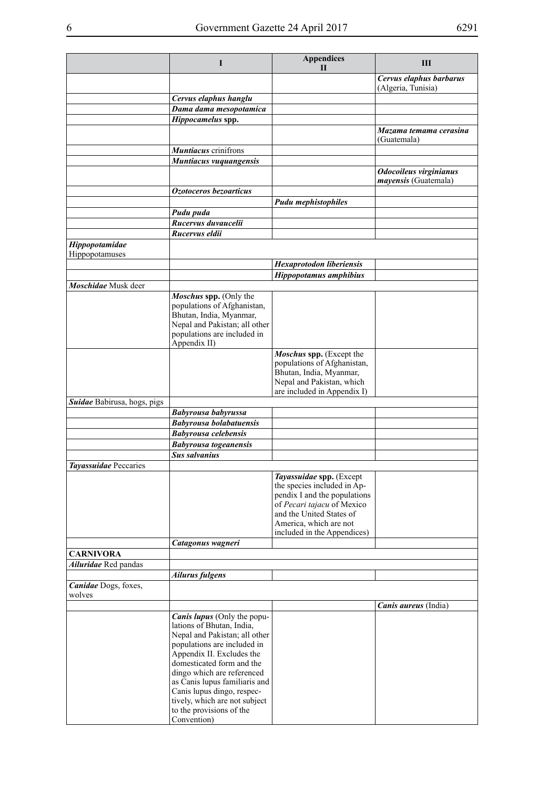|                                  | I                                                                                                                                                                                                                                                                                                                                                                  | <b>Appendices</b><br>Н                                                                                                                                                                                     | Ш                                              |
|----------------------------------|--------------------------------------------------------------------------------------------------------------------------------------------------------------------------------------------------------------------------------------------------------------------------------------------------------------------------------------------------------------------|------------------------------------------------------------------------------------------------------------------------------------------------------------------------------------------------------------|------------------------------------------------|
|                                  |                                                                                                                                                                                                                                                                                                                                                                    |                                                                                                                                                                                                            | Cervus elaphus barbarus<br>(Algeria, Tunisia)  |
|                                  | Cervus elaphus hanglu                                                                                                                                                                                                                                                                                                                                              |                                                                                                                                                                                                            |                                                |
|                                  | Dama dama mesopotamica                                                                                                                                                                                                                                                                                                                                             |                                                                                                                                                                                                            |                                                |
|                                  | Hippocamelus spp.                                                                                                                                                                                                                                                                                                                                                  |                                                                                                                                                                                                            |                                                |
|                                  |                                                                                                                                                                                                                                                                                                                                                                    |                                                                                                                                                                                                            | Mazama temama cerasina<br>(Guatemala)          |
|                                  | <b>Muntiacus</b> crinifrons                                                                                                                                                                                                                                                                                                                                        |                                                                                                                                                                                                            |                                                |
|                                  | Muntiacus vuquangensis                                                                                                                                                                                                                                                                                                                                             |                                                                                                                                                                                                            |                                                |
|                                  |                                                                                                                                                                                                                                                                                                                                                                    |                                                                                                                                                                                                            | Odocoileus virginianus<br>mayensis (Guatemala) |
|                                  | Ozotoceros bezoarticus                                                                                                                                                                                                                                                                                                                                             |                                                                                                                                                                                                            |                                                |
|                                  |                                                                                                                                                                                                                                                                                                                                                                    | <b>Pudu mephistophiles</b>                                                                                                                                                                                 |                                                |
|                                  | Pudu puda                                                                                                                                                                                                                                                                                                                                                          |                                                                                                                                                                                                            |                                                |
|                                  | Rucervus duvaucelii                                                                                                                                                                                                                                                                                                                                                |                                                                                                                                                                                                            |                                                |
|                                  | Rucervus eldii                                                                                                                                                                                                                                                                                                                                                     |                                                                                                                                                                                                            |                                                |
| Hippopotamidae<br>Hippopotamuses |                                                                                                                                                                                                                                                                                                                                                                    |                                                                                                                                                                                                            |                                                |
|                                  |                                                                                                                                                                                                                                                                                                                                                                    | Hexaprotodon liberiensis                                                                                                                                                                                   |                                                |
|                                  |                                                                                                                                                                                                                                                                                                                                                                    | Hippopotamus amphibius                                                                                                                                                                                     |                                                |
| Moschidae Musk deer              |                                                                                                                                                                                                                                                                                                                                                                    |                                                                                                                                                                                                            |                                                |
|                                  | Moschus spp. (Only the<br>populations of Afghanistan,<br>Bhutan, India, Myanmar,<br>Nepal and Pakistan; all other<br>populations are included in<br>Appendix II)                                                                                                                                                                                                   |                                                                                                                                                                                                            |                                                |
|                                  |                                                                                                                                                                                                                                                                                                                                                                    | Moschus spp. (Except the<br>populations of Afghanistan,<br>Bhutan, India, Myanmar,<br>Nepal and Pakistan, which<br>are included in Appendix I)                                                             |                                                |
| Suidae Babirusa, hogs, pigs      |                                                                                                                                                                                                                                                                                                                                                                    |                                                                                                                                                                                                            |                                                |
|                                  | Babyrousa babyrussa                                                                                                                                                                                                                                                                                                                                                |                                                                                                                                                                                                            |                                                |
|                                  | <b>Babyrousa bolabatuensis</b>                                                                                                                                                                                                                                                                                                                                     |                                                                                                                                                                                                            |                                                |
|                                  | <b>Babyrousa celebensis</b>                                                                                                                                                                                                                                                                                                                                        |                                                                                                                                                                                                            |                                                |
|                                  | <b>Babyrousa</b> togeanensis                                                                                                                                                                                                                                                                                                                                       |                                                                                                                                                                                                            |                                                |
|                                  | <b>Sus salvanius</b>                                                                                                                                                                                                                                                                                                                                               |                                                                                                                                                                                                            |                                                |
| Tayassuidae Peccaries            |                                                                                                                                                                                                                                                                                                                                                                    |                                                                                                                                                                                                            |                                                |
|                                  |                                                                                                                                                                                                                                                                                                                                                                    | Tayassuidae spp. (Except<br>the species included in Ap-<br>pendix I and the populations<br>of Pecari tajacu of Mexico<br>and the United States of<br>America, which are not<br>included in the Appendices) |                                                |
|                                  | Catagonus wagneri                                                                                                                                                                                                                                                                                                                                                  |                                                                                                                                                                                                            |                                                |
| <b>CARNIVORA</b>                 |                                                                                                                                                                                                                                                                                                                                                                    |                                                                                                                                                                                                            |                                                |
| Ailuridae Red pandas             |                                                                                                                                                                                                                                                                                                                                                                    |                                                                                                                                                                                                            |                                                |
| Canidae Dogs, foxes,<br>wolves   | <b>Ailurus fulgens</b>                                                                                                                                                                                                                                                                                                                                             |                                                                                                                                                                                                            |                                                |
|                                  |                                                                                                                                                                                                                                                                                                                                                                    |                                                                                                                                                                                                            | Canis aureus (India)                           |
|                                  | <b>Canis lupus</b> (Only the popu-<br>lations of Bhutan, India,<br>Nepal and Pakistan; all other<br>populations are included in<br>Appendix II. Excludes the<br>domesticated form and the<br>dingo which are referenced<br>as Canis lupus familiaris and<br>Canis lupus dingo, respec-<br>tively, which are not subject<br>to the provisions of the<br>Convention) |                                                                                                                                                                                                            |                                                |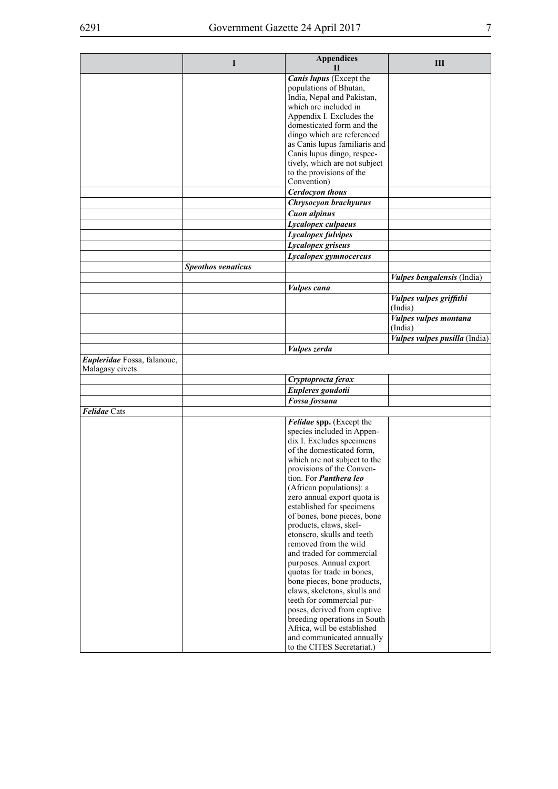|                                                | I                  | <b>Appendices</b><br>Н                                    | Ш                                       |
|------------------------------------------------|--------------------|-----------------------------------------------------------|-----------------------------------------|
|                                                |                    | Canis lupus (Except the<br>populations of Bhutan,         |                                         |
|                                                |                    | India, Nepal and Pakistan,                                |                                         |
|                                                |                    | which are included in<br>Appendix I. Excludes the         |                                         |
|                                                |                    | domesticated form and the                                 |                                         |
|                                                |                    | dingo which are referenced                                |                                         |
|                                                |                    | as Canis lupus familiaris and                             |                                         |
|                                                |                    | Canis lupus dingo, respec-                                |                                         |
|                                                |                    | tively, which are not subject                             |                                         |
|                                                |                    | to the provisions of the<br>Convention)                   |                                         |
|                                                |                    | <b>Cerdocyon thous</b>                                    |                                         |
|                                                |                    | Chrysocyon brachyurus                                     |                                         |
|                                                |                    | <b>Cuon</b> alpinus                                       |                                         |
|                                                |                    | Lycalopex culpaeus                                        |                                         |
|                                                |                    | Lycalopex fulvipes                                        |                                         |
|                                                |                    | Lycalopex griseus                                         |                                         |
|                                                |                    | Lycalopex gymnocercus                                     |                                         |
|                                                | Speothos venaticus |                                                           |                                         |
|                                                |                    |                                                           | <i>Vulpes bengalensis</i> (India)       |
|                                                |                    | <i>Vulpes cana</i>                                        |                                         |
|                                                |                    |                                                           | Vulpes vulpes griffithi<br>(India)      |
|                                                |                    |                                                           | <b>Vulpes vulpes montana</b><br>(India) |
|                                                |                    |                                                           | Vulpes vulpes pusilla (India)           |
|                                                |                    | Vulpes zerda                                              |                                         |
| Eupleridae Fossa, falanouc,<br>Malagasy civets |                    |                                                           |                                         |
|                                                |                    | Cryptoprocta ferox                                        |                                         |
|                                                |                    | Eupleres goudotii                                         |                                         |
|                                                |                    | Fossa fossana                                             |                                         |
| Felidae Cats                                   |                    |                                                           |                                         |
|                                                |                    | Felidae spp. (Except the<br>species included in Appen-    |                                         |
|                                                |                    | dix I. Excludes specimens                                 |                                         |
|                                                |                    | of the domesticated form,                                 |                                         |
|                                                |                    | which are not subject to the                              |                                         |
|                                                |                    | provisions of the Conven-                                 |                                         |
|                                                |                    | tion. For <i>Panthera leo</i>                             |                                         |
|                                                |                    | (African populations): a                                  |                                         |
|                                                |                    | zero annual export quota is                               |                                         |
|                                                |                    | established for specimens<br>of bones, bone pieces, bone  |                                         |
|                                                |                    | products, claws, skel-                                    |                                         |
|                                                |                    | etonscro, skulls and teeth                                |                                         |
|                                                |                    | removed from the wild                                     |                                         |
|                                                |                    | and traded for commercial                                 |                                         |
|                                                |                    | purposes. Annual export                                   |                                         |
|                                                |                    | quotas for trade in bones,                                |                                         |
|                                                |                    | bone pieces, bone products,                               |                                         |
|                                                |                    | claws, skeletons, skulls and<br>teeth for commercial pur- |                                         |
|                                                |                    | poses, derived from captive                               |                                         |
|                                                |                    | breeding operations in South                              |                                         |
|                                                |                    | Africa, will be established                               |                                         |
|                                                |                    | and communicated annually                                 |                                         |
|                                                |                    | to the CITES Secretariat.)                                |                                         |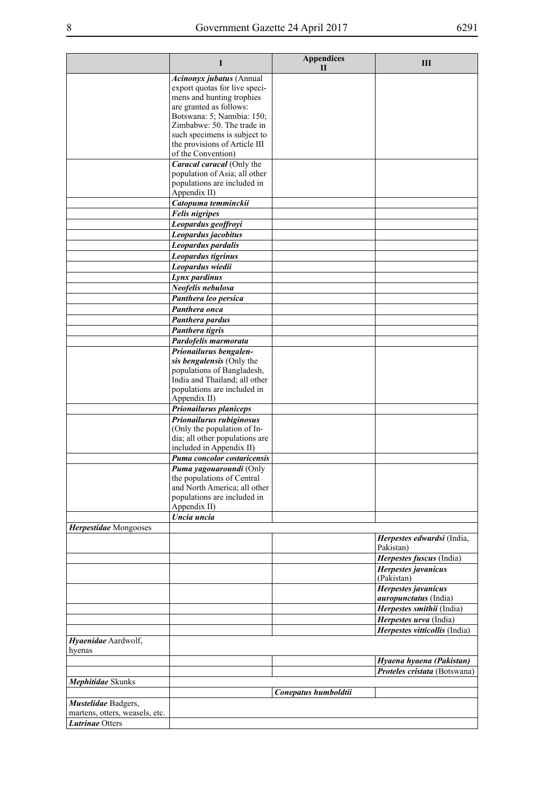|                                | I                                                            | <b>Appendices</b><br>$\mathbf{I}$ | Ш                                                   |
|--------------------------------|--------------------------------------------------------------|-----------------------------------|-----------------------------------------------------|
|                                | Acinonyx jubatus (Annual                                     |                                   |                                                     |
|                                | export quotas for live speci-                                |                                   |                                                     |
|                                | mens and hunting trophies<br>are granted as follows:         |                                   |                                                     |
|                                | Botswana: 5; Namibia: 150;                                   |                                   |                                                     |
|                                | Zimbabwe: 50. The trade in                                   |                                   |                                                     |
|                                | such specimens is subject to                                 |                                   |                                                     |
|                                | the provisions of Article III                                |                                   |                                                     |
|                                | of the Convention)                                           |                                   |                                                     |
|                                | Caracal caracal (Only the                                    |                                   |                                                     |
|                                | population of Asia; all other<br>populations are included in |                                   |                                                     |
|                                | Appendix II)                                                 |                                   |                                                     |
|                                | Catopuma temminckii                                          |                                   |                                                     |
|                                | <b>Felis nigripes</b>                                        |                                   |                                                     |
|                                | Leopardus geoffroyi                                          |                                   |                                                     |
|                                | Leopardus jacobitus                                          |                                   |                                                     |
|                                | Leopardus pardalis                                           |                                   |                                                     |
|                                | Leopardus tigrinus                                           |                                   |                                                     |
|                                | Leopardus wiedii                                             |                                   |                                                     |
|                                | Lynx pardinus                                                |                                   |                                                     |
|                                | Neofelis nebulosa                                            |                                   |                                                     |
|                                | Panthera leo persica                                         |                                   |                                                     |
|                                | Panthera onca                                                |                                   |                                                     |
|                                | Panthera pardus                                              |                                   |                                                     |
|                                | Panthera tigris                                              |                                   |                                                     |
|                                | Pardofelis marmorata                                         |                                   |                                                     |
|                                | Prionailurus bengalen-                                       |                                   |                                                     |
|                                | sis bengalensis (Only the<br>populations of Bangladesh,      |                                   |                                                     |
|                                | India and Thailand; all other                                |                                   |                                                     |
|                                | populations are included in                                  |                                   |                                                     |
|                                | Appendix II)                                                 |                                   |                                                     |
|                                | Prionailurus planiceps                                       |                                   |                                                     |
|                                | Prionailurus rubiginosus                                     |                                   |                                                     |
|                                | (Only the population of In-                                  |                                   |                                                     |
|                                | dia; all other populations are<br>included in Appendix II)   |                                   |                                                     |
|                                | Puma concolor costaricensis                                  |                                   |                                                     |
|                                | Puma yagouaroundi (Only                                      |                                   |                                                     |
|                                | the populations of Central                                   |                                   |                                                     |
|                                | and North America; all other                                 |                                   |                                                     |
|                                | populations are included in                                  |                                   |                                                     |
|                                | Appendix II)<br>Uncia uncia                                  |                                   |                                                     |
| Herpestidae Mongooses          |                                                              |                                   |                                                     |
|                                |                                                              |                                   | Herpestes edwardsi (India,                          |
|                                |                                                              |                                   | Pakistan)                                           |
|                                |                                                              |                                   | Herpestes fuscus (India)                            |
|                                |                                                              |                                   | Herpestes javanicus                                 |
|                                |                                                              |                                   | (Pakistan)                                          |
|                                |                                                              |                                   | Herpestes javanicus<br><i>auropunctatus</i> (India) |
|                                |                                                              |                                   | Herpestes smithii (India)                           |
|                                |                                                              |                                   | Herpestes urva (India)                              |
|                                |                                                              |                                   | Herpestes vitticollis (India)                       |
| Hyaenidae Aardwolf,            |                                                              |                                   |                                                     |
| hyenas                         |                                                              |                                   |                                                     |
|                                |                                                              |                                   | Hyaena hyaena (Pakistan)                            |
|                                |                                                              |                                   | Proteles cristata (Botswana)                        |
| Mephitidae Skunks              |                                                              | Conepatus humboldtii              |                                                     |
| Mustelidae Badgers,            |                                                              |                                   |                                                     |
| martens, otters, weasels, etc. |                                                              |                                   |                                                     |
| <b>Lutrinae Otters</b>         |                                                              |                                   |                                                     |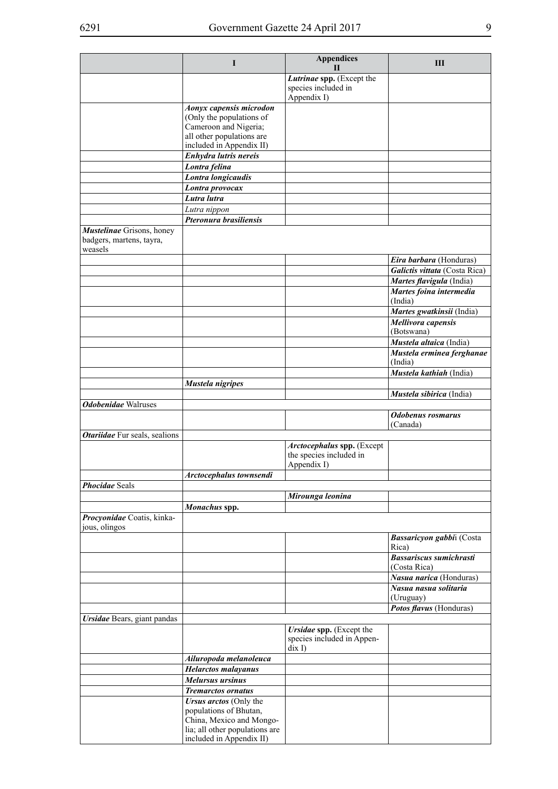|                                                                  | L                                                                                                                                          | <b>Appendices</b><br>Н                                               | Ш                                              |
|------------------------------------------------------------------|--------------------------------------------------------------------------------------------------------------------------------------------|----------------------------------------------------------------------|------------------------------------------------|
|                                                                  |                                                                                                                                            | Lutrinae spp. (Except the<br>species included in<br>Appendix I)      |                                                |
|                                                                  | Aonyx capensis microdon<br>(Only the populations of<br>Cameroon and Nigeria;<br>all other populations are<br>included in Appendix II)      |                                                                      |                                                |
|                                                                  | Enhydra lutris nereis                                                                                                                      |                                                                      |                                                |
|                                                                  | Lontra felina                                                                                                                              |                                                                      |                                                |
|                                                                  | Lontra longicaudis                                                                                                                         |                                                                      |                                                |
|                                                                  | Lontra provocax                                                                                                                            |                                                                      |                                                |
|                                                                  | Lutra lutra                                                                                                                                |                                                                      |                                                |
|                                                                  | Lutra nippon                                                                                                                               |                                                                      |                                                |
|                                                                  | Pteronura brasiliensis                                                                                                                     |                                                                      |                                                |
| Mustelinae Grisons, honey<br>badgers, martens, tayra,<br>weasels |                                                                                                                                            |                                                                      | Eira barbara (Honduras)                        |
|                                                                  |                                                                                                                                            |                                                                      | Galictis vittata (Costa Rica)                  |
|                                                                  |                                                                                                                                            |                                                                      | Martes flavigula (India)                       |
|                                                                  |                                                                                                                                            |                                                                      | Martes foina intermedia                        |
|                                                                  |                                                                                                                                            |                                                                      | (India)                                        |
|                                                                  |                                                                                                                                            |                                                                      | Martes gwatkinsii (India)                      |
|                                                                  |                                                                                                                                            |                                                                      | Mellivora capensis                             |
|                                                                  |                                                                                                                                            |                                                                      | (Botswana)                                     |
|                                                                  |                                                                                                                                            |                                                                      | Mustela altaica (India)                        |
|                                                                  |                                                                                                                                            |                                                                      | Mustela erminea ferghanae                      |
|                                                                  |                                                                                                                                            |                                                                      | (India)                                        |
|                                                                  |                                                                                                                                            |                                                                      | Mustela kathiah (India)                        |
|                                                                  | Mustela nigripes                                                                                                                           |                                                                      |                                                |
|                                                                  |                                                                                                                                            |                                                                      | Mustela sibirica (India)                       |
| <b>Odobenidae</b> Walruses                                       |                                                                                                                                            |                                                                      |                                                |
|                                                                  |                                                                                                                                            |                                                                      | <b>Odobenus</b> rosmarus<br>(Canada)           |
| <b>Otariidae</b> Fur seals, sealions                             |                                                                                                                                            |                                                                      |                                                |
|                                                                  |                                                                                                                                            | Arctocephalus spp. (Except<br>the species included in<br>Appendix I) |                                                |
|                                                                  | Arctocephalus townsendi                                                                                                                    |                                                                      |                                                |
| <b>Phocidae Seals</b>                                            |                                                                                                                                            |                                                                      |                                                |
|                                                                  |                                                                                                                                            | Mirounga leonina                                                     |                                                |
|                                                                  | Monachus spp.                                                                                                                              |                                                                      |                                                |
| Procyonidae Coatis, kinka-<br>jous, olingos                      |                                                                                                                                            |                                                                      |                                                |
|                                                                  |                                                                                                                                            |                                                                      | Bassaricyon gabbii (Costa<br>Rica)             |
|                                                                  |                                                                                                                                            |                                                                      | <b>Bassariscus sumichrasti</b><br>(Costa Rica) |
|                                                                  |                                                                                                                                            |                                                                      | Nasua narica (Honduras)                        |
|                                                                  |                                                                                                                                            |                                                                      | Nasua nasua solitaria<br>(Uruguay)             |
|                                                                  |                                                                                                                                            |                                                                      | Potos flavus (Honduras)                        |
| <b>Ursidae</b> Bears, giant pandas                               |                                                                                                                                            | Ursidae spp. (Except the<br>species included in Appen-               |                                                |
|                                                                  |                                                                                                                                            | $\operatorname{dix} I$                                               |                                                |
|                                                                  | Ailuropoda melanoleuca                                                                                                                     |                                                                      |                                                |
|                                                                  | <b>Helarctos malayanus</b>                                                                                                                 |                                                                      |                                                |
|                                                                  | Melursus ursinus                                                                                                                           |                                                                      |                                                |
|                                                                  | <b>Tremarctos ornatus</b>                                                                                                                  |                                                                      |                                                |
|                                                                  | Ursus arctos (Only the<br>populations of Bhutan,<br>China, Mexico and Mongo-<br>lia; all other populations are<br>included in Appendix II) |                                                                      |                                                |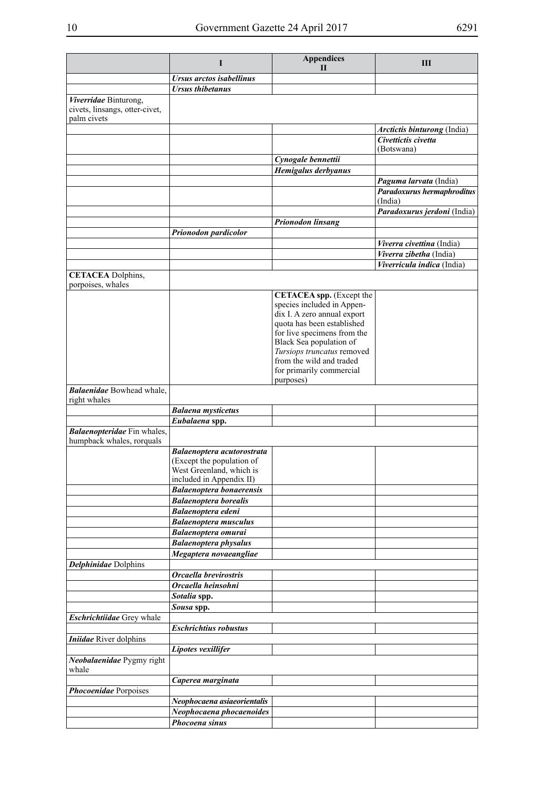|                                                                        | I                                                    | <b>Appendices</b><br>$\mathbf{H}$                             | Ш                                  |
|------------------------------------------------------------------------|------------------------------------------------------|---------------------------------------------------------------|------------------------------------|
|                                                                        | Ursus arctos isabellinus                             |                                                               |                                    |
|                                                                        | <b>Ursus thibetanus</b>                              |                                                               |                                    |
| Viverridae Binturong,<br>civets, linsangs, otter-civet,<br>palm civets |                                                      |                                                               |                                    |
|                                                                        |                                                      |                                                               | <i>Arctictis binturong</i> (India) |
|                                                                        |                                                      |                                                               | Civettictis civetta                |
|                                                                        |                                                      | Cynogale bennettii                                            | (Botswana)                         |
|                                                                        |                                                      | Hemigalus derbyanus                                           |                                    |
|                                                                        |                                                      |                                                               | Paguma larvata (India)             |
|                                                                        |                                                      |                                                               | Paradoxurus hermaphroditus         |
|                                                                        |                                                      |                                                               | (India)                            |
|                                                                        |                                                      |                                                               | Paradoxurus jerdoni (India)        |
|                                                                        | Prionodon pardicolor                                 | <b>Prionodon linsang</b>                                      |                                    |
|                                                                        |                                                      |                                                               | Viverra civettina (India)          |
|                                                                        |                                                      |                                                               | Viverra zibetha (India)            |
|                                                                        |                                                      |                                                               | Viverricula indica (India)         |
| <b>CETACEA</b> Dolphins,                                               |                                                      |                                                               |                                    |
| porpoises, whales                                                      |                                                      |                                                               |                                    |
|                                                                        |                                                      | <b>CETACEA</b> spp. (Except the<br>species included in Appen- |                                    |
|                                                                        |                                                      | dix I. A zero annual export                                   |                                    |
|                                                                        |                                                      | quota has been established                                    |                                    |
|                                                                        |                                                      | for live specimens from the                                   |                                    |
|                                                                        |                                                      | Black Sea population of                                       |                                    |
|                                                                        |                                                      | Tursiops truncatus removed<br>from the wild and traded        |                                    |
|                                                                        |                                                      | for primarily commercial                                      |                                    |
|                                                                        |                                                      | purposes)                                                     |                                    |
| <b>Balaenidae</b> Bowhead whale,<br>right whales                       |                                                      |                                                               |                                    |
|                                                                        | <b>Balaena</b> mysticetus                            |                                                               |                                    |
|                                                                        | Eubalaena spp.                                       |                                                               |                                    |
| Balaenopteridae Fin whales,<br>humpback whales, rorquals               |                                                      |                                                               |                                    |
|                                                                        | Balaenoptera acutorostrata                           |                                                               |                                    |
|                                                                        | (Except the population of                            |                                                               |                                    |
|                                                                        | West Greenland, which is<br>included in Appendix II) |                                                               |                                    |
|                                                                        | <b>Balaenoptera bonaerensis</b>                      |                                                               |                                    |
|                                                                        | <b>Balaenoptera borealis</b>                         |                                                               |                                    |
|                                                                        | Balaenoptera edeni                                   |                                                               |                                    |
|                                                                        | <b>Balaenoptera musculus</b>                         |                                                               |                                    |
|                                                                        | <b>Balaenoptera omurai</b>                           |                                                               |                                    |
|                                                                        | <b>Balaenoptera physalus</b>                         |                                                               |                                    |
|                                                                        | Megaptera novaeangliae                               |                                                               |                                    |
| <b>Delphinidae</b> Dolphins                                            | Orcaella brevirostris                                |                                                               |                                    |
|                                                                        | Orcaella heinsohni                                   |                                                               |                                    |
|                                                                        | Sotalia spp.                                         |                                                               |                                    |
|                                                                        | Sousa spp.                                           |                                                               |                                    |
| Eschrichtiidae Grey whale                                              |                                                      |                                                               |                                    |
|                                                                        | <b>Eschrichtius robustus</b>                         |                                                               |                                    |
| <b>Iniidae</b> River dolphins                                          |                                                      |                                                               |                                    |
|                                                                        | Lipotes vexillifer                                   |                                                               |                                    |
| Neobalaenidae Pygmy right<br>whale                                     |                                                      |                                                               |                                    |
|                                                                        | Caperea marginata                                    |                                                               |                                    |
| Phocoenidae Porpoises                                                  |                                                      |                                                               |                                    |
|                                                                        | Neophocaena asiaeorientalis                          |                                                               |                                    |
|                                                                        | Neophocaena phocaenoides<br>Phocoena sinus           |                                                               |                                    |
|                                                                        |                                                      |                                                               |                                    |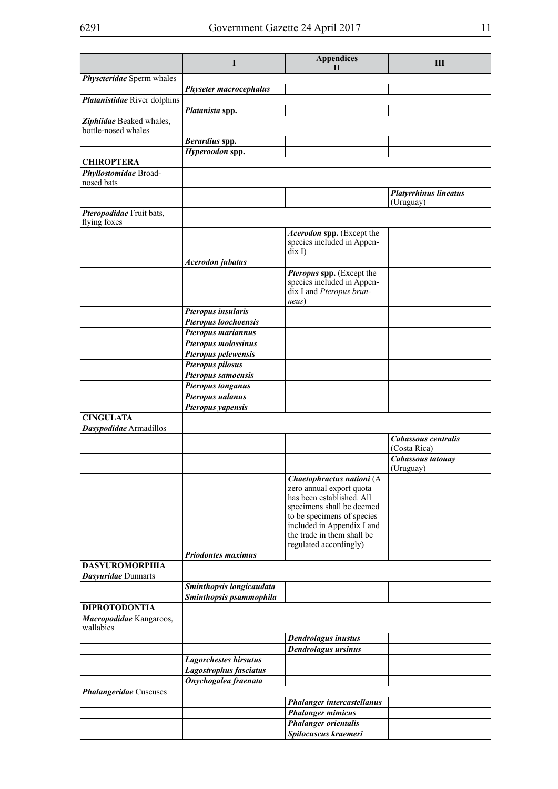|                                                 | I                                          | <b>Appendices</b>                                        | Ш                                   |
|-------------------------------------------------|--------------------------------------------|----------------------------------------------------------|-------------------------------------|
|                                                 |                                            | $\mathbf{I}$                                             |                                     |
| Physeteridae Sperm whales                       | <b>Physeter macrocephalus</b>              |                                                          |                                     |
| Platanistidae River dolphins                    |                                            |                                                          |                                     |
|                                                 | Platanista spp.                            |                                                          |                                     |
| Ziphiidae Beaked whales,                        |                                            |                                                          |                                     |
| bottle-nosed whales                             |                                            |                                                          |                                     |
|                                                 | Berardius spp.                             |                                                          |                                     |
|                                                 | Hyperoodon spp.                            |                                                          |                                     |
| <b>CHIROPTERA</b>                               |                                            |                                                          |                                     |
| Phyllostomidae Broad-<br>nosed bats             |                                            |                                                          |                                     |
|                                                 |                                            |                                                          | <b>Platyrrhinus lineatus</b>        |
|                                                 |                                            |                                                          | (Uruguay)                           |
| Pteropodidae Fruit bats,                        |                                            |                                                          |                                     |
| flying foxes                                    |                                            |                                                          |                                     |
|                                                 |                                            | Acerodon spp. (Except the                                |                                     |
|                                                 |                                            | species included in Appen-<br>$\operatorname{dix} I$     |                                     |
|                                                 | <b>Acerodon</b> jubatus                    |                                                          |                                     |
|                                                 |                                            | Pteropus spp. (Except the                                |                                     |
|                                                 |                                            | species included in Appen-                               |                                     |
|                                                 |                                            | dix I and Pteropus brun-                                 |                                     |
|                                                 |                                            | neus)                                                    |                                     |
|                                                 | <b>Pteropus insularis</b>                  |                                                          |                                     |
|                                                 | Pteropus loochoensis<br>Pteropus mariannus |                                                          |                                     |
|                                                 | Pteropus molossinus                        |                                                          |                                     |
|                                                 | Pteropus pelewensis                        |                                                          |                                     |
|                                                 | Pteropus pilosus                           |                                                          |                                     |
|                                                 | Pteropus samoensis                         |                                                          |                                     |
|                                                 | <b>Pteropus tonganus</b>                   |                                                          |                                     |
|                                                 | Pteropus ualanus                           |                                                          |                                     |
|                                                 | Pteropus yapensis                          |                                                          |                                     |
| <b>CINGULATA</b>                                |                                            |                                                          |                                     |
| Dasypodidae Armadillos                          |                                            |                                                          |                                     |
|                                                 |                                            |                                                          | Cabassous centralis<br>(Costa Rica) |
|                                                 |                                            |                                                          | Cabassous tatouay                   |
|                                                 |                                            |                                                          | (Uruguay)                           |
|                                                 |                                            | Chaetophractus nationi (A                                |                                     |
|                                                 |                                            | zero annual export quota                                 |                                     |
|                                                 |                                            | has been established. All                                |                                     |
|                                                 |                                            | specimens shall be deemed                                |                                     |
|                                                 |                                            | to be specimens of species                               |                                     |
|                                                 |                                            | included in Appendix I and<br>the trade in them shall be |                                     |
|                                                 |                                            | regulated accordingly)                                   |                                     |
|                                                 | <b>Priodontes maximus</b>                  |                                                          |                                     |
| <b>DASYUROMORPHIA</b>                           |                                            |                                                          |                                     |
| Dasyuridae Dunnarts                             |                                            |                                                          |                                     |
|                                                 | Sminthopsis longicaudata                   |                                                          |                                     |
|                                                 | Sminthopsis psammophila                    |                                                          |                                     |
| <b>DIPROTODONTIA</b><br>Macropodidae Kangaroos, |                                            |                                                          |                                     |
| wallabies                                       |                                            |                                                          |                                     |
|                                                 |                                            | <b>Dendrolagus inustus</b>                               |                                     |
|                                                 |                                            | <b>Dendrolagus ursinus</b>                               |                                     |
|                                                 | <b>Lagorchestes hirsutus</b>               |                                                          |                                     |
|                                                 | Lagostrophus fasciatus                     |                                                          |                                     |
|                                                 | Onychogalea fraenata                       |                                                          |                                     |
| <b>Phalangeridae</b> Cuscuses                   |                                            |                                                          |                                     |
|                                                 |                                            | <b>Phalanger intercastellanus</b>                        |                                     |
|                                                 |                                            | <b>Phalanger mimicus</b>                                 |                                     |
|                                                 |                                            | <b>Phalanger orientalis</b>                              |                                     |
|                                                 |                                            | Spilocuscus kraemeri                                     |                                     |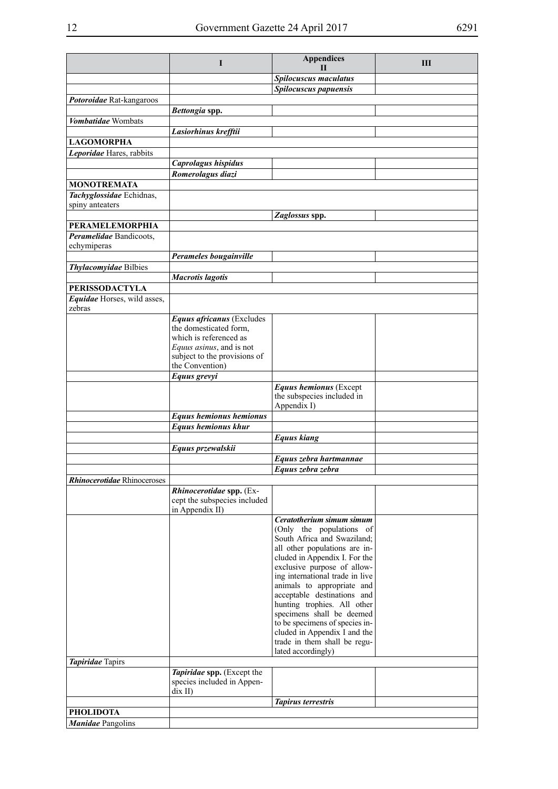|                                        | $\bf{I}$                                                                                                                                                     | <b>Appendices</b><br>Н                                                                                                                                                                                                                                                                                                                                                                                                                                                    | Ш |
|----------------------------------------|--------------------------------------------------------------------------------------------------------------------------------------------------------------|---------------------------------------------------------------------------------------------------------------------------------------------------------------------------------------------------------------------------------------------------------------------------------------------------------------------------------------------------------------------------------------------------------------------------------------------------------------------------|---|
|                                        |                                                                                                                                                              | Spilocuscus maculatus                                                                                                                                                                                                                                                                                                                                                                                                                                                     |   |
|                                        |                                                                                                                                                              | Spilocuscus papuensis                                                                                                                                                                                                                                                                                                                                                                                                                                                     |   |
| Potoroidae Rat-kangaroos               |                                                                                                                                                              |                                                                                                                                                                                                                                                                                                                                                                                                                                                                           |   |
|                                        | Bettongia spp.                                                                                                                                               |                                                                                                                                                                                                                                                                                                                                                                                                                                                                           |   |
| Vombatidae Wombats                     |                                                                                                                                                              |                                                                                                                                                                                                                                                                                                                                                                                                                                                                           |   |
|                                        | Lasiorhinus krefftii                                                                                                                                         |                                                                                                                                                                                                                                                                                                                                                                                                                                                                           |   |
| <b>LAGOMORPHA</b>                      |                                                                                                                                                              |                                                                                                                                                                                                                                                                                                                                                                                                                                                                           |   |
| Leporidae Hares, rabbits               | Caprolagus hispidus                                                                                                                                          |                                                                                                                                                                                                                                                                                                                                                                                                                                                                           |   |
|                                        | Romerolagus diazi                                                                                                                                            |                                                                                                                                                                                                                                                                                                                                                                                                                                                                           |   |
| <b>MONOTREMATA</b>                     |                                                                                                                                                              |                                                                                                                                                                                                                                                                                                                                                                                                                                                                           |   |
| Tachyglossidae Echidnas,               |                                                                                                                                                              |                                                                                                                                                                                                                                                                                                                                                                                                                                                                           |   |
| spiny anteaters                        |                                                                                                                                                              |                                                                                                                                                                                                                                                                                                                                                                                                                                                                           |   |
|                                        |                                                                                                                                                              | Zaglossus spp.                                                                                                                                                                                                                                                                                                                                                                                                                                                            |   |
| <b>PERAMELEMORPHIA</b>                 |                                                                                                                                                              |                                                                                                                                                                                                                                                                                                                                                                                                                                                                           |   |
| Peramelidae Bandicoots,<br>echymiperas |                                                                                                                                                              |                                                                                                                                                                                                                                                                                                                                                                                                                                                                           |   |
|                                        | Perameles bougainville                                                                                                                                       |                                                                                                                                                                                                                                                                                                                                                                                                                                                                           |   |
| Thylacomyidae Bilbies                  |                                                                                                                                                              |                                                                                                                                                                                                                                                                                                                                                                                                                                                                           |   |
|                                        | <b>Macrotis lagotis</b>                                                                                                                                      |                                                                                                                                                                                                                                                                                                                                                                                                                                                                           |   |
| <b>PERISSODACTYLA</b>                  |                                                                                                                                                              |                                                                                                                                                                                                                                                                                                                                                                                                                                                                           |   |
| Equidae Horses, wild asses,<br>zebras  |                                                                                                                                                              |                                                                                                                                                                                                                                                                                                                                                                                                                                                                           |   |
|                                        | Equus africanus (Excludes<br>the domesticated form,<br>which is referenced as<br>Equus asinus, and is not<br>subject to the provisions of<br>the Convention) |                                                                                                                                                                                                                                                                                                                                                                                                                                                                           |   |
|                                        |                                                                                                                                                              |                                                                                                                                                                                                                                                                                                                                                                                                                                                                           |   |
|                                        | Equus grevyi                                                                                                                                                 | Equus hemionus (Except                                                                                                                                                                                                                                                                                                                                                                                                                                                    |   |
|                                        |                                                                                                                                                              | the subspecies included in<br>Appendix I)                                                                                                                                                                                                                                                                                                                                                                                                                                 |   |
|                                        | <b>Equus hemionus hemionus</b>                                                                                                                               |                                                                                                                                                                                                                                                                                                                                                                                                                                                                           |   |
|                                        | Equus hemionus khur                                                                                                                                          |                                                                                                                                                                                                                                                                                                                                                                                                                                                                           |   |
|                                        |                                                                                                                                                              | <b>Equus kiang</b>                                                                                                                                                                                                                                                                                                                                                                                                                                                        |   |
|                                        | Equus przewalskii                                                                                                                                            |                                                                                                                                                                                                                                                                                                                                                                                                                                                                           |   |
|                                        |                                                                                                                                                              | Equus zebra hartmannae                                                                                                                                                                                                                                                                                                                                                                                                                                                    |   |
| <b>Rhinocerotidae</b> Rhinoceroses     |                                                                                                                                                              | Equus zebra zebra                                                                                                                                                                                                                                                                                                                                                                                                                                                         |   |
|                                        | Rhinocerotidae spp. (Ex-                                                                                                                                     |                                                                                                                                                                                                                                                                                                                                                                                                                                                                           |   |
|                                        | cept the subspecies included<br>in Appendix II)                                                                                                              |                                                                                                                                                                                                                                                                                                                                                                                                                                                                           |   |
| <b>Tapiridae</b> Tapirs                |                                                                                                                                                              | Ceratotherium simum simum<br>(Only the populations of<br>South Africa and Swaziland;<br>all other populations are in-<br>cluded in Appendix I. For the<br>exclusive purpose of allow-<br>ing international trade in live<br>animals to appropriate and<br>acceptable destinations and<br>hunting trophies. All other<br>specimens shall be deemed<br>to be specimens of species in-<br>cluded in Appendix I and the<br>trade in them shall be regu-<br>lated accordingly) |   |
|                                        | Tapiridae spp. (Except the                                                                                                                                   |                                                                                                                                                                                                                                                                                                                                                                                                                                                                           |   |
|                                        | species included in Appen-                                                                                                                                   |                                                                                                                                                                                                                                                                                                                                                                                                                                                                           |   |
|                                        | dix II)                                                                                                                                                      |                                                                                                                                                                                                                                                                                                                                                                                                                                                                           |   |
| <b>PHOLIDOTA</b>                       |                                                                                                                                                              | <b>Tapirus terrestris</b>                                                                                                                                                                                                                                                                                                                                                                                                                                                 |   |
| <b>Manidae</b> Pangolins               |                                                                                                                                                              |                                                                                                                                                                                                                                                                                                                                                                                                                                                                           |   |
|                                        |                                                                                                                                                              |                                                                                                                                                                                                                                                                                                                                                                                                                                                                           |   |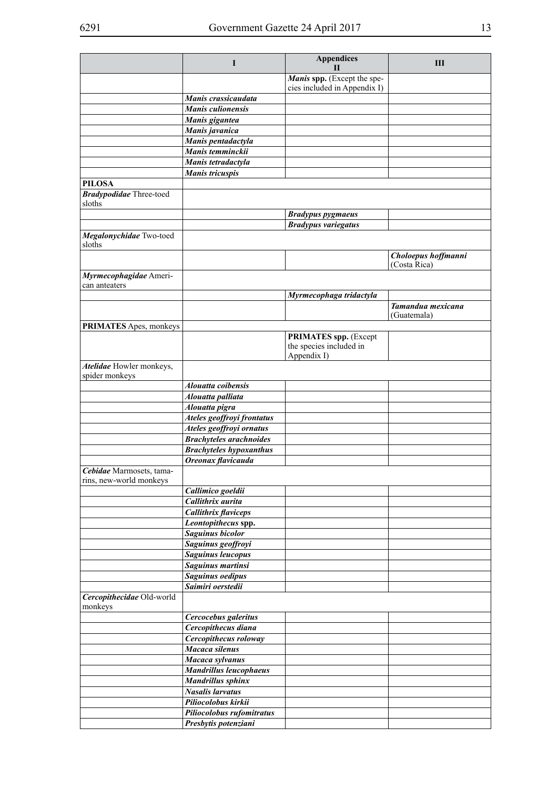|                                                     | L                              | <b>Appendices</b><br>Н                                      | Ш                                |
|-----------------------------------------------------|--------------------------------|-------------------------------------------------------------|----------------------------------|
|                                                     |                                | Manis spp. (Except the spe-<br>cies included in Appendix I) |                                  |
|                                                     | Manis crassicaudata            |                                                             |                                  |
|                                                     | <b>Manis culionensis</b>       |                                                             |                                  |
|                                                     | Manis gigantea                 |                                                             |                                  |
|                                                     | Manis javanica                 |                                                             |                                  |
|                                                     | Manis pentadactyla             |                                                             |                                  |
|                                                     | Manis temminckii               |                                                             |                                  |
|                                                     | Manis tetradactyla             |                                                             |                                  |
|                                                     | Manis tricuspis                |                                                             |                                  |
| <b>PILOSA</b>                                       |                                |                                                             |                                  |
| <b>Bradypodidae</b> Three-toed<br>sloths            |                                |                                                             |                                  |
|                                                     |                                | <b>Bradypus pygmaeus</b>                                    |                                  |
|                                                     |                                | <b>Bradypus variegatus</b>                                  |                                  |
| Megalonychidae Two-toed<br>sloths                   |                                |                                                             |                                  |
|                                                     |                                |                                                             | Choloepus hoffmanni              |
|                                                     |                                |                                                             | (Costa Rica)                     |
| Myrmecophagidae Ameri-<br>can anteaters             |                                |                                                             |                                  |
|                                                     |                                | Myrmecophaga tridactyla                                     |                                  |
|                                                     |                                |                                                             | Tamandua mexicana<br>(Guatemala) |
| PRIMATES Apes, monkeys                              |                                |                                                             |                                  |
|                                                     |                                | <b>PRIMATES spp.</b> (Except                                |                                  |
|                                                     |                                | the species included in                                     |                                  |
|                                                     |                                | Appendix I)                                                 |                                  |
| Atelidae Howler monkeys,<br>spider monkeys          |                                |                                                             |                                  |
|                                                     | Alouatta coibensis             |                                                             |                                  |
|                                                     | Alouatta palliata              |                                                             |                                  |
|                                                     | Alouatta pigra                 |                                                             |                                  |
|                                                     | Ateles geoffroyi frontatus     |                                                             |                                  |
|                                                     | Ateles geoffroyi ornatus       |                                                             |                                  |
|                                                     | <b>Brachyteles arachnoides</b> |                                                             |                                  |
|                                                     | <b>Brachyteles hypoxanthus</b> |                                                             |                                  |
|                                                     | Oreonax flavicauda             |                                                             |                                  |
| Cebidae Marmosets, tama-<br>rins, new-world monkeys |                                |                                                             |                                  |
|                                                     | Callimico goeldii              |                                                             |                                  |
|                                                     | Callithrix aurita              |                                                             |                                  |
|                                                     | <b>Callithrix flaviceps</b>    |                                                             |                                  |
|                                                     | Leontopithecus spp.            |                                                             |                                  |
|                                                     | Saguinus bicolor               |                                                             |                                  |
|                                                     | Saguinus geoffroyi             |                                                             |                                  |
|                                                     | <b>Saguinus leucopus</b>       |                                                             |                                  |
|                                                     | Saguinus martinsi              |                                                             |                                  |
|                                                     | Saguinus oedipus               |                                                             |                                  |
|                                                     | Saimiri oerstedii              |                                                             |                                  |
| Cercopithecidae Old-world<br>monkeys                |                                |                                                             |                                  |
|                                                     | Cercocebus galeritus           |                                                             |                                  |
|                                                     | Cercopithecus diana            |                                                             |                                  |
|                                                     | Cercopithecus roloway          |                                                             |                                  |
|                                                     | Macaca silenus                 |                                                             |                                  |
|                                                     | Macaca sylvanus                |                                                             |                                  |
|                                                     | <b>Mandrillus leucophaeus</b>  |                                                             |                                  |
|                                                     | <b>Mandrillus sphinx</b>       |                                                             |                                  |
|                                                     | Nasalis larvatus               |                                                             |                                  |
|                                                     | Piliocolobus kirkii            |                                                             |                                  |
|                                                     | Piliocolobus rufomitratus      |                                                             |                                  |
|                                                     | Presbytis potenziani           |                                                             |                                  |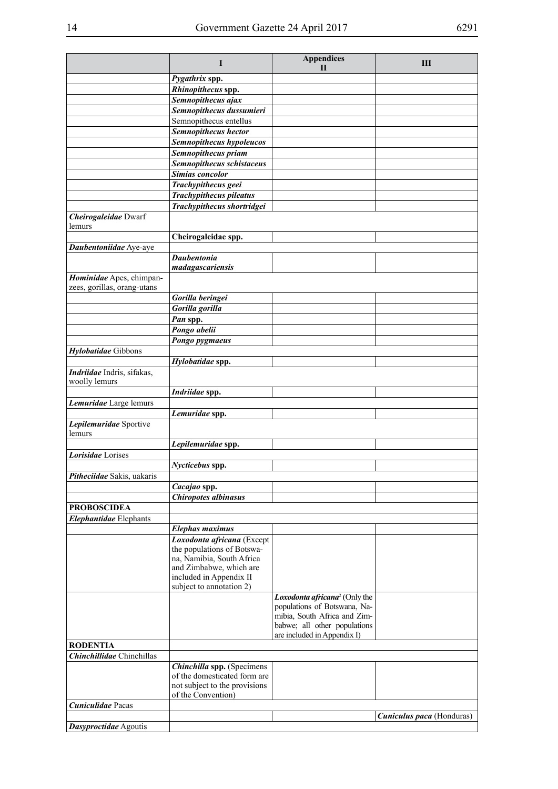|                                             | I                                                                                                                                           | <b>Appendices</b><br>Н                                                                       | Ш                         |
|---------------------------------------------|---------------------------------------------------------------------------------------------------------------------------------------------|----------------------------------------------------------------------------------------------|---------------------------|
|                                             | Pygathrix spp.                                                                                                                              |                                                                                              |                           |
|                                             | Rhinopithecus spp.                                                                                                                          |                                                                                              |                           |
|                                             | Semnopithecus ajax                                                                                                                          |                                                                                              |                           |
|                                             | Semnopithecus dussumieri                                                                                                                    |                                                                                              |                           |
|                                             | Semnopithecus entellus                                                                                                                      |                                                                                              |                           |
|                                             | Semnopithecus hector                                                                                                                        |                                                                                              |                           |
|                                             | Semnopithecus hypoleucos                                                                                                                    |                                                                                              |                           |
|                                             | Semnopithecus priam                                                                                                                         |                                                                                              |                           |
|                                             | Semnopithecus schistaceus                                                                                                                   |                                                                                              |                           |
|                                             | <b>Simias concolor</b>                                                                                                                      |                                                                                              |                           |
|                                             | Trachypithecus geei                                                                                                                         |                                                                                              |                           |
|                                             | <b>Trachypithecus pileatus</b>                                                                                                              |                                                                                              |                           |
|                                             | Trachypithecus shortridgei                                                                                                                  |                                                                                              |                           |
| Cheirogaleidae Dwarf<br>lemurs              |                                                                                                                                             |                                                                                              |                           |
|                                             | Cheirogaleidae spp.                                                                                                                         |                                                                                              |                           |
| Daubentoniidae Aye-aye                      |                                                                                                                                             |                                                                                              |                           |
|                                             | <b>Daubentonia</b>                                                                                                                          |                                                                                              |                           |
|                                             | madagascariensis                                                                                                                            |                                                                                              |                           |
| Hominidae Apes, chimpan-                    |                                                                                                                                             |                                                                                              |                           |
| zees, gorillas, orang-utans                 |                                                                                                                                             |                                                                                              |                           |
|                                             | Gorilla beringei                                                                                                                            |                                                                                              |                           |
|                                             | Gorilla gorilla                                                                                                                             |                                                                                              |                           |
|                                             | Pan spp.                                                                                                                                    |                                                                                              |                           |
|                                             | Pongo abelii                                                                                                                                |                                                                                              |                           |
|                                             | Pongo pygmaeus                                                                                                                              |                                                                                              |                           |
| Hylobatidae Gibbons                         |                                                                                                                                             |                                                                                              |                           |
|                                             | Hylobatidae spp.                                                                                                                            |                                                                                              |                           |
| Indriidae Indris, sifakas,<br>woolly lemurs |                                                                                                                                             |                                                                                              |                           |
|                                             | Indriidae spp.                                                                                                                              |                                                                                              |                           |
| Lemuridae Large lemurs                      |                                                                                                                                             |                                                                                              |                           |
|                                             | Lemuridae spp.                                                                                                                              |                                                                                              |                           |
| Lepilemuridae Sportive<br>lemurs            |                                                                                                                                             |                                                                                              |                           |
|                                             | Lepilemuridae spp.                                                                                                                          |                                                                                              |                           |
| Lorisidae Lorises                           |                                                                                                                                             |                                                                                              |                           |
|                                             | Nycticebus spp.                                                                                                                             |                                                                                              |                           |
| Pitheciidae Sakis, uakaris                  |                                                                                                                                             |                                                                                              |                           |
|                                             | Cacajao spp.                                                                                                                                |                                                                                              |                           |
|                                             | <b>Chiropotes albinasus</b>                                                                                                                 |                                                                                              |                           |
| <b>PROBOSCIDEA</b>                          |                                                                                                                                             |                                                                                              |                           |
| Elephantidae Elephants                      |                                                                                                                                             |                                                                                              |                           |
|                                             | <b>Elephas maximus</b>                                                                                                                      |                                                                                              |                           |
|                                             | Loxodonta africana (Except<br>the populations of Botswa-<br>na, Namibia, South Africa<br>and Zimbabwe, which are<br>included in Appendix II |                                                                                              |                           |
|                                             | subject to annotation 2)                                                                                                                    | Loxodonta africana <sup>2</sup> (Only the                                                    |                           |
|                                             |                                                                                                                                             | populations of Botswana, Na-<br>mibia, South Africa and Zim-<br>babwe; all other populations |                           |
|                                             |                                                                                                                                             | are included in Appendix I)                                                                  |                           |
| <b>RODENTIA</b>                             |                                                                                                                                             |                                                                                              |                           |
| <b>Chinchillidae</b> Chinchillas            |                                                                                                                                             |                                                                                              |                           |
|                                             | Chinchilla spp. (Specimens<br>of the domesticated form are                                                                                  |                                                                                              |                           |
|                                             | not subject to the provisions<br>of the Convention)                                                                                         |                                                                                              |                           |
| Cuniculidae Pacas                           |                                                                                                                                             |                                                                                              |                           |
|                                             |                                                                                                                                             |                                                                                              | Cuniculus paca (Honduras) |
| Dasyproctidae Agoutis                       |                                                                                                                                             |                                                                                              |                           |
|                                             |                                                                                                                                             |                                                                                              |                           |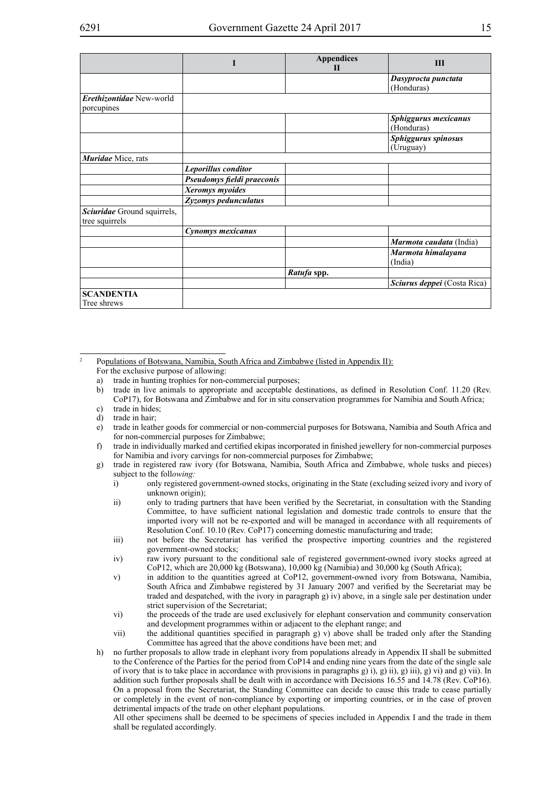|                                               |                            | <b>Appendices</b><br>$\mathbf{H}$ | $\mathbf{H}$                       |
|-----------------------------------------------|----------------------------|-----------------------------------|------------------------------------|
|                                               |                            |                                   | Dasyprocta punctata<br>(Honduras)  |
| Erethizontidae New-world<br>porcupines        |                            |                                   |                                    |
|                                               |                            |                                   | Sphiggurus mexicanus<br>(Honduras) |
|                                               |                            |                                   | Sphiggurus spinosus<br>(Uruguay)   |
| Muridae Mice, rats                            |                            |                                   |                                    |
|                                               | Leporillus conditor        |                                   |                                    |
|                                               | Pseudomys fieldi praeconis |                                   |                                    |
|                                               | Xeromys myoides            |                                   |                                    |
|                                               | Zyzomys pedunculatus       |                                   |                                    |
| Sciuridae Ground squirrels,<br>tree squirrels |                            |                                   |                                    |
|                                               | Cynomys mexicanus          |                                   |                                    |
|                                               |                            |                                   | Marmota caudata (India)            |
|                                               |                            |                                   | Marmota himalayana<br>(India)      |
|                                               |                            | Ratufa spp.                       |                                    |
|                                               |                            |                                   | Sciurus deppei (Costa Rica)        |
| <b>SCANDENTIA</b>                             |                            |                                   |                                    |
| Tree shrews                                   |                            |                                   |                                    |

<sup>2</sup> Populations of Botswana, Namibia, South Africa and Zimbabwe (listed in Appendix II): For the exclusive purpose of allowing:

- a) trade in hunting trophies for non-commercial purposes;
- b) trade in live animals to appropriate and acceptable destinations, as defined in Resolution Conf. 11.20 (Rev. CoP17), for Botswana and Zimbabwe and for in situ conservation programmes for Namibia and South Africa; c) trade in hides;
- d) trade in hair;
- 
- e) trade in leather goods for commercial or non-commercial purposes for Botswana, Namibia and South Africa and for non-commercial purposes for Zimbabwe;
- f) trade in individually marked and certified ekipas incorporated in finished jewellery for non-commercial purposes for Namibia and ivory carvings for non-commercial purposes for Zimbabwe;
- g) trade in registered raw ivory (for Botswana, Namibia, South Africa and Zimbabwe, whole tusks and pieces) subject to the foll*owing:*
	- i) only registered government-owned stocks, originating in the State (excluding seized ivory and ivory of unknown origin);
	- ii) only to trading partners that have been verified by the Secretariat, in consultation with the Standing Committee, to have sufficient national legislation and domestic trade controls to ensure that the imported ivory will not be re-exported and will be managed in accordance with all requirements of Resolution Conf. 10.10 (Rev. CoP17) concerning domestic manufacturing and trade;
	- iii) not before the Secretariat has verified the prospective importing countries and the registered government-owned stocks;
	- iv) raw ivory pursuant to the conditional sale of registered government-owned ivory stocks agreed at CoP12, which are 20,000 kg (Botswana), 10,000 kg (Namibia) and 30,000 kg (South Africa);
	- v) in addition to the quantities agreed at CoP12, government-owned ivory from Botswana, Namibia, South Africa and Zimbabwe registered by 31 January 2007 and verified by the Secretariat may be traded and despatched, with the ivory in paragraph g) iv) above, in a single sale per destination under strict supervision of the Secretariat;
	- vi) the proceeds of the trade are used exclusively for elephant conservation and community conservation and development programmes within or adjacent to the elephant range; and
	- vii) the additional quantities specified in paragraph g) v) above shall be traded only after the Standing Committee has agreed that the above conditions have been met; and
- h) no further proposals to allow trade in elephant ivory from populations already in Appendix II shall be submitted to the Conference of the Parties for the period from CoP14 and ending nine years from the date of the single sale of ivory that is to take place in accordance with provisions in paragraphs g) i), g) ii), g) iii), g) vi) and g) vii). In addition such further proposals shall be dealt with in accordance with Decisions 16.55 and 14.78 (Rev. CoP16). On a proposal from the Secretariat, the Standing Committee can decide to cause this trade to cease partially or completely in the event of non-compliance by exporting or importing countries, or in the case of proven detrimental impacts of the trade on other elephant populations.

All other specimens shall be deemed to be specimens of species included in Appendix I and the trade in them shall be regulated accordingly.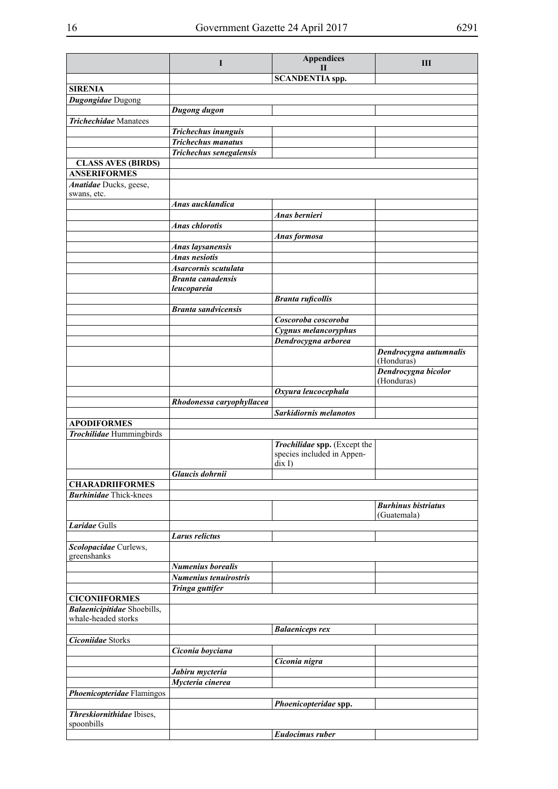|                                                    | $\bf{I}$                   | <b>Appendices</b><br>Н                               | Ш                                 |
|----------------------------------------------------|----------------------------|------------------------------------------------------|-----------------------------------|
|                                                    |                            | <b>SCANDENTIA</b> spp.                               |                                   |
| <b>SIRENIA</b>                                     |                            |                                                      |                                   |
| Dugongidae Dugong                                  |                            |                                                      |                                   |
|                                                    | Dugong dugon               |                                                      |                                   |
| <b>Trichechidae</b> Manatees                       |                            |                                                      |                                   |
|                                                    | Trichechus inunguis        |                                                      |                                   |
|                                                    | <b>Trichechus manatus</b>  |                                                      |                                   |
| <b>CLASS AVES (BIRDS)</b>                          | Trichechus senegalensis    |                                                      |                                   |
| <b>ANSERIFORMES</b>                                |                            |                                                      |                                   |
| Anatidae Ducks, geese,                             |                            |                                                      |                                   |
| swans, etc.                                        |                            |                                                      |                                   |
|                                                    | Anas aucklandica           |                                                      |                                   |
|                                                    |                            | Anas bernieri                                        |                                   |
|                                                    | <b>Anas chlorotis</b>      | Anas formosa                                         |                                   |
|                                                    | <b>Anas laysanensis</b>    |                                                      |                                   |
|                                                    | <b>Anas nesiotis</b>       |                                                      |                                   |
|                                                    | Asarcornis scutulata       |                                                      |                                   |
|                                                    | <b>Branta</b> canadensis   |                                                      |                                   |
|                                                    | leucopareia                |                                                      |                                   |
|                                                    |                            | <b>Branta ruficollis</b>                             |                                   |
|                                                    | <b>Branta sandvicensis</b> | Coscoroba coscoroba                                  |                                   |
|                                                    |                            | Cygnus melancoryphus                                 |                                   |
|                                                    |                            | Dendrocygna arborea                                  |                                   |
|                                                    |                            |                                                      | Dendrocygna autumnalis            |
|                                                    |                            |                                                      | (Honduras)                        |
|                                                    |                            |                                                      | Dendrocygna bicolor<br>(Honduras) |
|                                                    |                            | Oxyura leucocephala                                  |                                   |
|                                                    | Rhodonessa caryophyllacea  |                                                      |                                   |
|                                                    |                            | Sarkidiornis melanotos                               |                                   |
| <b>APODIFORMES</b><br>Trochilidae Hummingbirds     |                            |                                                      |                                   |
|                                                    |                            | Trochilidae spp. (Except the                         |                                   |
|                                                    |                            | species included in Appen-<br>$\operatorname{dix} I$ |                                   |
|                                                    | Glaucis dohrnii            |                                                      |                                   |
| <b>CHARADRIIFORMES</b>                             |                            |                                                      |                                   |
| <b>Burhinidae</b> Thick-knees                      |                            |                                                      |                                   |
|                                                    |                            |                                                      | <b>Burhinus bistriatus</b>        |
| Laridae Gulls                                      |                            |                                                      | (Guatemala)                       |
|                                                    | <b>Larus relictus</b>      |                                                      |                                   |
| Scolopacidae Curlews,<br>greenshanks               |                            |                                                      |                                   |
|                                                    | <b>Numenius borealis</b>   |                                                      |                                   |
|                                                    | Numenius tenuirostris      |                                                      |                                   |
|                                                    | Tringa guttifer            |                                                      |                                   |
| <b>CICONIIFORMES</b>                               |                            |                                                      |                                   |
| Balaenicipitidae Shoebills,<br>whale-headed storks |                            |                                                      |                                   |
|                                                    |                            | <b>Balaeniceps rex</b>                               |                                   |
| <b>Ciconiidae Storks</b>                           |                            |                                                      |                                   |
|                                                    | Ciconia boyciana           |                                                      |                                   |
|                                                    |                            | Ciconia nigra                                        |                                   |
|                                                    | Jabiru mycteria            |                                                      |                                   |
|                                                    | Mycteria cinerea           |                                                      |                                   |
| Phoenicopteridae Flamingos                         |                            | Phoenicopteridae spp.                                |                                   |
| <b>Threskiornithidae</b> Ibises,                   |                            |                                                      |                                   |
| spoonbills                                         |                            |                                                      |                                   |
|                                                    |                            | <b>Eudocimus ruber</b>                               |                                   |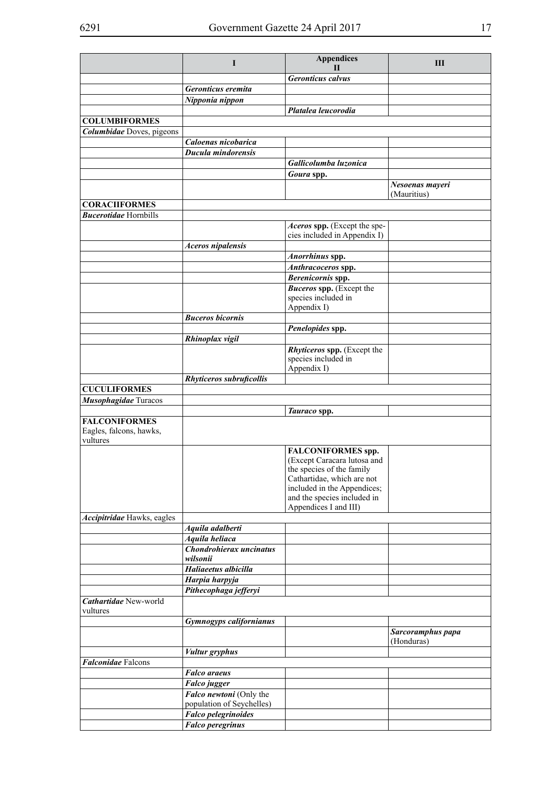|                                                             | I                                                    | <b>Appendices</b><br>$\mathbf{I}$                            | Ш                              |
|-------------------------------------------------------------|------------------------------------------------------|--------------------------------------------------------------|--------------------------------|
|                                                             |                                                      | <b>Geronticus calvus</b>                                     |                                |
|                                                             | Geronticus eremita                                   |                                                              |                                |
|                                                             | Nipponia nippon                                      |                                                              |                                |
|                                                             |                                                      | Platalea leucorodia                                          |                                |
| <b>COLUMBIFORMES</b>                                        |                                                      |                                                              |                                |
| Columbidae Doves, pigeons                                   |                                                      |                                                              |                                |
|                                                             | Caloenas nicobarica                                  |                                                              |                                |
|                                                             | Ducula mindorensis                                   |                                                              |                                |
|                                                             |                                                      | Gallicolumba luzonica                                        |                                |
|                                                             |                                                      | Goura spp.                                                   |                                |
|                                                             |                                                      |                                                              | Nesoenas mayeri<br>(Mauritius) |
| <b>CORACIIFORMES</b>                                        |                                                      |                                                              |                                |
| <b>Bucerotidae</b> Hornbills                                |                                                      |                                                              |                                |
|                                                             |                                                      | Aceros spp. (Except the spe-<br>cies included in Appendix I) |                                |
|                                                             | <b>Aceros nipalensis</b>                             |                                                              |                                |
|                                                             |                                                      | Anorrhinus spp.                                              |                                |
|                                                             |                                                      | Anthracoceros spp.                                           |                                |
|                                                             |                                                      | Berenicornis spp.                                            |                                |
|                                                             |                                                      | <b>Buceros spp.</b> (Except the                              |                                |
|                                                             |                                                      | species included in                                          |                                |
|                                                             |                                                      | Appendix I)                                                  |                                |
|                                                             | <b>Buceros bicornis</b>                              |                                                              |                                |
|                                                             |                                                      | Penelopides spp.                                             |                                |
|                                                             | Rhinoplax vigil                                      | Rhyticeros spp. (Except the                                  |                                |
|                                                             |                                                      | species included in                                          |                                |
|                                                             |                                                      | Appendix I)                                                  |                                |
|                                                             | Rhyticeros subruficollis                             |                                                              |                                |
| <b>CUCULIFORMES</b>                                         |                                                      |                                                              |                                |
| Musophagidae Turacos                                        |                                                      |                                                              |                                |
|                                                             |                                                      | Tauraco spp.                                                 |                                |
| <b>FALCONIFORMES</b><br>Eagles, falcons, hawks,<br>vultures |                                                      |                                                              |                                |
|                                                             |                                                      | <b>FALCONIFORMES spp.</b>                                    |                                |
|                                                             |                                                      | (Except Caracara lutosa and                                  |                                |
|                                                             |                                                      | the species of the family                                    |                                |
|                                                             |                                                      | Cathartidae, which are not                                   |                                |
|                                                             |                                                      | included in the Appendices;<br>and the species included in   |                                |
|                                                             |                                                      | Appendices I and III)                                        |                                |
| Accipitridae Hawks, eagles                                  |                                                      |                                                              |                                |
|                                                             | Aquila adalberti                                     |                                                              |                                |
|                                                             | Aquila heliaca                                       |                                                              |                                |
|                                                             | Chondrohierax uncinatus<br>wilsonii                  |                                                              |                                |
|                                                             | Haliaeetus albicilla                                 |                                                              |                                |
|                                                             | Harpia harpyja                                       |                                                              |                                |
|                                                             | Pithecophaga jefferyi                                |                                                              |                                |
| Cathartidae New-world<br>vultures                           |                                                      |                                                              |                                |
|                                                             | <b>Gymnogyps californianus</b>                       |                                                              |                                |
|                                                             |                                                      |                                                              | Sarcoramphus papa              |
|                                                             |                                                      |                                                              | (Honduras)                     |
|                                                             | <b>Vultur</b> gryphus                                |                                                              |                                |
| <b>Falconidae</b> Falcons                                   |                                                      |                                                              |                                |
|                                                             | <b>Falco</b> araeus                                  |                                                              |                                |
|                                                             | <b>Falco</b> jugger                                  |                                                              |                                |
|                                                             | Falco newtoni (Only the<br>population of Seychelles) |                                                              |                                |
|                                                             | <b>Falco pelegrinoides</b>                           |                                                              |                                |
|                                                             | <b>Falco peregrinus</b>                              |                                                              |                                |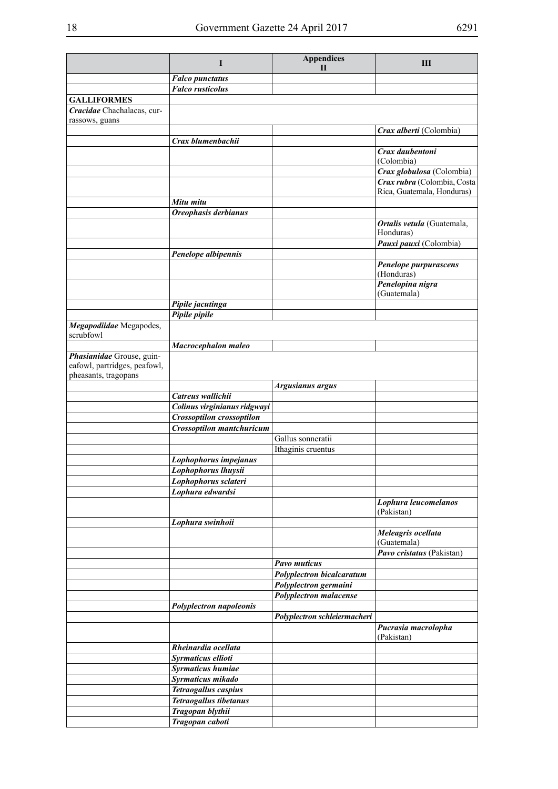|                                                                                   | $\bf{I}$                         | <b>Appendices</b><br>$\mathbf{H}$                  | Ш                                                         |
|-----------------------------------------------------------------------------------|----------------------------------|----------------------------------------------------|-----------------------------------------------------------|
|                                                                                   | <b>Falco punctatus</b>           |                                                    |                                                           |
|                                                                                   | <b>Falco</b> rusticolus          |                                                    |                                                           |
| <b>GALLIFORMES</b>                                                                |                                  |                                                    |                                                           |
| Cracidae Chachalacas, cur-<br>rassows, guans                                      |                                  |                                                    |                                                           |
|                                                                                   |                                  |                                                    | Crax alberti (Colombia)                                   |
|                                                                                   | Crax blumenbachii                |                                                    |                                                           |
|                                                                                   |                                  |                                                    | Crax daubentoni                                           |
|                                                                                   |                                  |                                                    | (Colombia)                                                |
|                                                                                   |                                  |                                                    | Crax globulosa (Colombia)                                 |
|                                                                                   |                                  |                                                    | Crax rubra (Colombia, Costa<br>Rica, Guatemala, Honduras) |
|                                                                                   | Mitu mitu                        |                                                    |                                                           |
|                                                                                   | Oreophasis derbianus             |                                                    |                                                           |
|                                                                                   |                                  |                                                    | Ortalis vetula (Guatemala,                                |
|                                                                                   |                                  |                                                    | Honduras)                                                 |
|                                                                                   |                                  |                                                    | Pauxi pauxi (Colombia)                                    |
|                                                                                   | Penelope albipennis              |                                                    | Penelope purpurascens                                     |
|                                                                                   |                                  |                                                    | (Honduras)                                                |
|                                                                                   |                                  |                                                    | Penelopina nigra<br>(Guatemala)                           |
|                                                                                   | Pipile jacutinga                 |                                                    |                                                           |
|                                                                                   | Pipile pipile                    |                                                    |                                                           |
| Megapodiidae Megapodes,                                                           |                                  |                                                    |                                                           |
| scrubfowl                                                                         |                                  |                                                    |                                                           |
|                                                                                   | Macrocephalon maleo              |                                                    |                                                           |
| Phasianidae Grouse, guin-<br>eafowl, partridges, peafowl,<br>pheasants, tragopans |                                  |                                                    |                                                           |
|                                                                                   |                                  | <b>Argusianus argus</b>                            |                                                           |
|                                                                                   | Catreus wallichii                |                                                    |                                                           |
|                                                                                   | Colinus virginianus ridgwayi     |                                                    |                                                           |
|                                                                                   | Crossoptilon crossoptilon        |                                                    |                                                           |
|                                                                                   | <b>Crossoptilon mantchuricum</b> |                                                    |                                                           |
|                                                                                   |                                  | Gallus sonneratii<br>Ithaginis cruentus            |                                                           |
|                                                                                   | Lophophorus impejanus            |                                                    |                                                           |
|                                                                                   | Lophophorus lhuysii              |                                                    |                                                           |
|                                                                                   | Lophophorus sclateri             |                                                    |                                                           |
|                                                                                   | Lophura edwardsi                 |                                                    |                                                           |
|                                                                                   |                                  |                                                    | Lophura leucomelanos                                      |
|                                                                                   |                                  |                                                    | (Pakistan)                                                |
|                                                                                   | Lophura swinhoii                 |                                                    |                                                           |
|                                                                                   |                                  |                                                    | Meleagris ocellata<br>(Guatemala)                         |
|                                                                                   |                                  |                                                    | Pavo cristatus (Pakistan)                                 |
|                                                                                   |                                  | <b>Pavo muticus</b>                                |                                                           |
|                                                                                   |                                  | Polyplectron bicalcaratum<br>Polyplectron germaini |                                                           |
|                                                                                   |                                  | Polyplectron malacense                             |                                                           |
|                                                                                   | Polyplectron napoleonis          |                                                    |                                                           |
|                                                                                   |                                  | Polyplectron schleiermacheri                       |                                                           |
|                                                                                   |                                  |                                                    | Pucrasia macrolopha                                       |
|                                                                                   | Rheinardia ocellata              |                                                    | (Pakistan)                                                |
|                                                                                   | Syrmaticus ellioti               |                                                    |                                                           |
|                                                                                   | <b>Syrmaticus humiae</b>         |                                                    |                                                           |
|                                                                                   | Syrmaticus mikado                |                                                    |                                                           |
|                                                                                   | Tetraogallus caspius             |                                                    |                                                           |
|                                                                                   | <b>Tetraogallus tibetanus</b>    |                                                    |                                                           |
|                                                                                   | Tragopan blythii                 |                                                    |                                                           |
|                                                                                   | Tragopan caboti                  |                                                    |                                                           |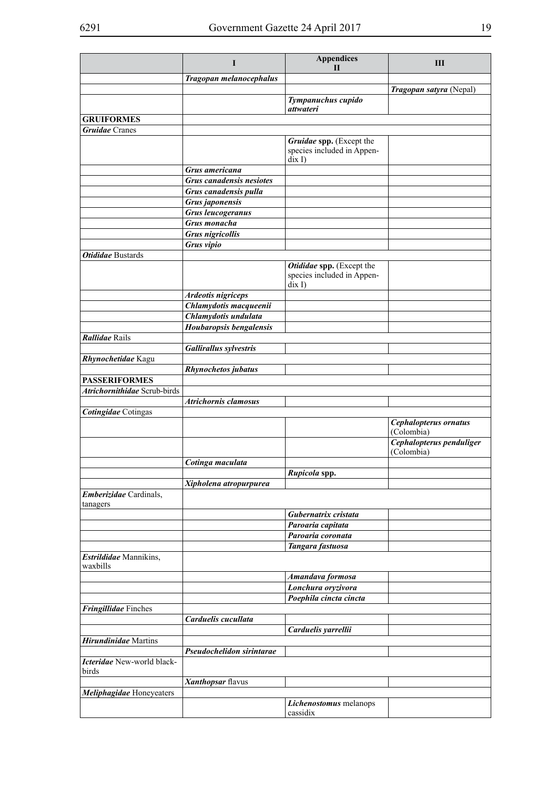|                                     | I                                    | <b>Appendices</b><br>Н                                                            | Ш                                                               |
|-------------------------------------|--------------------------------------|-----------------------------------------------------------------------------------|-----------------------------------------------------------------|
|                                     | Tragopan melanocephalus              |                                                                                   |                                                                 |
|                                     |                                      |                                                                                   | Tragopan satyra (Nepal)                                         |
|                                     |                                      | Tympanuchus cupido<br>attwateri                                                   |                                                                 |
| <b>GRUIFORMES</b>                   |                                      |                                                                                   |                                                                 |
| <b>Gruidae</b> Cranes               |                                      |                                                                                   |                                                                 |
|                                     |                                      | Gruidae spp. (Except the<br>species included in Appen-<br>$\operatorname{dix} I$  |                                                                 |
|                                     | Grus americana                       |                                                                                   |                                                                 |
|                                     | <b>Grus canadensis nesiotes</b>      |                                                                                   |                                                                 |
|                                     | Grus canadensis pulla                |                                                                                   |                                                                 |
|                                     | Grus japonensis<br>Grus leucogeranus |                                                                                   |                                                                 |
|                                     | Grus monacha                         |                                                                                   |                                                                 |
|                                     | <b>Grus nigricollis</b>              |                                                                                   |                                                                 |
|                                     | Grus vipio                           |                                                                                   |                                                                 |
| <b>Otididae</b> Bustards            |                                      |                                                                                   |                                                                 |
|                                     |                                      | Otididae spp. (Except the<br>species included in Appen-<br>$\operatorname{dix} I$ |                                                                 |
|                                     | <b>Ardeotis nigriceps</b>            |                                                                                   |                                                                 |
|                                     | Chlamydotis macqueenii               |                                                                                   |                                                                 |
|                                     | Chlamydotis undulata                 |                                                                                   |                                                                 |
| Rallidae Rails                      | Houbaropsis bengalensis              |                                                                                   |                                                                 |
|                                     | <b>Gallirallus sylvestris</b>        |                                                                                   |                                                                 |
| Rhynochetidae Kagu                  |                                      |                                                                                   |                                                                 |
|                                     | <b>Rhynochetos jubatus</b>           |                                                                                   |                                                                 |
| <b>PASSERIFORMES</b>                |                                      |                                                                                   |                                                                 |
| Atrichornithidae Scrub-birds        |                                      |                                                                                   |                                                                 |
|                                     | <b>Atrichornis clamosus</b>          |                                                                                   |                                                                 |
| <b>Cotingidae</b> Cotingas          |                                      |                                                                                   |                                                                 |
|                                     |                                      |                                                                                   | Cephalopterus ornatus<br>(Colombia)<br>Cephalopterus penduliger |
|                                     |                                      |                                                                                   | (Colombia)                                                      |
|                                     | Cotinga maculata                     |                                                                                   |                                                                 |
|                                     |                                      | Rupicola spp.                                                                     |                                                                 |
|                                     | Xipholena atropurpurea               |                                                                                   |                                                                 |
| Emberizidae Cardinals,<br>tanagers  |                                      |                                                                                   |                                                                 |
|                                     |                                      | Gubernatrix cristata                                                              |                                                                 |
|                                     |                                      | Paroaria capitata                                                                 |                                                                 |
|                                     |                                      | Paroaria coronata                                                                 |                                                                 |
| Estrildidae Mannikins,              |                                      | Tangara fastuosa                                                                  |                                                                 |
| waxbills                            |                                      |                                                                                   |                                                                 |
|                                     |                                      | Amandava formosa                                                                  |                                                                 |
|                                     |                                      | Lonchura oryzivora                                                                |                                                                 |
|                                     |                                      | Poephila cincta cincta                                                            |                                                                 |
| Fringillidae Finches                | Carduelis cucullata                  |                                                                                   |                                                                 |
|                                     |                                      | Carduelis yarrellii                                                               |                                                                 |
| <b>Hirundinidae</b> Martins         |                                      |                                                                                   |                                                                 |
|                                     | Pseudochelidon sirintarae            |                                                                                   |                                                                 |
| Icteridae New-world black-<br>birds |                                      |                                                                                   |                                                                 |
|                                     | Xanthopsar flavus                    |                                                                                   |                                                                 |
| Meliphagidae Honeyeaters            |                                      |                                                                                   |                                                                 |
|                                     |                                      | Lichenostomus melanops<br>cassidix                                                |                                                                 |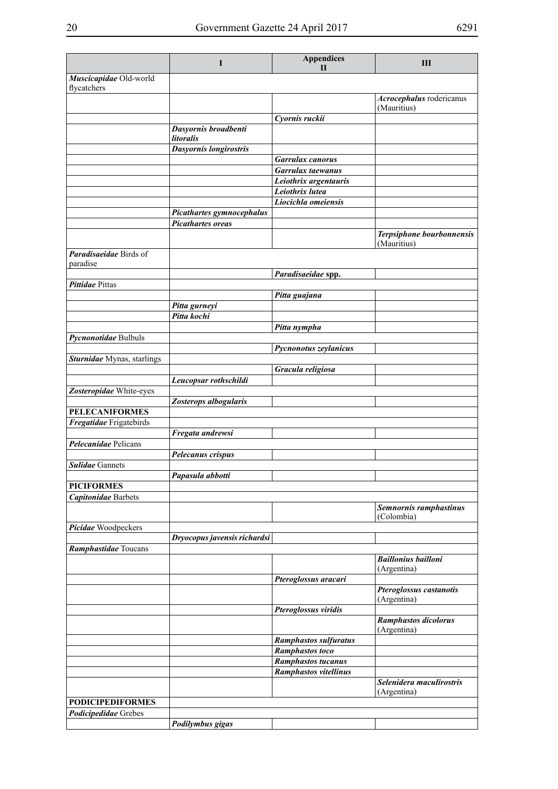|                                                  | I                                 | <b>Appendices</b><br>$\mathbf{H}$                   | Ш                                       |
|--------------------------------------------------|-----------------------------------|-----------------------------------------------------|-----------------------------------------|
| Muscicapidae Old-world                           |                                   |                                                     |                                         |
| flycatchers                                      |                                   |                                                     |                                         |
|                                                  |                                   |                                                     | Acrocephalus rodericanus<br>(Mauritius) |
|                                                  |                                   | Cyornis ruckii                                      |                                         |
|                                                  | Dasyornis broadbenti<br>litoralis |                                                     |                                         |
|                                                  | Dasyornis longirostris            |                                                     |                                         |
|                                                  |                                   | <b>Garrulax</b> canorus                             |                                         |
|                                                  |                                   | Garrulax taewanus                                   |                                         |
|                                                  |                                   | Leiothrix argentauris                               |                                         |
|                                                  |                                   | Leiothrix lutea<br>Liocichla omeiensis              |                                         |
|                                                  | Picathartes gymnocephalus         |                                                     |                                         |
|                                                  | <b>Picathartes oreas</b>          |                                                     |                                         |
|                                                  |                                   |                                                     | Terpsiphone bourbonnensis               |
|                                                  |                                   |                                                     | (Mauritius)                             |
| Paradisaeidae Birds of<br>paradise               |                                   |                                                     |                                         |
|                                                  |                                   | Paradisaeidae spp.                                  |                                         |
| Pittidae Pittas                                  |                                   |                                                     |                                         |
|                                                  |                                   | Pitta guajana                                       |                                         |
|                                                  | Pitta gurneyi<br>Pitta kochi      |                                                     |                                         |
|                                                  |                                   | Pitta nympha                                        |                                         |
| Pycnonotidae Bulbuls                             |                                   |                                                     |                                         |
|                                                  |                                   | Pycnonotus zeylanicus                               |                                         |
| Sturnidae Mynas, starlings                       |                                   |                                                     |                                         |
|                                                  |                                   | Gracula religiosa                                   |                                         |
|                                                  | Leucopsar rothschildi             |                                                     |                                         |
| Zosteropidae White-eyes                          |                                   |                                                     |                                         |
|                                                  | Zosterops albogularis             |                                                     |                                         |
| <b>PELECANIFORMES</b><br>Fregatidae Frigatebirds |                                   |                                                     |                                         |
|                                                  | Fregata andrewsi                  |                                                     |                                         |
| Pelecanidae Pelicans                             |                                   |                                                     |                                         |
|                                                  | Pelecanus crispus                 |                                                     |                                         |
| <b>Sulidae</b> Gannets                           |                                   |                                                     |                                         |
|                                                  | Papasula abbotti                  |                                                     |                                         |
| <b>PICIFORMES</b>                                |                                   |                                                     |                                         |
| <b>Capitonidae</b> Barbets                       |                                   |                                                     |                                         |
|                                                  |                                   |                                                     | Semnornis ramphastinus<br>(Colombia)    |
| Picidae Woodpeckers                              |                                   |                                                     |                                         |
|                                                  | Dryocopus javensis richardsi      |                                                     |                                         |
| Ramphastidae Toucans                             |                                   |                                                     | <b>Baillonius bailloni</b>              |
|                                                  |                                   |                                                     | (Argentina)                             |
|                                                  |                                   | Pteroglossus aracari                                |                                         |
|                                                  |                                   |                                                     | Pteroglossus castanotis                 |
|                                                  |                                   |                                                     | (Argentina)                             |
|                                                  |                                   | Pteroglossus viridis                                | Ramphastos dicolorus                    |
|                                                  |                                   |                                                     | (Argentina)                             |
|                                                  |                                   | Ramphastos sulfuratus                               |                                         |
|                                                  |                                   | <b>Ramphastos toco</b><br><b>Ramphastos tucanus</b> |                                         |
|                                                  |                                   | Ramphastos vitellinus                               |                                         |
|                                                  |                                   |                                                     | Selenidera maculirostris                |
|                                                  |                                   |                                                     | (Argentina)                             |
| <b>PODICIPEDIFORMES</b>                          |                                   |                                                     |                                         |
| <b>Podicipedidae</b> Grebes                      |                                   |                                                     |                                         |
|                                                  | Podilymbus gigas                  |                                                     |                                         |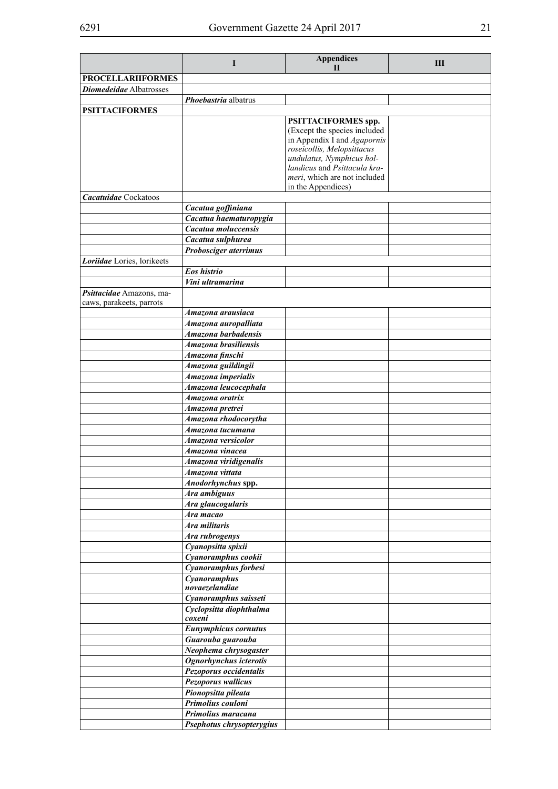|                                | L                           | <b>Appendices</b>                                       | Ш |
|--------------------------------|-----------------------------|---------------------------------------------------------|---|
|                                |                             | $\mathbf{H}$                                            |   |
| <b>PROCELLARIIFORMES</b>       |                             |                                                         |   |
| <b>Diomedeidae</b> Albatrosses |                             |                                                         |   |
|                                | Phoebastria albatrus        |                                                         |   |
| <b>PSITTACIFORMES</b>          |                             |                                                         |   |
|                                |                             | PSITTACIFORMES spp.                                     |   |
|                                |                             | (Except the species included                            |   |
|                                |                             | in Appendix I and Agapornis                             |   |
|                                |                             | roseicollis, Melopsittacus<br>undulatus, Nymphicus hol- |   |
|                                |                             | landicus and Psittacula kra-                            |   |
|                                |                             | meri, which are not included                            |   |
|                                |                             | in the Appendices)                                      |   |
| Cacatuidae Cockatoos           |                             |                                                         |   |
|                                | Cacatua goffiniana          |                                                         |   |
|                                | Cacatua haematuropygia      |                                                         |   |
|                                | Cacatua moluccensis         |                                                         |   |
|                                | Cacatua sulphurea           |                                                         |   |
|                                | Probosciger aterrimus       |                                                         |   |
| Loriidae Lories, lorikeets     |                             |                                                         |   |
|                                | Eos histrio                 |                                                         |   |
|                                | Vini ultramarina            |                                                         |   |
| Psittacidae Amazons, ma-       |                             |                                                         |   |
| caws, parakeets, parrots       |                             |                                                         |   |
|                                | Amazona arausiaca           |                                                         |   |
|                                | Amazona auropalliata        |                                                         |   |
|                                | Amazona barbadensis         |                                                         |   |
|                                | Amazona brasiliensis        |                                                         |   |
|                                | Amazona finschi             |                                                         |   |
|                                | Amazona guildingii          |                                                         |   |
|                                | Amazona imperialis          |                                                         |   |
|                                | Amazona leucocephala        |                                                         |   |
|                                | Amazona oratrix             |                                                         |   |
|                                | Amazona pretrei             |                                                         |   |
|                                | Amazona rhodocorytha        |                                                         |   |
|                                | Amazona tucumana            |                                                         |   |
|                                | Amazona versicolor          |                                                         |   |
|                                | Amazona vinacea             |                                                         |   |
|                                | Amazona viridigenalis       |                                                         |   |
|                                | Amazona vittata             |                                                         |   |
|                                | Anodorhynchus spp.          |                                                         |   |
|                                | Ara ambiguus                |                                                         |   |
|                                | Ara glaucogularis           |                                                         |   |
|                                | Ara macao                   |                                                         |   |
|                                | Ara militaris               |                                                         |   |
|                                | Ara rubrogenys              |                                                         |   |
|                                | Cyanopsitta spixii          |                                                         |   |
|                                | Cyanoramphus cookii         |                                                         |   |
|                                | Cyanoramphus forbesi        |                                                         |   |
|                                | Cyanoramphus                |                                                         |   |
|                                | novaezelandiae              |                                                         |   |
|                                | Cyanoramphus saisseti       |                                                         |   |
|                                | Cyclopsitta diophthalma     |                                                         |   |
|                                | coxeni                      |                                                         |   |
|                                | <b>Eunymphicus cornutus</b> |                                                         |   |
|                                | Guarouba guarouba           |                                                         |   |
|                                | Neophema chrysogaster       |                                                         |   |
|                                | Ognorhynchus icterotis      |                                                         |   |
|                                | Pezoporus occidentalis      |                                                         |   |
|                                | Pezoporus wallicus          |                                                         |   |
|                                | Pionopsitta pileata         |                                                         |   |
|                                | Primolius couloni           |                                                         |   |
|                                | Primolius maracana          |                                                         |   |
|                                | Psephotus chrysopterygius   |                                                         |   |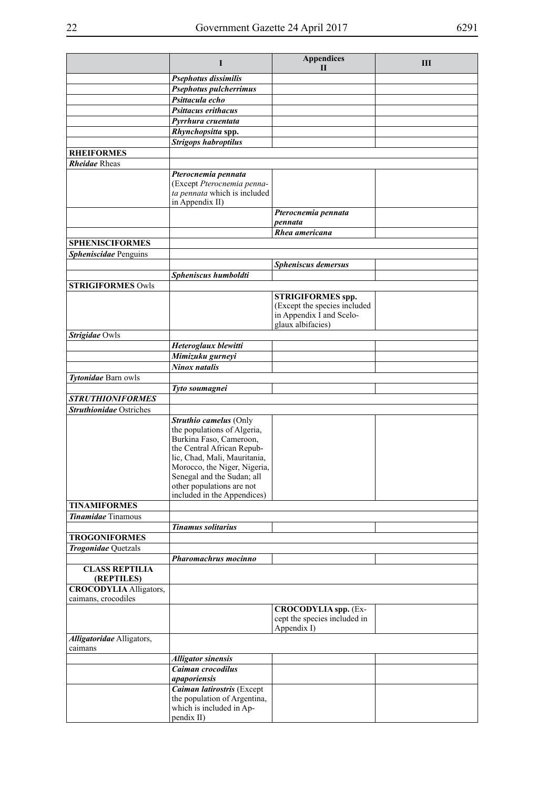|                                      | I                                                                                                                                                                                                                                                                        | <b>Appendices</b><br>$\mathbf{H}$                                                                         | Ш |
|--------------------------------------|--------------------------------------------------------------------------------------------------------------------------------------------------------------------------------------------------------------------------------------------------------------------------|-----------------------------------------------------------------------------------------------------------|---|
|                                      | Psephotus dissimilis                                                                                                                                                                                                                                                     |                                                                                                           |   |
|                                      | Psephotus pulcherrimus                                                                                                                                                                                                                                                   |                                                                                                           |   |
|                                      | Psittacula echo                                                                                                                                                                                                                                                          |                                                                                                           |   |
|                                      | <b>Psittacus erithacus</b>                                                                                                                                                                                                                                               |                                                                                                           |   |
|                                      | Pyrrhura cruentata                                                                                                                                                                                                                                                       |                                                                                                           |   |
|                                      | Rhynchopsitta spp.                                                                                                                                                                                                                                                       |                                                                                                           |   |
|                                      | <b>Strigops habroptilus</b>                                                                                                                                                                                                                                              |                                                                                                           |   |
| <b>RHEIFORMES</b>                    |                                                                                                                                                                                                                                                                          |                                                                                                           |   |
| <b>Rheidae</b> Rheas                 |                                                                                                                                                                                                                                                                          |                                                                                                           |   |
|                                      | Pterocnemia pennata<br>(Except Pterocnemia penna-<br>ta pennata which is included<br>in Appendix II)                                                                                                                                                                     |                                                                                                           |   |
|                                      |                                                                                                                                                                                                                                                                          | Pterocnemia pennata<br>pennata                                                                            |   |
|                                      |                                                                                                                                                                                                                                                                          | Rhea americana                                                                                            |   |
| <b>SPHENISCIFORMES</b>               |                                                                                                                                                                                                                                                                          |                                                                                                           |   |
| Spheniscidae Penguins                |                                                                                                                                                                                                                                                                          |                                                                                                           |   |
|                                      |                                                                                                                                                                                                                                                                          | <b>Spheniscus demersus</b>                                                                                |   |
|                                      | Spheniscus humboldti                                                                                                                                                                                                                                                     |                                                                                                           |   |
| <b>STRIGIFORMES Owls</b>             |                                                                                                                                                                                                                                                                          | <b>STRIGIFORMES</b> spp.<br>(Except the species included<br>in Appendix I and Scelo-<br>glaux albifacies) |   |
| Strigidae Owls                       |                                                                                                                                                                                                                                                                          |                                                                                                           |   |
|                                      | Heteroglaux blewitti                                                                                                                                                                                                                                                     |                                                                                                           |   |
|                                      | Mimizuku gurneyi                                                                                                                                                                                                                                                         |                                                                                                           |   |
|                                      | Ninox natalis                                                                                                                                                                                                                                                            |                                                                                                           |   |
| Tytonidae Barn owls                  | Tyto soumagnei                                                                                                                                                                                                                                                           |                                                                                                           |   |
| <b>STRUTHIONIFORMES</b>              |                                                                                                                                                                                                                                                                          |                                                                                                           |   |
| <b>Struthionidae</b> Ostriches       |                                                                                                                                                                                                                                                                          |                                                                                                           |   |
|                                      | Struthio camelus (Only<br>the populations of Algeria,<br>Burkina Faso, Cameroon,<br>the Central African Repub-<br>lic, Chad, Mali, Mauritania,<br>Morocco, the Niger, Nigeria,<br>Senegal and the Sudan; all<br>other populations are not<br>included in the Appendices) |                                                                                                           |   |
| <b>TINAMIFORMES</b>                  |                                                                                                                                                                                                                                                                          |                                                                                                           |   |
| Tinamidae Tinamous                   |                                                                                                                                                                                                                                                                          |                                                                                                           |   |
| <b>TROGONIFORMES</b>                 | <b>Tinamus solitarius</b>                                                                                                                                                                                                                                                |                                                                                                           |   |
| Trogonidae Quetzals                  |                                                                                                                                                                                                                                                                          |                                                                                                           |   |
|                                      | <b>Pharomachrus mocinno</b>                                                                                                                                                                                                                                              |                                                                                                           |   |
| <b>CLASS REPTILIA</b><br>(REPTILES)  |                                                                                                                                                                                                                                                                          |                                                                                                           |   |
| <b>CROCODYLIA</b> Alligators,        |                                                                                                                                                                                                                                                                          |                                                                                                           |   |
| caimans, crocodiles                  |                                                                                                                                                                                                                                                                          | <b>CROCODYLIA</b> spp. (Ex-<br>cept the species included in<br>Appendix I)                                |   |
| Alligatoridae Alligators,<br>caimans |                                                                                                                                                                                                                                                                          |                                                                                                           |   |
|                                      | <b>Alligator sinensis</b>                                                                                                                                                                                                                                                |                                                                                                           |   |
|                                      | Caiman crocodilus                                                                                                                                                                                                                                                        |                                                                                                           |   |
|                                      | apaporiensis                                                                                                                                                                                                                                                             |                                                                                                           |   |
|                                      | Caiman latirostris (Except<br>the population of Argentina,<br>which is included in Ap-<br>pendix II)                                                                                                                                                                     |                                                                                                           |   |
|                                      |                                                                                                                                                                                                                                                                          |                                                                                                           |   |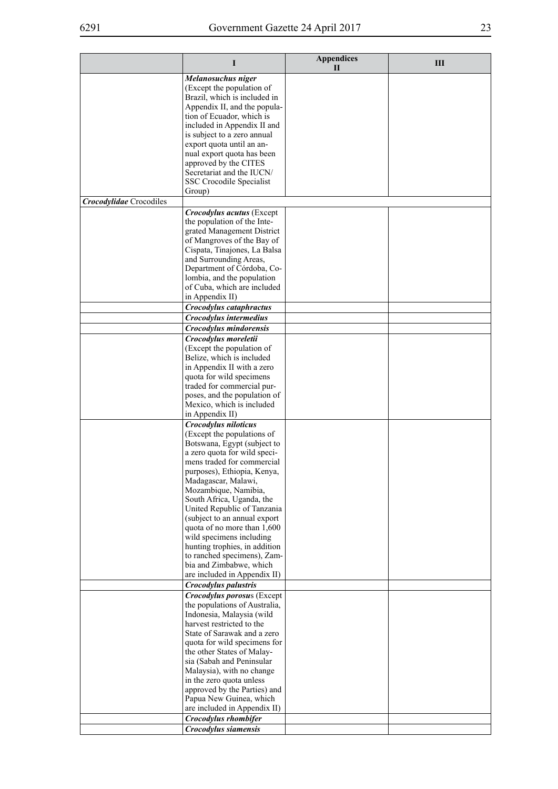|                                | I                                                            | <b>Appendices</b><br>Н | Ш |
|--------------------------------|--------------------------------------------------------------|------------------------|---|
|                                | Melanosuchus niger                                           |                        |   |
|                                | (Except the population of<br>Brazil, which is included in    |                        |   |
|                                | Appendix II, and the popula-                                 |                        |   |
|                                | tion of Ecuador, which is                                    |                        |   |
|                                | included in Appendix II and                                  |                        |   |
|                                | is subject to a zero annual                                  |                        |   |
|                                | export quota until an an-                                    |                        |   |
|                                | nual export quota has been<br>approved by the CITES          |                        |   |
|                                | Secretariat and the IUCN/                                    |                        |   |
|                                | SSC Crocodile Specialist                                     |                        |   |
|                                | Group)                                                       |                        |   |
| <b>Crocodylidae</b> Crocodiles |                                                              |                        |   |
|                                | <b>Crocodylus acutus</b> (Except                             |                        |   |
|                                | the population of the Inte-                                  |                        |   |
|                                | grated Management District<br>of Mangroves of the Bay of     |                        |   |
|                                | Cispata, Tinajones, La Balsa                                 |                        |   |
|                                | and Surrounding Areas,                                       |                        |   |
|                                | Department of Córdoba, Co-                                   |                        |   |
|                                | lombia, and the population                                   |                        |   |
|                                | of Cuba, which are included<br>in Appendix II)               |                        |   |
|                                | Crocodylus cataphractus                                      |                        |   |
|                                | Crocodylus intermedius                                       |                        |   |
|                                | Crocodylus mindorensis                                       |                        |   |
|                                | Crocodylus moreletii                                         |                        |   |
|                                | (Except the population of                                    |                        |   |
|                                | Belize, which is included                                    |                        |   |
|                                | in Appendix II with a zero<br>quota for wild specimens       |                        |   |
|                                | traded for commercial pur-                                   |                        |   |
|                                | poses, and the population of                                 |                        |   |
|                                | Mexico, which is included                                    |                        |   |
|                                | in Appendix II)                                              |                        |   |
|                                | Crocodylus niloticus<br>(Except the populations of           |                        |   |
|                                | Botswana, Egypt (subject to                                  |                        |   |
|                                | a zero quota for wild speci-                                 |                        |   |
|                                | mens traded for commercial                                   |                        |   |
|                                | purposes), Ethiopia, Kenya,                                  |                        |   |
|                                | Madagascar, Malawi,<br>Mozambique, Namibia,                  |                        |   |
|                                | South Africa, Uganda, the                                    |                        |   |
|                                | United Republic of Tanzania                                  |                        |   |
|                                | (subject to an annual export                                 |                        |   |
|                                | quota of no more than 1,600                                  |                        |   |
|                                | wild specimens including                                     |                        |   |
|                                | hunting trophies, in addition<br>to ranched specimens), Zam- |                        |   |
|                                | bia and Zimbabwe, which                                      |                        |   |
|                                | are included in Appendix II)                                 |                        |   |
|                                | <b>Crocodylus palustris</b>                                  |                        |   |
|                                | Crocodylus porosus (Except                                   |                        |   |
|                                | the populations of Australia,<br>Indonesia, Malaysia (wild   |                        |   |
|                                | harvest restricted to the                                    |                        |   |
|                                | State of Sarawak and a zero                                  |                        |   |
|                                | quota for wild specimens for                                 |                        |   |
|                                | the other States of Malay-                                   |                        |   |
|                                | sia (Sabah and Peninsular<br>Malaysia), with no change       |                        |   |
|                                | in the zero quota unless                                     |                        |   |
|                                | approved by the Parties) and                                 |                        |   |
|                                | Papua New Guinea, which                                      |                        |   |
|                                | are included in Appendix II)                                 |                        |   |
|                                | Crocodylus rhombifer                                         |                        |   |
|                                | Crocodylus siamensis                                         |                        |   |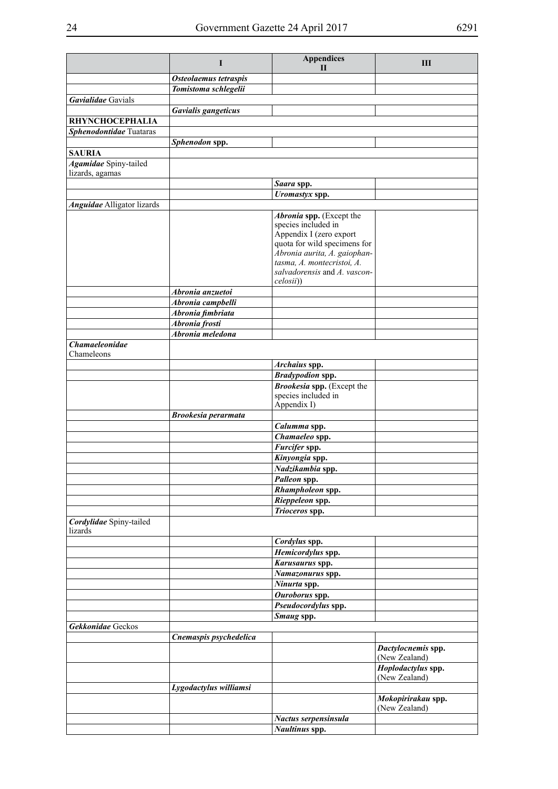|                                   | I                                   | <b>Appendices</b>                              | Ш                                   |
|-----------------------------------|-------------------------------------|------------------------------------------------|-------------------------------------|
|                                   |                                     | $\mathbf{H}$                                   |                                     |
|                                   | Osteolaemus tetraspis               |                                                |                                     |
| Gavialidae Gavials                | Tomistoma schlegelii                |                                                |                                     |
|                                   | Gavialis gangeticus                 |                                                |                                     |
| <b>RHYNCHOCEPHALIA</b>            |                                     |                                                |                                     |
| Sphenodontidae Tuataras           |                                     |                                                |                                     |
|                                   | Sphenodon spp.                      |                                                |                                     |
| <b>SAURIA</b>                     |                                     |                                                |                                     |
| <b>Agamidae</b> Spiny-tailed      |                                     |                                                |                                     |
| lizards, agamas                   |                                     |                                                |                                     |
|                                   |                                     | Saara spp.                                     |                                     |
|                                   |                                     | Uromastyx spp.                                 |                                     |
| <b>Anguidae</b> Alligator lizards |                                     |                                                |                                     |
|                                   |                                     | Abronia spp. (Except the                       |                                     |
|                                   |                                     | species included in<br>Appendix I (zero export |                                     |
|                                   |                                     | quota for wild specimens for                   |                                     |
|                                   |                                     | Abronia aurita, A. gaiophan-                   |                                     |
|                                   |                                     | tasma, A. montecristoi, A.                     |                                     |
|                                   |                                     | salvadorensis and A. vascon-                   |                                     |
|                                   |                                     | celosii))                                      |                                     |
|                                   | Abronia anzuetoi                    |                                                |                                     |
|                                   | Abronia campbelli                   |                                                |                                     |
|                                   | Abronia fimbriata<br>Abronia frosti |                                                |                                     |
|                                   | Abronia meledona                    |                                                |                                     |
| Chamaeleonidae                    |                                     |                                                |                                     |
| Chameleons                        |                                     |                                                |                                     |
|                                   |                                     | Archaius spp.                                  |                                     |
|                                   |                                     | <b>Bradypodion spp.</b>                        |                                     |
|                                   |                                     | Brookesia spp. (Except the                     |                                     |
|                                   |                                     | species included in                            |                                     |
|                                   |                                     | Appendix I)                                    |                                     |
|                                   | <b>Brookesia perarmata</b>          |                                                |                                     |
|                                   |                                     | Calumma spp.                                   |                                     |
|                                   |                                     | Chamaeleo spp.                                 |                                     |
|                                   |                                     | Furcifer spp.                                  |                                     |
|                                   |                                     | Kinyongia spp.                                 |                                     |
|                                   |                                     | Nadzikambia spp.                               |                                     |
|                                   |                                     | Palleon spp.                                   |                                     |
|                                   |                                     | Rhampholeon spp.                               |                                     |
|                                   |                                     | Rieppeleon spp.                                |                                     |
| Cordylidae Spiny-tailed           |                                     | Trioceros spp.                                 |                                     |
| lizards                           |                                     |                                                |                                     |
|                                   |                                     | Cordylus spp.                                  |                                     |
|                                   |                                     | Hemicordylus spp.                              |                                     |
|                                   |                                     | Karusaurus spp.                                |                                     |
|                                   |                                     | Namazonurus spp.                               |                                     |
|                                   |                                     | Ninurta spp.                                   |                                     |
|                                   |                                     | Ouroborus spp.                                 |                                     |
|                                   |                                     | Pseudocordylus spp.                            |                                     |
|                                   |                                     | Smaug spp.                                     |                                     |
| Gekkonidae Geckos                 |                                     |                                                |                                     |
|                                   | Cnemaspis psychedelica              |                                                |                                     |
|                                   |                                     |                                                | Dactylocnemis spp.                  |
|                                   |                                     |                                                | (New Zealand)                       |
|                                   |                                     |                                                | Hoplodactylus spp.<br>(New Zealand) |
|                                   | Lygodactylus williamsi              |                                                |                                     |
|                                   |                                     |                                                | Mokopirirakau spp.                  |
|                                   |                                     |                                                | (New Zealand)                       |
|                                   |                                     | Nactus serpensinsula                           |                                     |
|                                   |                                     | Naultinus spp.                                 |                                     |
|                                   |                                     |                                                |                                     |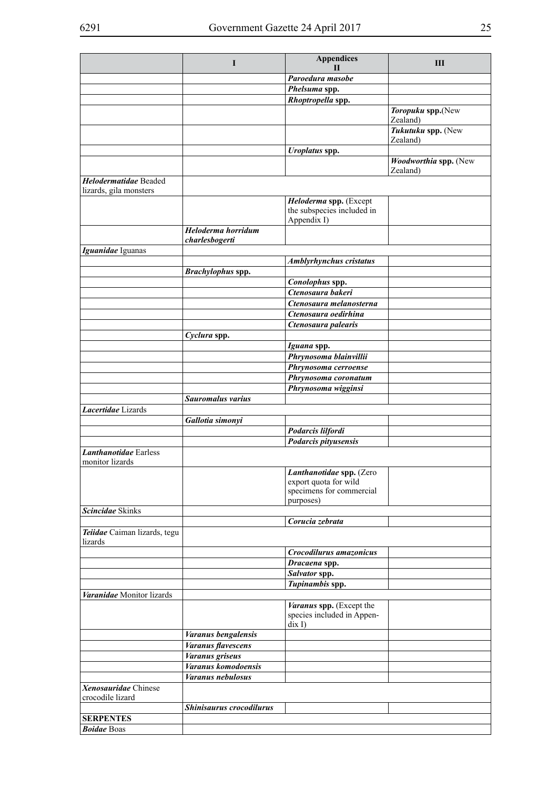|                                                 | I                                    | <b>Appendices</b><br>$\mathbf{H}$                                                | Ш                                 |
|-------------------------------------------------|--------------------------------------|----------------------------------------------------------------------------------|-----------------------------------|
|                                                 |                                      | Paroedura masobe                                                                 |                                   |
|                                                 |                                      |                                                                                  |                                   |
|                                                 |                                      | Phelsuma spp.<br>Rhoptropella spp.                                               |                                   |
|                                                 |                                      |                                                                                  | Toropuku spp.(New                 |
|                                                 |                                      |                                                                                  | Zealand)                          |
|                                                 |                                      |                                                                                  | Tukutuku spp. (New<br>Zealand)    |
|                                                 |                                      | <b>Uroplatus</b> spp.                                                            |                                   |
|                                                 |                                      |                                                                                  | Woodworthia spp. (New<br>Zealand) |
| Helodermatidae Beaded<br>lizards, gila monsters |                                      |                                                                                  |                                   |
|                                                 |                                      | Heloderma spp. (Except                                                           |                                   |
|                                                 |                                      | the subspecies included in<br>Appendix I)                                        |                                   |
|                                                 | Heloderma horridum<br>charlesbogerti |                                                                                  |                                   |
| Iguanidae Iguanas                               |                                      |                                                                                  |                                   |
|                                                 |                                      | <b>Amblyrhynchus cristatus</b>                                                   |                                   |
|                                                 | Brachylophus spp.                    |                                                                                  |                                   |
|                                                 |                                      | Conolophus spp.                                                                  |                                   |
|                                                 |                                      | Ctenosaura bakeri                                                                |                                   |
|                                                 |                                      | Ctenosaura melanosterna                                                          |                                   |
|                                                 |                                      | Ctenosaura oedirhina                                                             |                                   |
|                                                 |                                      | Ctenosaura palearis                                                              |                                   |
|                                                 | Cyclura spp.                         |                                                                                  |                                   |
|                                                 |                                      | Iguana spp.                                                                      |                                   |
|                                                 |                                      | Phrynosoma blainvillii                                                           |                                   |
|                                                 |                                      | Phrynosoma cerroense                                                             |                                   |
|                                                 |                                      | Phrynosoma coronatum                                                             |                                   |
|                                                 |                                      | Phrynosoma wigginsi                                                              |                                   |
|                                                 | <b>Sauromalus varius</b>             |                                                                                  |                                   |
| Lacertidae Lizards                              |                                      |                                                                                  |                                   |
|                                                 | Gallotia simonyi                     |                                                                                  |                                   |
|                                                 |                                      | Podarcis lilfordi                                                                |                                   |
|                                                 |                                      | Podarcis pityusensis                                                             |                                   |
| <b>Lanthanotidae</b> Earless<br>monitor lizards |                                      |                                                                                  |                                   |
|                                                 |                                      | Lanthanotidae spp. (Zero                                                         |                                   |
|                                                 |                                      | export quota for wild                                                            |                                   |
|                                                 |                                      | specimens for commercial                                                         |                                   |
|                                                 |                                      | purposes)                                                                        |                                   |
| Scincidae Skinks                                |                                      |                                                                                  |                                   |
|                                                 |                                      | Corucia zebrata                                                                  |                                   |
| Teiidae Caiman lizards, tegu<br>lizards         |                                      |                                                                                  |                                   |
|                                                 |                                      | Crocodilurus amazonicus                                                          |                                   |
|                                                 |                                      | Dracaena spp.                                                                    |                                   |
|                                                 |                                      | Salvator spp.                                                                    |                                   |
|                                                 |                                      | Tupinambis spp.                                                                  |                                   |
| Varanidae Monitor lizards                       |                                      |                                                                                  |                                   |
|                                                 |                                      | Varanus spp. (Except the<br>species included in Appen-<br>$\operatorname{dix} I$ |                                   |
|                                                 | Varanus bengalensis                  |                                                                                  |                                   |
|                                                 | <b>Varanus flavescens</b>            |                                                                                  |                                   |
|                                                 | <b>Varanus</b> griseus               |                                                                                  |                                   |
|                                                 | Varanus komodoensis                  |                                                                                  |                                   |
|                                                 | Varanus nebulosus                    |                                                                                  |                                   |
| Xenosauridae Chinese                            |                                      |                                                                                  |                                   |
| crocodile lizard                                | Shinisaurus crocodilurus             |                                                                                  |                                   |
| <b>SERPENTES</b>                                |                                      |                                                                                  |                                   |
|                                                 |                                      |                                                                                  |                                   |
| <b>Boidae</b> Boas                              |                                      |                                                                                  |                                   |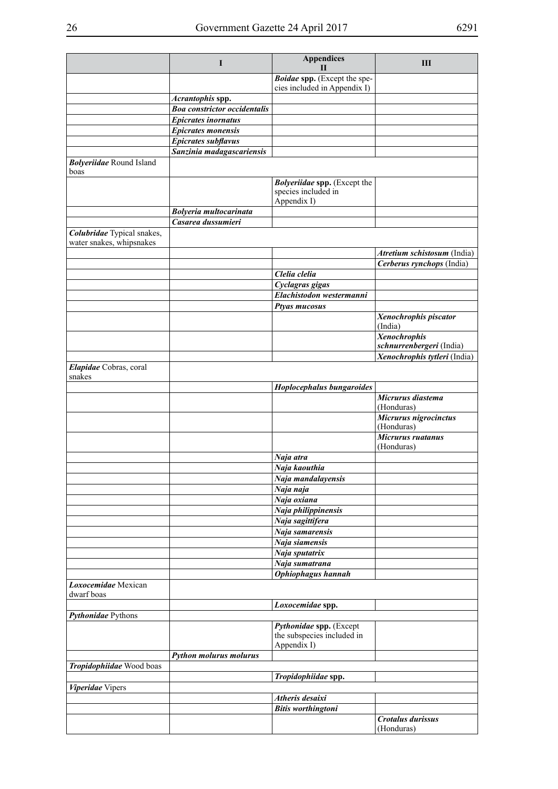|                                                        | $\bf{I}$                                                | <b>Appendices</b><br>Н                                | Ш                            |
|--------------------------------------------------------|---------------------------------------------------------|-------------------------------------------------------|------------------------------|
|                                                        |                                                         | Boidae spp. (Except the spe-                          |                              |
|                                                        |                                                         | cies included in Appendix I)                          |                              |
|                                                        | Acrantophis spp.                                        |                                                       |                              |
|                                                        | <b>Boa constrictor occidentalis</b>                     |                                                       |                              |
|                                                        | <b>Epicrates inornatus</b>                              |                                                       |                              |
|                                                        | <b>Epicrates monensis</b><br><b>Epicrates subflavus</b> |                                                       |                              |
|                                                        | Sanzinia madagascariensis                               |                                                       |                              |
| <b>Bolyeriidae</b> Round Island                        |                                                         |                                                       |                              |
| boas                                                   |                                                         |                                                       |                              |
|                                                        |                                                         | <b>Bolyeriidae spp.</b> (Except the                   |                              |
|                                                        |                                                         | species included in                                   |                              |
|                                                        |                                                         | Appendix I)                                           |                              |
|                                                        | <b>Bolyeria multocarinata</b>                           |                                                       |                              |
|                                                        | Casarea dussumieri                                      |                                                       |                              |
| Colubridae Typical snakes,<br>water snakes, whipsnakes |                                                         |                                                       |                              |
|                                                        |                                                         |                                                       | Atretium schistosum (India)  |
|                                                        |                                                         |                                                       | Cerberus rynchops (India)    |
|                                                        |                                                         | Clelia clelia                                         |                              |
|                                                        |                                                         | Cyclagras gigas                                       |                              |
|                                                        |                                                         | Elachistodon westermanni                              |                              |
|                                                        |                                                         | Ptyas mucosus                                         |                              |
|                                                        |                                                         |                                                       | Xenochrophis piscator        |
|                                                        |                                                         |                                                       | (India)                      |
|                                                        |                                                         |                                                       | <b>Xenochrophis</b>          |
|                                                        |                                                         |                                                       | schnurrenbergeri (India)     |
|                                                        |                                                         |                                                       | Xenochrophis tytleri (India) |
| Elapidae Cobras, coral<br>snakes                       |                                                         |                                                       |                              |
|                                                        |                                                         | Hoplocephalus bungaroides                             |                              |
|                                                        |                                                         |                                                       | Micrurus diastema            |
|                                                        |                                                         |                                                       | (Honduras)                   |
|                                                        |                                                         |                                                       | Micrurus nigrocinctus        |
|                                                        |                                                         |                                                       | (Honduras)                   |
|                                                        |                                                         |                                                       | $\overline{Microsoft}$       |
|                                                        |                                                         |                                                       | (Honduras)                   |
|                                                        |                                                         | Naja atra                                             |                              |
|                                                        |                                                         | Naja kaouthia<br>Naja mandalayensis                   |                              |
|                                                        |                                                         | Naja naja                                             |                              |
|                                                        |                                                         | Naja oxiana                                           |                              |
|                                                        |                                                         | Naja philippinensis                                   |                              |
|                                                        |                                                         | Naja sagittifera                                      |                              |
|                                                        |                                                         | Naja samarensis                                       |                              |
|                                                        |                                                         | Naja siamensis                                        |                              |
|                                                        |                                                         | Naja sputatrix                                        |                              |
|                                                        |                                                         | Naja sumatrana                                        |                              |
|                                                        |                                                         | <b>Ophiophagus hannah</b>                             |                              |
| Loxocemidae Mexican                                    |                                                         |                                                       |                              |
| dwarf boas                                             |                                                         |                                                       |                              |
|                                                        |                                                         | Loxocemidae spp.                                      |                              |
| Pythonidae Pythons                                     |                                                         |                                                       |                              |
|                                                        |                                                         | Pythonidae spp. (Except<br>the subspecies included in |                              |
|                                                        |                                                         | Appendix I)                                           |                              |
|                                                        | <b>Python molurus molurus</b>                           |                                                       |                              |
| Tropidophiidae Wood boas                               |                                                         |                                                       |                              |
|                                                        |                                                         | Tropidophiidae spp.                                   |                              |
| Viperidae Vipers                                       |                                                         |                                                       |                              |
|                                                        |                                                         | <b>Atheris desaixi</b>                                |                              |
|                                                        |                                                         | <b>Bitis worthingtoni</b>                             |                              |
|                                                        |                                                         |                                                       | Crotalus durissus            |
|                                                        |                                                         |                                                       | (Honduras)                   |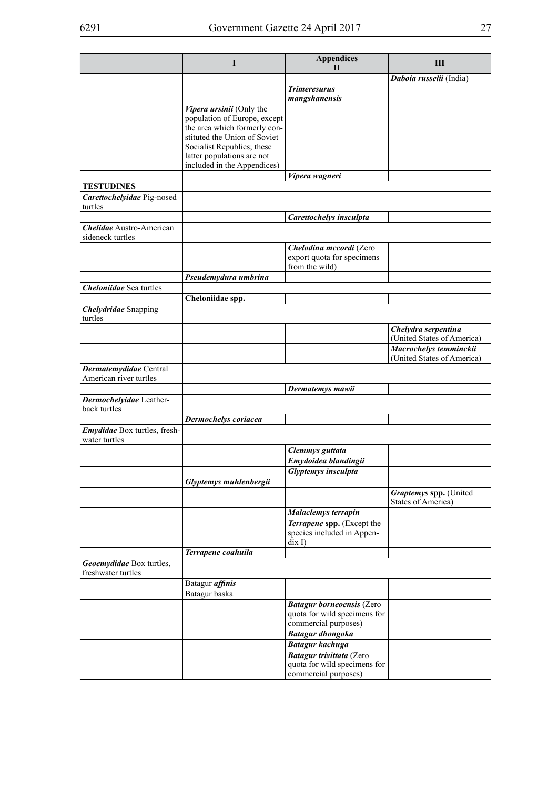|                                                     | I                                                                                                                                                                                                                   | <b>Appendices</b><br>Н                                                                   | Ш                                                    |
|-----------------------------------------------------|---------------------------------------------------------------------------------------------------------------------------------------------------------------------------------------------------------------------|------------------------------------------------------------------------------------------|------------------------------------------------------|
|                                                     |                                                                                                                                                                                                                     |                                                                                          | Daboia russelii (India)                              |
|                                                     |                                                                                                                                                                                                                     | <b>Trimeresurus</b><br>mangshanensis                                                     |                                                      |
|                                                     | Vipera ursinii (Only the<br>population of Europe, except<br>the area which formerly con-<br>stituted the Union of Soviet<br>Socialist Republics; these<br>latter populations are not<br>included in the Appendices) |                                                                                          |                                                      |
|                                                     |                                                                                                                                                                                                                     | Vipera wagneri                                                                           |                                                      |
| <b>TESTUDINES</b>                                   |                                                                                                                                                                                                                     |                                                                                          |                                                      |
| Carettochelyidae Pig-nosed<br>turtles               |                                                                                                                                                                                                                     |                                                                                          |                                                      |
|                                                     |                                                                                                                                                                                                                     | Carettochelys insculpta                                                                  |                                                      |
| <b>Chelidae</b> Austro-American<br>sideneck turtles |                                                                                                                                                                                                                     |                                                                                          |                                                      |
|                                                     |                                                                                                                                                                                                                     | Chelodina mccordi (Zero<br>export quota for specimens<br>from the wild)                  |                                                      |
|                                                     | Pseudemydura umbrina                                                                                                                                                                                                |                                                                                          |                                                      |
| <b>Cheloniidae</b> Sea turtles                      |                                                                                                                                                                                                                     |                                                                                          |                                                      |
|                                                     | Cheloniidae spp.                                                                                                                                                                                                    |                                                                                          |                                                      |
| <b>Chelydridae</b> Snapping<br>turtles              |                                                                                                                                                                                                                     |                                                                                          |                                                      |
|                                                     |                                                                                                                                                                                                                     |                                                                                          | Chelydra serpentina<br>(United States of America)    |
|                                                     |                                                                                                                                                                                                                     |                                                                                          | Macrochelys temminckii<br>(United States of America) |
| Dermatemydidae Central<br>American river turtles    |                                                                                                                                                                                                                     |                                                                                          |                                                      |
|                                                     |                                                                                                                                                                                                                     | Dermatemys mawii                                                                         |                                                      |
| Dermochelyidae Leather-<br>back turtles             |                                                                                                                                                                                                                     |                                                                                          |                                                      |
|                                                     | Dermochelys coriacea                                                                                                                                                                                                |                                                                                          |                                                      |
| Emydidae Box turtles, fresh-<br>water turtles       |                                                                                                                                                                                                                     |                                                                                          |                                                      |
|                                                     |                                                                                                                                                                                                                     | Clemmys guttata                                                                          |                                                      |
|                                                     |                                                                                                                                                                                                                     | Emydoidea blandingii                                                                     |                                                      |
|                                                     | Glyptemys muhlenbergii                                                                                                                                                                                              | Glyptemys insculpta                                                                      |                                                      |
|                                                     |                                                                                                                                                                                                                     |                                                                                          | Graptemys spp. (United<br><b>States of America)</b>  |
|                                                     |                                                                                                                                                                                                                     | Malaclemys terrapin                                                                      |                                                      |
|                                                     |                                                                                                                                                                                                                     | Terrapene spp. (Except the<br>species included in Appen-<br>$\operatorname{dix} I$       |                                                      |
|                                                     | Terrapene coahuila                                                                                                                                                                                                  |                                                                                          |                                                      |
| Geoemydidae Box turtles,<br>freshwater turtles      |                                                                                                                                                                                                                     |                                                                                          |                                                      |
|                                                     | Batagur affinis                                                                                                                                                                                                     |                                                                                          |                                                      |
|                                                     | Batagur baska                                                                                                                                                                                                       |                                                                                          |                                                      |
|                                                     |                                                                                                                                                                                                                     | <b>Batagur borneoensis (Zero</b><br>quota for wild specimens for<br>commercial purposes) |                                                      |
|                                                     |                                                                                                                                                                                                                     | <b>Batagur</b> dhongoka                                                                  |                                                      |
|                                                     |                                                                                                                                                                                                                     | <b>Batagur</b> kachuga                                                                   |                                                      |
|                                                     |                                                                                                                                                                                                                     | Batagur trivittata (Zero<br>quota for wild specimens for<br>commercial purposes)         |                                                      |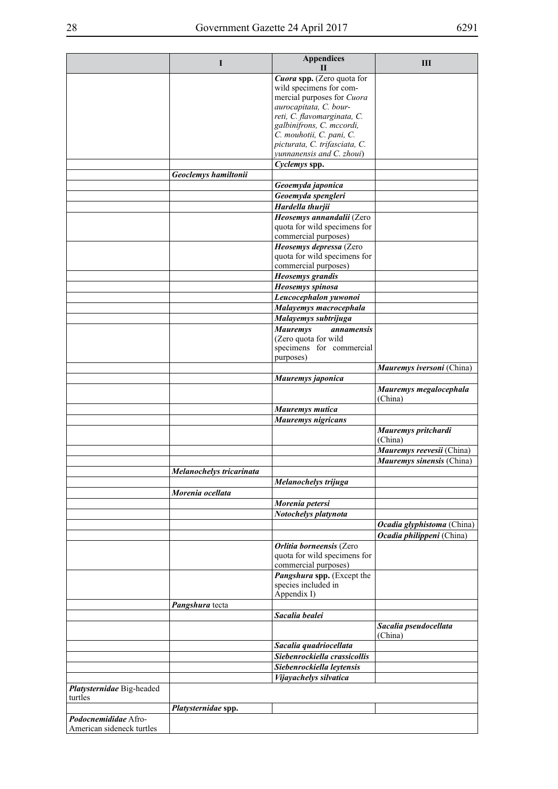|                           | I                        | <b>Appendices</b><br>Н                                | Ш                                                       |
|---------------------------|--------------------------|-------------------------------------------------------|---------------------------------------------------------|
|                           |                          | Cuora spp. (Zero quota for                            |                                                         |
|                           |                          | wild specimens for com-                               |                                                         |
|                           |                          | mercial purposes for Cuora                            |                                                         |
|                           |                          | aurocapitata, C. bour-<br>reti, C. flavomarginata, C. |                                                         |
|                           |                          | galbinifrons, C. mccordi,                             |                                                         |
|                           |                          | C. mouhotii, C. pani, C.                              |                                                         |
|                           |                          | picturata, C. trifasciata, C.                         |                                                         |
|                           |                          | yunnanensis and C. zhoui)                             |                                                         |
|                           | Geoclemys hamiltonii     | Cyclemys spp.                                         |                                                         |
|                           |                          | Geoemyda japonica                                     |                                                         |
|                           |                          | Geoemyda spengleri                                    |                                                         |
|                           |                          | Hardella thurjii                                      |                                                         |
|                           |                          | Heosemys annandalii (Zero                             |                                                         |
|                           |                          | quota for wild specimens for                          |                                                         |
|                           |                          | commercial purposes)                                  |                                                         |
|                           |                          | Heosemys depressa (Zero                               |                                                         |
|                           |                          | quota for wild specimens for<br>commercial purposes)  |                                                         |
|                           |                          | <b>Heosemys</b> grandis                               |                                                         |
|                           |                          | Heosemys spinosa                                      |                                                         |
|                           |                          | Leucocephalon yuwonoi                                 |                                                         |
|                           |                          | Malayemys macrocephala                                |                                                         |
|                           |                          | Malayemys subtrijuga                                  |                                                         |
|                           |                          | <b>Mauremys</b><br><i>annamensis</i>                  |                                                         |
|                           |                          | (Zero quota for wild                                  |                                                         |
|                           |                          | specimens for commercial                              |                                                         |
|                           |                          | purposes)                                             |                                                         |
|                           |                          |                                                       | Mauremys iversoni (China)                               |
|                           |                          | Mauremys japonica                                     |                                                         |
|                           |                          |                                                       | Mauremys megalocephala<br>(China)                       |
|                           |                          | Mauremys mutica                                       |                                                         |
|                           |                          | Mauremys nigricans                                    |                                                         |
|                           |                          |                                                       | Mauremys pritchardi<br>(China)                          |
|                           |                          |                                                       | Mauremys reevesii (China)                               |
|                           |                          |                                                       | Mauremys sinensis (China)                               |
|                           | Melanochelys tricarinata |                                                       |                                                         |
|                           |                          | Melanochelys trijuga                                  |                                                         |
|                           | Morenia ocellata         |                                                       |                                                         |
|                           |                          | Morenia petersi                                       |                                                         |
|                           |                          | Notochelys platynota                                  |                                                         |
|                           |                          |                                                       | Ocadia glyphistoma (China)<br>Ocadia philippeni (China) |
|                           |                          | <b>Orlitia borneensis (Zero</b>                       |                                                         |
|                           |                          | quota for wild specimens for<br>commercial purposes)  |                                                         |
|                           |                          | Pangshura spp. (Except the                            |                                                         |
|                           |                          | species included in<br>Appendix I)                    |                                                         |
|                           | Pangshura tecta          |                                                       |                                                         |
|                           |                          | Sacalia bealei                                        |                                                         |
|                           |                          |                                                       | Sacalia pseudocellata<br>(China)                        |
|                           |                          | Sacalia quadriocellata                                |                                                         |
|                           |                          | Siebenrockiella crassicollis                          |                                                         |
|                           |                          | Siebenrockiella leytensis                             |                                                         |
|                           |                          | Vijayachelys silvatica                                |                                                         |
| Platysternidae Big-headed |                          |                                                       |                                                         |
| turtles                   |                          |                                                       |                                                         |
| Podocnemididae Afro-      | Platysternidae spp.      |                                                       |                                                         |
| American sideneck turtles |                          |                                                       |                                                         |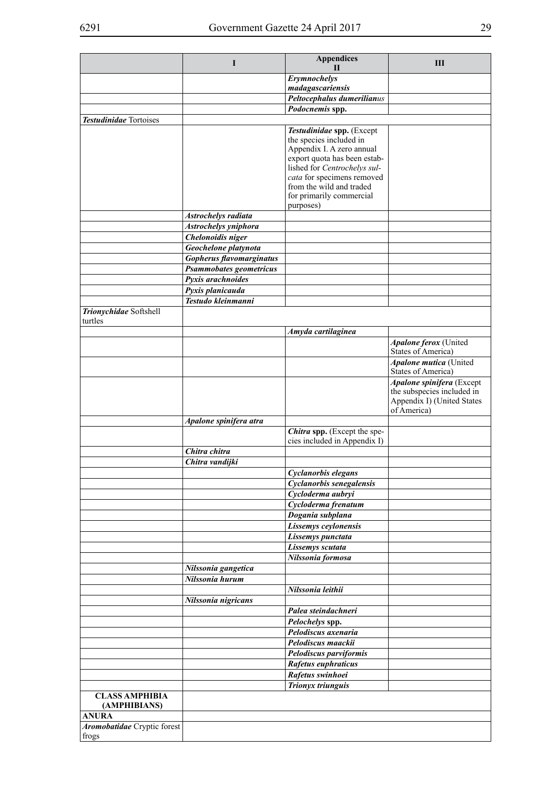|                                       | I                               | <b>Appendices</b><br>$\mathbf{H}$                                                                                 | Ш                                                                                     |
|---------------------------------------|---------------------------------|-------------------------------------------------------------------------------------------------------------------|---------------------------------------------------------------------------------------|
|                                       |                                 | Erymnochelys<br>madagascariensis                                                                                  |                                                                                       |
|                                       |                                 | Peltocephalus dumerilianus                                                                                        |                                                                                       |
|                                       |                                 | Podocnemis spp.                                                                                                   |                                                                                       |
| <b>Testudinidae</b> Tortoises         |                                 |                                                                                                                   |                                                                                       |
|                                       |                                 | Testudinidae spp. (Except<br>the species included in<br>Appendix I. A zero annual<br>export quota has been estab- |                                                                                       |
|                                       |                                 | lished for Centrochelys sul-<br>cata for specimens removed<br>from the wild and traded                            |                                                                                       |
|                                       |                                 | for primarily commercial<br>purposes)                                                                             |                                                                                       |
|                                       | Astrochelys radiata             |                                                                                                                   |                                                                                       |
|                                       | Astrochelys yniphora            |                                                                                                                   |                                                                                       |
|                                       | Chelonoidis niger               |                                                                                                                   |                                                                                       |
|                                       | Geochelone platynota            |                                                                                                                   |                                                                                       |
|                                       | <b>Gopherus flavomarginatus</b> |                                                                                                                   |                                                                                       |
|                                       | Psammobates geometricus         |                                                                                                                   |                                                                                       |
|                                       | Pyxis arachnoides               |                                                                                                                   |                                                                                       |
|                                       | Pyxis planicauda                |                                                                                                                   |                                                                                       |
| Trionychidae Softshell<br>turtles     | Testudo kleinmanni              |                                                                                                                   |                                                                                       |
|                                       |                                 | Amyda cartilaginea                                                                                                |                                                                                       |
|                                       |                                 |                                                                                                                   | Apalone ferox (United<br><b>States of America)</b>                                    |
|                                       |                                 |                                                                                                                   | Apalone mutica (United<br>States of America)                                          |
|                                       |                                 |                                                                                                                   | Apalone spinifera (Except<br>the subspecies included in<br>Appendix I) (United States |
|                                       | Apalone spinifera atra          |                                                                                                                   | of America)                                                                           |
|                                       |                                 | Chitra spp. (Except the spe-                                                                                      |                                                                                       |
|                                       | Chitra chitra                   | cies included in Appendix I)                                                                                      |                                                                                       |
|                                       |                                 |                                                                                                                   |                                                                                       |
|                                       | Chitra vandijki                 |                                                                                                                   |                                                                                       |
|                                       |                                 | Cyclanorbis elegans                                                                                               |                                                                                       |
|                                       |                                 | Cyclanorbis senegalensis<br>Cycloderma aubryi                                                                     |                                                                                       |
|                                       |                                 | Cycloderma frenatum                                                                                               |                                                                                       |
|                                       |                                 | Dogania subplana                                                                                                  |                                                                                       |
|                                       |                                 | Lissemys ceylonensis                                                                                              |                                                                                       |
|                                       |                                 | Lissemys punctata                                                                                                 |                                                                                       |
|                                       |                                 | Lissemys scutata                                                                                                  |                                                                                       |
|                                       |                                 | Nilssonia formosa                                                                                                 |                                                                                       |
|                                       | Nilssonia gangetica             |                                                                                                                   |                                                                                       |
|                                       | Nilssonia hurum                 |                                                                                                                   |                                                                                       |
|                                       | Nilssonia nigricans             | Nilssonia leithii                                                                                                 |                                                                                       |
|                                       |                                 | Palea steindachneri                                                                                               |                                                                                       |
|                                       |                                 | Pelochelys spp.                                                                                                   |                                                                                       |
|                                       |                                 | Pelodiscus axenaria                                                                                               |                                                                                       |
|                                       |                                 | Pelodiscus maackii                                                                                                |                                                                                       |
|                                       |                                 | Pelodiscus parviformis                                                                                            |                                                                                       |
|                                       |                                 | Rafetus euphraticus                                                                                               |                                                                                       |
|                                       |                                 | Rafetus swinhoei                                                                                                  |                                                                                       |
|                                       |                                 | Trionyx triunguis                                                                                                 |                                                                                       |
| <b>CLASS AMPHIBIA</b><br>(AMPHIBIANS) |                                 |                                                                                                                   |                                                                                       |
| <b>ANURA</b>                          |                                 |                                                                                                                   |                                                                                       |
| Aromobatidae Cryptic forest           |                                 |                                                                                                                   |                                                                                       |
| frogs                                 |                                 |                                                                                                                   |                                                                                       |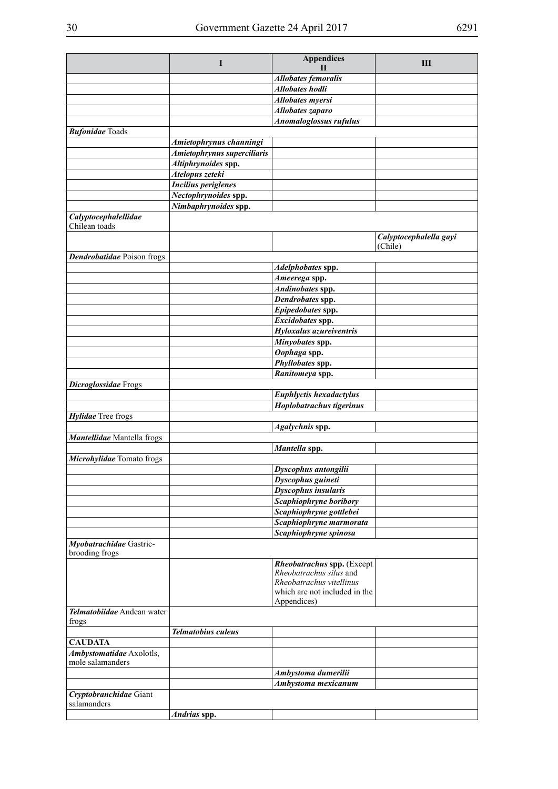| <b>Allobates femoralis</b><br><b>Allobates</b> hodli<br><b>Allobates myersi</b><br>Allobates zaparo<br><b>Anomaloglossus rufulus</b><br>Amietophrynus channingi<br>Amietophrynus superciliaris<br>Altiphrynoides spp.<br>Atelopus zeteki<br><b>Incilius periglenes</b><br>Nectophrynoides spp.<br>Nimbaphrynoides spp.<br>Calyptocephalellidae<br>Chilean toads<br>Calyptocephalella gayi<br>(Chile)<br>Dendrobatidae Poison frogs<br>Adelphobates spp.<br>Ameerega spp.<br>Andinobates spp.<br>Dendrobates spp.<br>Epipedobates spp.<br>Excidobates spp.<br>Hyloxalus azureiventris<br>Minyobates spp.<br>Oophaga spp.<br>Phyllobates spp.<br>Ranitomeya spp.<br><b>Euphlyctis hexadactylus</b><br>Hoplobatrachus tigerinus<br>Hylidae Tree frogs<br>Agalychnis spp.<br>Mantellidae Mantella frogs<br>Mantella spp.<br>Microhylidae Tomato frogs<br>Dyscophus antongilii<br>$\overline{D}$ yscophus guineti<br><b>Dyscophus insularis</b><br>Scaphiophryne boribory<br>Scaphiophryne gottlebei<br>Scaphiophryne marmorata<br>Scaphiophryne spinosa<br>Myobatrachidae Gastric-<br>Rheobatrachus spp. (Except<br>Rheobatrachus silus and<br>Rheobatrachus vitellinus<br>which are not included in the<br>Appendices)<br>Telmatobiidae Andean water<br>frogs<br><b>Telmatobius culeus</b><br>Ambystomatidae Axolotls,<br>Ambystoma dumerilii<br>Ambystoma mexicanum<br>Cryptobranchidae Giant<br>Andrias spp. |                        | I | <b>Appendices</b> | Ш |
|-------------------------------------------------------------------------------------------------------------------------------------------------------------------------------------------------------------------------------------------------------------------------------------------------------------------------------------------------------------------------------------------------------------------------------------------------------------------------------------------------------------------------------------------------------------------------------------------------------------------------------------------------------------------------------------------------------------------------------------------------------------------------------------------------------------------------------------------------------------------------------------------------------------------------------------------------------------------------------------------------------------------------------------------------------------------------------------------------------------------------------------------------------------------------------------------------------------------------------------------------------------------------------------------------------------------------------------------------------------------------------------------------------------|------------------------|---|-------------------|---|
|                                                                                                                                                                                                                                                                                                                                                                                                                                                                                                                                                                                                                                                                                                                                                                                                                                                                                                                                                                                                                                                                                                                                                                                                                                                                                                                                                                                                             |                        |   | $\mathbf{H}$      |   |
|                                                                                                                                                                                                                                                                                                                                                                                                                                                                                                                                                                                                                                                                                                                                                                                                                                                                                                                                                                                                                                                                                                                                                                                                                                                                                                                                                                                                             |                        |   |                   |   |
|                                                                                                                                                                                                                                                                                                                                                                                                                                                                                                                                                                                                                                                                                                                                                                                                                                                                                                                                                                                                                                                                                                                                                                                                                                                                                                                                                                                                             |                        |   |                   |   |
|                                                                                                                                                                                                                                                                                                                                                                                                                                                                                                                                                                                                                                                                                                                                                                                                                                                                                                                                                                                                                                                                                                                                                                                                                                                                                                                                                                                                             |                        |   |                   |   |
|                                                                                                                                                                                                                                                                                                                                                                                                                                                                                                                                                                                                                                                                                                                                                                                                                                                                                                                                                                                                                                                                                                                                                                                                                                                                                                                                                                                                             |                        |   |                   |   |
|                                                                                                                                                                                                                                                                                                                                                                                                                                                                                                                                                                                                                                                                                                                                                                                                                                                                                                                                                                                                                                                                                                                                                                                                                                                                                                                                                                                                             |                        |   |                   |   |
|                                                                                                                                                                                                                                                                                                                                                                                                                                                                                                                                                                                                                                                                                                                                                                                                                                                                                                                                                                                                                                                                                                                                                                                                                                                                                                                                                                                                             | <b>Bufonidae</b> Toads |   |                   |   |
|                                                                                                                                                                                                                                                                                                                                                                                                                                                                                                                                                                                                                                                                                                                                                                                                                                                                                                                                                                                                                                                                                                                                                                                                                                                                                                                                                                                                             |                        |   |                   |   |
|                                                                                                                                                                                                                                                                                                                                                                                                                                                                                                                                                                                                                                                                                                                                                                                                                                                                                                                                                                                                                                                                                                                                                                                                                                                                                                                                                                                                             |                        |   |                   |   |
|                                                                                                                                                                                                                                                                                                                                                                                                                                                                                                                                                                                                                                                                                                                                                                                                                                                                                                                                                                                                                                                                                                                                                                                                                                                                                                                                                                                                             |                        |   |                   |   |
|                                                                                                                                                                                                                                                                                                                                                                                                                                                                                                                                                                                                                                                                                                                                                                                                                                                                                                                                                                                                                                                                                                                                                                                                                                                                                                                                                                                                             |                        |   |                   |   |
|                                                                                                                                                                                                                                                                                                                                                                                                                                                                                                                                                                                                                                                                                                                                                                                                                                                                                                                                                                                                                                                                                                                                                                                                                                                                                                                                                                                                             |                        |   |                   |   |
|                                                                                                                                                                                                                                                                                                                                                                                                                                                                                                                                                                                                                                                                                                                                                                                                                                                                                                                                                                                                                                                                                                                                                                                                                                                                                                                                                                                                             |                        |   |                   |   |
|                                                                                                                                                                                                                                                                                                                                                                                                                                                                                                                                                                                                                                                                                                                                                                                                                                                                                                                                                                                                                                                                                                                                                                                                                                                                                                                                                                                                             |                        |   |                   |   |
|                                                                                                                                                                                                                                                                                                                                                                                                                                                                                                                                                                                                                                                                                                                                                                                                                                                                                                                                                                                                                                                                                                                                                                                                                                                                                                                                                                                                             |                        |   |                   |   |
|                                                                                                                                                                                                                                                                                                                                                                                                                                                                                                                                                                                                                                                                                                                                                                                                                                                                                                                                                                                                                                                                                                                                                                                                                                                                                                                                                                                                             |                        |   |                   |   |
|                                                                                                                                                                                                                                                                                                                                                                                                                                                                                                                                                                                                                                                                                                                                                                                                                                                                                                                                                                                                                                                                                                                                                                                                                                                                                                                                                                                                             |                        |   |                   |   |
|                                                                                                                                                                                                                                                                                                                                                                                                                                                                                                                                                                                                                                                                                                                                                                                                                                                                                                                                                                                                                                                                                                                                                                                                                                                                                                                                                                                                             |                        |   |                   |   |
|                                                                                                                                                                                                                                                                                                                                                                                                                                                                                                                                                                                                                                                                                                                                                                                                                                                                                                                                                                                                                                                                                                                                                                                                                                                                                                                                                                                                             |                        |   |                   |   |
|                                                                                                                                                                                                                                                                                                                                                                                                                                                                                                                                                                                                                                                                                                                                                                                                                                                                                                                                                                                                                                                                                                                                                                                                                                                                                                                                                                                                             |                        |   |                   |   |
|                                                                                                                                                                                                                                                                                                                                                                                                                                                                                                                                                                                                                                                                                                                                                                                                                                                                                                                                                                                                                                                                                                                                                                                                                                                                                                                                                                                                             |                        |   |                   |   |
|                                                                                                                                                                                                                                                                                                                                                                                                                                                                                                                                                                                                                                                                                                                                                                                                                                                                                                                                                                                                                                                                                                                                                                                                                                                                                                                                                                                                             |                        |   |                   |   |
|                                                                                                                                                                                                                                                                                                                                                                                                                                                                                                                                                                                                                                                                                                                                                                                                                                                                                                                                                                                                                                                                                                                                                                                                                                                                                                                                                                                                             |                        |   |                   |   |
|                                                                                                                                                                                                                                                                                                                                                                                                                                                                                                                                                                                                                                                                                                                                                                                                                                                                                                                                                                                                                                                                                                                                                                                                                                                                                                                                                                                                             |                        |   |                   |   |
|                                                                                                                                                                                                                                                                                                                                                                                                                                                                                                                                                                                                                                                                                                                                                                                                                                                                                                                                                                                                                                                                                                                                                                                                                                                                                                                                                                                                             |                        |   |                   |   |
|                                                                                                                                                                                                                                                                                                                                                                                                                                                                                                                                                                                                                                                                                                                                                                                                                                                                                                                                                                                                                                                                                                                                                                                                                                                                                                                                                                                                             |                        |   |                   |   |
|                                                                                                                                                                                                                                                                                                                                                                                                                                                                                                                                                                                                                                                                                                                                                                                                                                                                                                                                                                                                                                                                                                                                                                                                                                                                                                                                                                                                             |                        |   |                   |   |
|                                                                                                                                                                                                                                                                                                                                                                                                                                                                                                                                                                                                                                                                                                                                                                                                                                                                                                                                                                                                                                                                                                                                                                                                                                                                                                                                                                                                             |                        |   |                   |   |
|                                                                                                                                                                                                                                                                                                                                                                                                                                                                                                                                                                                                                                                                                                                                                                                                                                                                                                                                                                                                                                                                                                                                                                                                                                                                                                                                                                                                             |                        |   |                   |   |
|                                                                                                                                                                                                                                                                                                                                                                                                                                                                                                                                                                                                                                                                                                                                                                                                                                                                                                                                                                                                                                                                                                                                                                                                                                                                                                                                                                                                             |                        |   |                   |   |
|                                                                                                                                                                                                                                                                                                                                                                                                                                                                                                                                                                                                                                                                                                                                                                                                                                                                                                                                                                                                                                                                                                                                                                                                                                                                                                                                                                                                             |                        |   |                   |   |
|                                                                                                                                                                                                                                                                                                                                                                                                                                                                                                                                                                                                                                                                                                                                                                                                                                                                                                                                                                                                                                                                                                                                                                                                                                                                                                                                                                                                             | Dicroglossidae Frogs   |   |                   |   |
|                                                                                                                                                                                                                                                                                                                                                                                                                                                                                                                                                                                                                                                                                                                                                                                                                                                                                                                                                                                                                                                                                                                                                                                                                                                                                                                                                                                                             |                        |   |                   |   |
|                                                                                                                                                                                                                                                                                                                                                                                                                                                                                                                                                                                                                                                                                                                                                                                                                                                                                                                                                                                                                                                                                                                                                                                                                                                                                                                                                                                                             |                        |   |                   |   |
|                                                                                                                                                                                                                                                                                                                                                                                                                                                                                                                                                                                                                                                                                                                                                                                                                                                                                                                                                                                                                                                                                                                                                                                                                                                                                                                                                                                                             |                        |   |                   |   |
|                                                                                                                                                                                                                                                                                                                                                                                                                                                                                                                                                                                                                                                                                                                                                                                                                                                                                                                                                                                                                                                                                                                                                                                                                                                                                                                                                                                                             |                        |   |                   |   |
|                                                                                                                                                                                                                                                                                                                                                                                                                                                                                                                                                                                                                                                                                                                                                                                                                                                                                                                                                                                                                                                                                                                                                                                                                                                                                                                                                                                                             |                        |   |                   |   |
|                                                                                                                                                                                                                                                                                                                                                                                                                                                                                                                                                                                                                                                                                                                                                                                                                                                                                                                                                                                                                                                                                                                                                                                                                                                                                                                                                                                                             |                        |   |                   |   |
|                                                                                                                                                                                                                                                                                                                                                                                                                                                                                                                                                                                                                                                                                                                                                                                                                                                                                                                                                                                                                                                                                                                                                                                                                                                                                                                                                                                                             |                        |   |                   |   |
|                                                                                                                                                                                                                                                                                                                                                                                                                                                                                                                                                                                                                                                                                                                                                                                                                                                                                                                                                                                                                                                                                                                                                                                                                                                                                                                                                                                                             |                        |   |                   |   |
|                                                                                                                                                                                                                                                                                                                                                                                                                                                                                                                                                                                                                                                                                                                                                                                                                                                                                                                                                                                                                                                                                                                                                                                                                                                                                                                                                                                                             |                        |   |                   |   |
|                                                                                                                                                                                                                                                                                                                                                                                                                                                                                                                                                                                                                                                                                                                                                                                                                                                                                                                                                                                                                                                                                                                                                                                                                                                                                                                                                                                                             |                        |   |                   |   |
|                                                                                                                                                                                                                                                                                                                                                                                                                                                                                                                                                                                                                                                                                                                                                                                                                                                                                                                                                                                                                                                                                                                                                                                                                                                                                                                                                                                                             |                        |   |                   |   |
|                                                                                                                                                                                                                                                                                                                                                                                                                                                                                                                                                                                                                                                                                                                                                                                                                                                                                                                                                                                                                                                                                                                                                                                                                                                                                                                                                                                                             |                        |   |                   |   |
|                                                                                                                                                                                                                                                                                                                                                                                                                                                                                                                                                                                                                                                                                                                                                                                                                                                                                                                                                                                                                                                                                                                                                                                                                                                                                                                                                                                                             |                        |   |                   |   |
|                                                                                                                                                                                                                                                                                                                                                                                                                                                                                                                                                                                                                                                                                                                                                                                                                                                                                                                                                                                                                                                                                                                                                                                                                                                                                                                                                                                                             |                        |   |                   |   |
|                                                                                                                                                                                                                                                                                                                                                                                                                                                                                                                                                                                                                                                                                                                                                                                                                                                                                                                                                                                                                                                                                                                                                                                                                                                                                                                                                                                                             |                        |   |                   |   |
|                                                                                                                                                                                                                                                                                                                                                                                                                                                                                                                                                                                                                                                                                                                                                                                                                                                                                                                                                                                                                                                                                                                                                                                                                                                                                                                                                                                                             | brooding frogs         |   |                   |   |
|                                                                                                                                                                                                                                                                                                                                                                                                                                                                                                                                                                                                                                                                                                                                                                                                                                                                                                                                                                                                                                                                                                                                                                                                                                                                                                                                                                                                             |                        |   |                   |   |
|                                                                                                                                                                                                                                                                                                                                                                                                                                                                                                                                                                                                                                                                                                                                                                                                                                                                                                                                                                                                                                                                                                                                                                                                                                                                                                                                                                                                             |                        |   |                   |   |
|                                                                                                                                                                                                                                                                                                                                                                                                                                                                                                                                                                                                                                                                                                                                                                                                                                                                                                                                                                                                                                                                                                                                                                                                                                                                                                                                                                                                             |                        |   |                   |   |
|                                                                                                                                                                                                                                                                                                                                                                                                                                                                                                                                                                                                                                                                                                                                                                                                                                                                                                                                                                                                                                                                                                                                                                                                                                                                                                                                                                                                             |                        |   |                   |   |
|                                                                                                                                                                                                                                                                                                                                                                                                                                                                                                                                                                                                                                                                                                                                                                                                                                                                                                                                                                                                                                                                                                                                                                                                                                                                                                                                                                                                             |                        |   |                   |   |
|                                                                                                                                                                                                                                                                                                                                                                                                                                                                                                                                                                                                                                                                                                                                                                                                                                                                                                                                                                                                                                                                                                                                                                                                                                                                                                                                                                                                             |                        |   |                   |   |
|                                                                                                                                                                                                                                                                                                                                                                                                                                                                                                                                                                                                                                                                                                                                                                                                                                                                                                                                                                                                                                                                                                                                                                                                                                                                                                                                                                                                             |                        |   |                   |   |
|                                                                                                                                                                                                                                                                                                                                                                                                                                                                                                                                                                                                                                                                                                                                                                                                                                                                                                                                                                                                                                                                                                                                                                                                                                                                                                                                                                                                             | <b>CAUDATA</b>         |   |                   |   |
|                                                                                                                                                                                                                                                                                                                                                                                                                                                                                                                                                                                                                                                                                                                                                                                                                                                                                                                                                                                                                                                                                                                                                                                                                                                                                                                                                                                                             |                        |   |                   |   |
|                                                                                                                                                                                                                                                                                                                                                                                                                                                                                                                                                                                                                                                                                                                                                                                                                                                                                                                                                                                                                                                                                                                                                                                                                                                                                                                                                                                                             | mole salamanders       |   |                   |   |
|                                                                                                                                                                                                                                                                                                                                                                                                                                                                                                                                                                                                                                                                                                                                                                                                                                                                                                                                                                                                                                                                                                                                                                                                                                                                                                                                                                                                             |                        |   |                   |   |
|                                                                                                                                                                                                                                                                                                                                                                                                                                                                                                                                                                                                                                                                                                                                                                                                                                                                                                                                                                                                                                                                                                                                                                                                                                                                                                                                                                                                             |                        |   |                   |   |
|                                                                                                                                                                                                                                                                                                                                                                                                                                                                                                                                                                                                                                                                                                                                                                                                                                                                                                                                                                                                                                                                                                                                                                                                                                                                                                                                                                                                             |                        |   |                   |   |
|                                                                                                                                                                                                                                                                                                                                                                                                                                                                                                                                                                                                                                                                                                                                                                                                                                                                                                                                                                                                                                                                                                                                                                                                                                                                                                                                                                                                             | salamanders            |   |                   |   |
|                                                                                                                                                                                                                                                                                                                                                                                                                                                                                                                                                                                                                                                                                                                                                                                                                                                                                                                                                                                                                                                                                                                                                                                                                                                                                                                                                                                                             |                        |   |                   |   |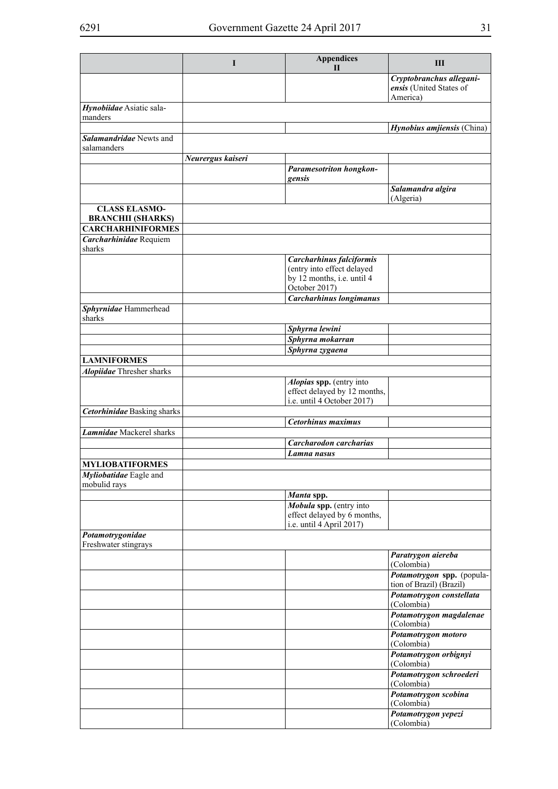|                                                  | I                 | <b>Appendices</b><br>П                                                             | Ш                                                               |
|--------------------------------------------------|-------------------|------------------------------------------------------------------------------------|-----------------------------------------------------------------|
|                                                  |                   |                                                                                    | Cryptobranchus allegani-<br>ensis (United States of<br>America) |
| Hynobiidae Asiatic sala-<br>manders              |                   |                                                                                    |                                                                 |
|                                                  |                   |                                                                                    | Hynobius amjiensis (China)                                      |
| Salamandridae Newts and<br>salamanders           |                   |                                                                                    |                                                                 |
|                                                  | Neurergus kaiseri |                                                                                    |                                                                 |
|                                                  |                   | <b>Paramesotriton hongkon-</b><br>gensis                                           |                                                                 |
|                                                  |                   |                                                                                    | Salamandra algira<br>(Algeria)                                  |
| <b>CLASS ELASMO-</b><br><b>BRANCHII (SHARKS)</b> |                   |                                                                                    |                                                                 |
| <b>CARCHARHINIFORMES</b>                         |                   |                                                                                    |                                                                 |
| Carcharhinidae Requiem<br>sharks                 |                   |                                                                                    |                                                                 |
|                                                  |                   | Carcharhinus falciformis                                                           |                                                                 |
|                                                  |                   | (entry into effect delayed                                                         |                                                                 |
|                                                  |                   | by 12 months, i.e. until 4                                                         |                                                                 |
|                                                  |                   | October 2017)                                                                      |                                                                 |
|                                                  |                   | <b>Carcharhinus longimanus</b>                                                     |                                                                 |
| Sphyrnidae Hammerhead<br>sharks                  |                   |                                                                                    |                                                                 |
|                                                  |                   | Sphyrna lewini                                                                     |                                                                 |
|                                                  |                   | Sphyrna mokarran                                                                   |                                                                 |
|                                                  |                   | Sphyrna zygaena                                                                    |                                                                 |
| <b>LAMNIFORMES</b>                               |                   |                                                                                    |                                                                 |
| <b>Alopiidae</b> Thresher sharks                 |                   |                                                                                    |                                                                 |
|                                                  |                   | Alopias spp. (entry into                                                           |                                                                 |
|                                                  |                   | effect delayed by 12 months,                                                       |                                                                 |
|                                                  |                   | i.e. until 4 October 2017)                                                         |                                                                 |
| <b>Cetorhinidae</b> Basking sharks               |                   |                                                                                    |                                                                 |
|                                                  |                   | Cetorhinus maximus                                                                 |                                                                 |
| Lamnidae Mackerel sharks                         |                   |                                                                                    |                                                                 |
|                                                  |                   | Carcharodon carcharias                                                             |                                                                 |
|                                                  |                   | Lamna nasus                                                                        |                                                                 |
| <b>MYLIOBATIFORMES</b>                           |                   |                                                                                    |                                                                 |
| Myliobatidae Eagle and<br>mobulid rays           |                   |                                                                                    |                                                                 |
|                                                  |                   | Manta spp.                                                                         |                                                                 |
|                                                  |                   | Mobula spp. (entry into<br>effect delayed by 6 months,<br>i.e. until 4 April 2017) |                                                                 |
| Potamotrygonidae<br>Freshwater stingrays         |                   |                                                                                    |                                                                 |
|                                                  |                   |                                                                                    | Paratrygon aiereba                                              |
|                                                  |                   |                                                                                    | (Colombia)                                                      |
|                                                  |                   |                                                                                    | Potamotrygon spp. (popula-<br>tion of Brazil) (Brazil)          |
|                                                  |                   |                                                                                    | Potamotrygon constellata<br>(Colombia)                          |
|                                                  |                   |                                                                                    | Potamotrygon magdalenae<br>(Colombia)                           |
|                                                  |                   |                                                                                    | Potamotrygon motoro<br>(Colombia)                               |
|                                                  |                   |                                                                                    | Potamotrygon orbignyi<br>(Colombia)                             |
|                                                  |                   |                                                                                    | Potamotrygon schroederi<br>(Colombia)                           |
|                                                  |                   |                                                                                    | Potamotrygon scobina<br>(Colombia)                              |
|                                                  |                   |                                                                                    | Potamotrygon yepezi                                             |
|                                                  |                   |                                                                                    | (Colombia)                                                      |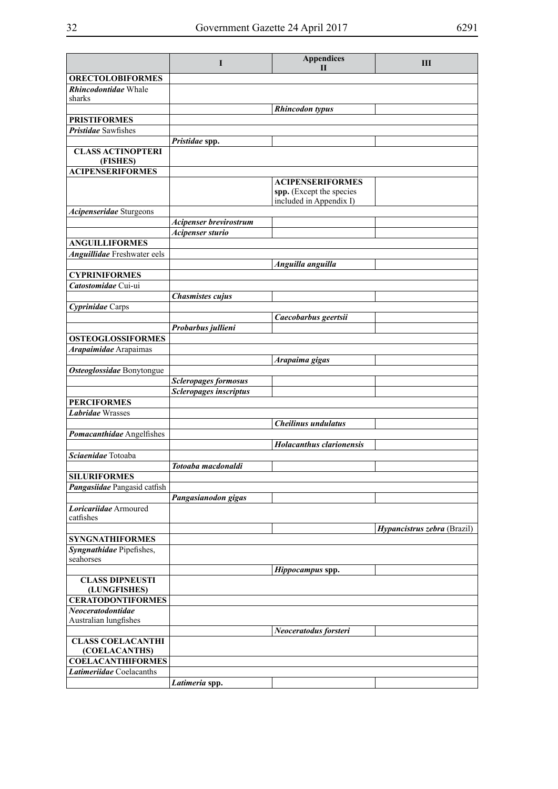|                                                             | I                           | <b>Appendices</b><br>$\mathbf{H}$                                              | III                                |
|-------------------------------------------------------------|-----------------------------|--------------------------------------------------------------------------------|------------------------------------|
| <b>ORECTOLOBIFORMES</b>                                     |                             |                                                                                |                                    |
| Rhincodontidae Whale<br>sharks                              |                             |                                                                                |                                    |
|                                                             |                             | <b>Rhincodon</b> typus                                                         |                                    |
| <b>PRISTIFORMES</b>                                         |                             |                                                                                |                                    |
| <b>Pristidae</b> Sawfishes                                  |                             |                                                                                |                                    |
|                                                             | Pristidae spp.              |                                                                                |                                    |
| <b>CLASS ACTINOPTERI</b><br>(FISHES)                        |                             |                                                                                |                                    |
| <b>ACIPENSERIFORMES</b>                                     |                             |                                                                                |                                    |
|                                                             |                             | <b>ACIPENSERIFORMES</b><br>spp. (Except the species<br>included in Appendix I) |                                    |
| Acipenseridae Sturgeons                                     |                             |                                                                                |                                    |
|                                                             | Acipenser brevirostrum      |                                                                                |                                    |
|                                                             | Acipenser sturio            |                                                                                |                                    |
| <b>ANGUILLIFORMES</b><br><b>Anguillidae</b> Freshwater eels |                             |                                                                                |                                    |
|                                                             |                             | Anguilla anguilla                                                              |                                    |
| <b>CYPRINIFORMES</b>                                        |                             |                                                                                |                                    |
| Catostomidae Cui-ui                                         |                             |                                                                                |                                    |
|                                                             | <b>Chasmistes cujus</b>     |                                                                                |                                    |
| Cyprinidae Carps                                            |                             |                                                                                |                                    |
|                                                             | Probarbus jullieni          | Caecobarbus geertsii                                                           |                                    |
| <b>OSTEOGLOSSIFORMES</b>                                    |                             |                                                                                |                                    |
| Arapaimidae Arapaimas                                       |                             |                                                                                |                                    |
|                                                             |                             | Arapaima gigas                                                                 |                                    |
| Osteoglossidae Bonytongue                                   |                             |                                                                                |                                    |
|                                                             | <b>Scleropages formosus</b> |                                                                                |                                    |
|                                                             | Scleropages inscriptus      |                                                                                |                                    |
| <b>PERCIFORMES</b>                                          |                             |                                                                                |                                    |
| <b>Labridae Wrasses</b>                                     |                             |                                                                                |                                    |
|                                                             |                             | Cheilinus undulatus                                                            |                                    |
| Pomacanthidae Angelfishes                                   |                             | <b>Holacanthus clarionensis</b>                                                |                                    |
| Sciaenidae Totoaba                                          |                             |                                                                                |                                    |
|                                                             | Totoaba macdonaldi          |                                                                                |                                    |
| <b>SILURIFORMES</b>                                         |                             |                                                                                |                                    |
| Pangasiidae Pangasid catfish                                |                             |                                                                                |                                    |
|                                                             | Pangasianodon gigas         |                                                                                |                                    |
| Loricariidae Armoured                                       |                             |                                                                                |                                    |
| catfishes                                                   |                             |                                                                                |                                    |
| <b>SYNGNATHIFORMES</b>                                      |                             |                                                                                | <i>Hypancistrus zebra</i> (Brazil) |
| Syngnathidae Pipefishes,                                    |                             |                                                                                |                                    |
| seahorses                                                   |                             |                                                                                |                                    |
|                                                             |                             | Hippocampus spp.                                                               |                                    |
| <b>CLASS DIPNEUSTI</b><br>(LUNGFISHES)                      |                             |                                                                                |                                    |
| <b>CERATODONTIFORMES</b>                                    |                             |                                                                                |                                    |
| Neoceratodontidae                                           |                             |                                                                                |                                    |
| Australian lungfishes                                       |                             |                                                                                |                                    |
|                                                             |                             | Neoceratodus forsteri                                                          |                                    |
| <b>CLASS COELACANTHI</b>                                    |                             |                                                                                |                                    |
| (COELACANTHS)<br><b>COELACANTHIFORMES</b>                   |                             |                                                                                |                                    |
| Latimeriidae Coelacanths                                    |                             |                                                                                |                                    |
|                                                             | Latimeria spp.              |                                                                                |                                    |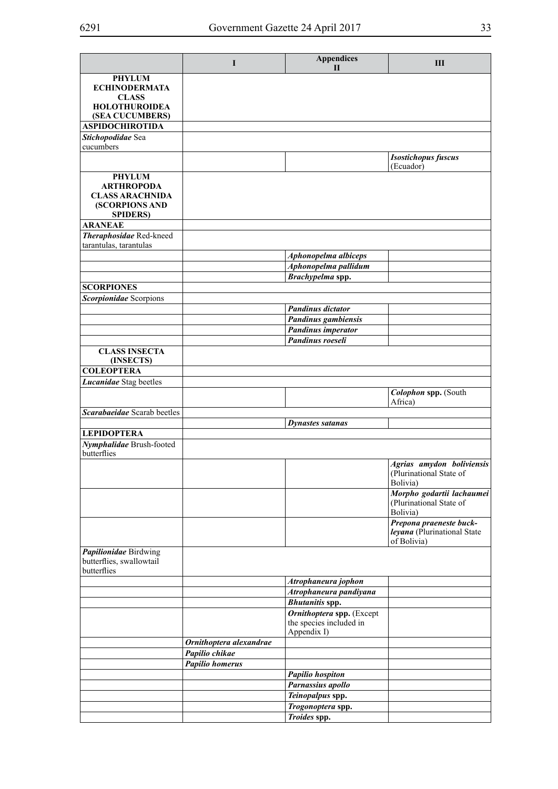|                                                                  | I                       | <b>Appendices</b><br>$\mathbf{I}$                                   | Ш                                                                     |
|------------------------------------------------------------------|-------------------------|---------------------------------------------------------------------|-----------------------------------------------------------------------|
| <b>PHYLUM</b><br><b>ECHINODERMATA</b>                            |                         |                                                                     |                                                                       |
| <b>CLASS</b><br><b>HOLOTHUROIDEA</b>                             |                         |                                                                     |                                                                       |
| (SEA CUCUMBERS)                                                  |                         |                                                                     |                                                                       |
| <b>ASPIDOCHIROTIDA</b>                                           |                         |                                                                     |                                                                       |
| Stichopodidae Sea<br>cucumbers                                   |                         |                                                                     |                                                                       |
|                                                                  |                         |                                                                     | <b>Isostichopus fuscus</b><br>(Ecuador)                               |
| <b>PHYLUM</b>                                                    |                         |                                                                     |                                                                       |
| <b>ARTHROPODA</b><br><b>CLASS ARACHNIDA</b><br>(SCORPIONS AND    |                         |                                                                     |                                                                       |
| <b>SPIDERS</b> )                                                 |                         |                                                                     |                                                                       |
| <b>ARANEAE</b>                                                   |                         |                                                                     |                                                                       |
| Theraphosidae Red-kneed                                          |                         |                                                                     |                                                                       |
| tarantulas, tarantulas                                           |                         |                                                                     |                                                                       |
|                                                                  |                         | Aphonopelma albiceps                                                |                                                                       |
|                                                                  |                         | Aphonopelma pallidum                                                |                                                                       |
|                                                                  |                         | Brachypelma spp.                                                    |                                                                       |
| <b>SCORPIONES</b>                                                |                         |                                                                     |                                                                       |
| Scorpionidae Scorpions                                           |                         | <b>Pandinus dictator</b>                                            |                                                                       |
|                                                                  |                         | Pandinus gambiensis                                                 |                                                                       |
|                                                                  |                         | <b>Pandinus imperator</b>                                           |                                                                       |
|                                                                  |                         | Pandinus roeseli                                                    |                                                                       |
| <b>CLASS INSECTA</b>                                             |                         |                                                                     |                                                                       |
| (INSECTS)<br><b>COLEOPTERA</b>                                   |                         |                                                                     |                                                                       |
| Lucanidae Stag beetles                                           |                         |                                                                     |                                                                       |
|                                                                  |                         |                                                                     | Colophon spp. (South                                                  |
|                                                                  |                         |                                                                     | Africa)                                                               |
| Scarabaeidae Scarab beetles                                      |                         |                                                                     |                                                                       |
|                                                                  |                         | <b>Dynastes satanas</b>                                             |                                                                       |
| <b>LEPIDOPTERA</b>                                               |                         |                                                                     |                                                                       |
| Nymphalidae Brush-footed<br>butterflies                          |                         |                                                                     |                                                                       |
|                                                                  |                         |                                                                     | Agrias amydon boliviensis<br>(Plurinational State of<br>Bolivia)      |
|                                                                  |                         |                                                                     | Morpho godartii lachaumei<br>(Plurinational State of<br>Bolivia)      |
|                                                                  |                         |                                                                     | Prepona praeneste buck-<br>leyana (Plurinational State<br>of Bolivia) |
| Papilionidae Birdwing<br>butterflies, swallowtail<br>butterflies |                         |                                                                     |                                                                       |
|                                                                  |                         | Atrophaneura jophon                                                 |                                                                       |
|                                                                  |                         | Atrophaneura pandiyana                                              |                                                                       |
|                                                                  |                         | <b>Bhutanitis spp.</b>                                              |                                                                       |
|                                                                  |                         | Ornithoptera spp. (Except<br>the species included in<br>Appendix I) |                                                                       |
|                                                                  | Ornithoptera alexandrae |                                                                     |                                                                       |
|                                                                  | Papilio chikae          |                                                                     |                                                                       |
|                                                                  | <b>Papilio homerus</b>  |                                                                     |                                                                       |
|                                                                  |                         | <b>Papilio hospiton</b>                                             |                                                                       |
|                                                                  |                         | Parnassius apollo                                                   |                                                                       |
|                                                                  |                         | Teinopalpus spp.                                                    |                                                                       |
|                                                                  |                         | Trogonoptera spp.                                                   |                                                                       |
|                                                                  |                         | Troides spp.                                                        |                                                                       |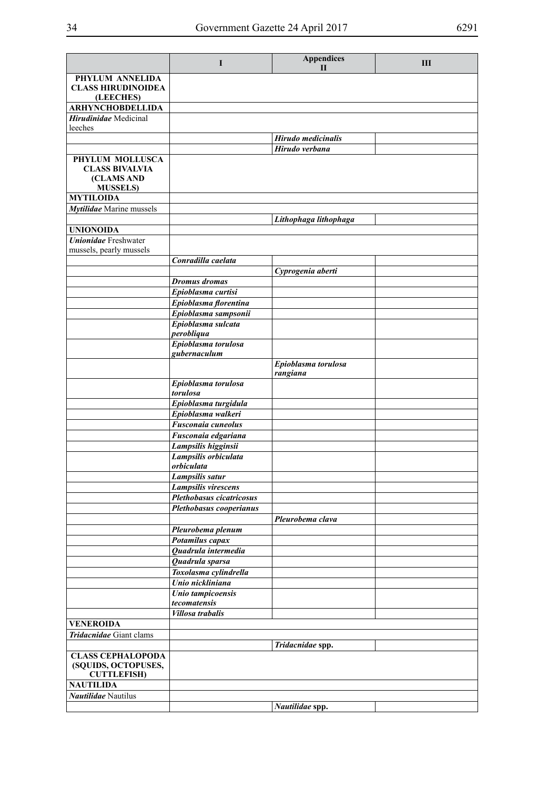|                                                                            | $\mathbf I$                              | <b>Appendices</b><br>$\mathbf{H}$ | Ш |
|----------------------------------------------------------------------------|------------------------------------------|-----------------------------------|---|
| PHYLUM ANNELIDA<br><b>CLASS HIRUDINOIDEA</b><br>(LEECHES)                  |                                          |                                   |   |
| <b>ARHYNCHOBDELLIDA</b>                                                    |                                          |                                   |   |
| Hirudinidae Medicinal<br>leeches                                           |                                          |                                   |   |
|                                                                            |                                          | Hirudo medicinalis                |   |
|                                                                            |                                          | Hirudo verbana                    |   |
| PHYLUM MOLLUSCA<br><b>CLASS BIVALVIA</b><br>(CLAMS AND<br><b>MUSSELS</b> ) |                                          |                                   |   |
| <b>MYTILOIDA</b>                                                           |                                          |                                   |   |
| Mytilidae Marine mussels                                                   |                                          |                                   |   |
| <b>UNIONOIDA</b>                                                           |                                          | Lithophaga lithophaga             |   |
| <b>Unionidae</b> Freshwater                                                |                                          |                                   |   |
| mussels, pearly mussels                                                    |                                          |                                   |   |
|                                                                            | Conradilla caelata                       |                                   |   |
|                                                                            |                                          | Cyprogenia aberti                 |   |
|                                                                            | <b>Dromus</b> dromas                     |                                   |   |
|                                                                            | Epioblasma curtisi                       |                                   |   |
|                                                                            | Epioblasma florentina                    |                                   |   |
|                                                                            | Epioblasma sampsonii                     |                                   |   |
|                                                                            | Epioblasma sulcata<br>perobliqua         |                                   |   |
|                                                                            | Epioblasma torulosa                      |                                   |   |
|                                                                            | gubernaculum                             |                                   |   |
|                                                                            |                                          | Epioblasma torulosa<br>rangiana   |   |
|                                                                            | Epioblasma torulosa<br>torulosa          |                                   |   |
|                                                                            | Epioblasma turgidula                     |                                   |   |
|                                                                            | Epioblasma walkeri                       |                                   |   |
|                                                                            | Fusconaia cuneolus                       |                                   |   |
|                                                                            | Fusconaia edgariana                      |                                   |   |
|                                                                            | Lampsilis higginsii                      |                                   |   |
|                                                                            | Lampsilis orbiculata<br>orbiculata       |                                   |   |
|                                                                            | Lampsilis satur                          |                                   |   |
|                                                                            | Lampsilis virescens                      |                                   |   |
|                                                                            | Plethobasus cicatricosus                 |                                   |   |
|                                                                            | Plethobasus cooperianus                  |                                   |   |
|                                                                            |                                          | Pleurobema clava                  |   |
|                                                                            | Pleurobema plenum                        |                                   |   |
|                                                                            | Potamilus capax                          |                                   |   |
|                                                                            | Quadrula intermedia                      |                                   |   |
|                                                                            | Quadrula sparsa<br>Toxolasma cylindrella |                                   |   |
|                                                                            | Unio nickliniana                         |                                   |   |
|                                                                            | Unio tampicoensis                        |                                   |   |
|                                                                            | tecomatensis                             |                                   |   |
|                                                                            | <b>Villosa</b> trabalis                  |                                   |   |
| <b>VENEROIDA</b>                                                           |                                          |                                   |   |
| Tridacnidae Giant clams                                                    |                                          |                                   |   |
|                                                                            |                                          | Tridacnidae spp.                  |   |
| <b>CLASS CEPHALOPODA</b><br>(SQUIDS, OCTOPUSES,<br><b>CUTTLEFISH)</b>      |                                          |                                   |   |
| <b>NAUTILIDA</b>                                                           |                                          |                                   |   |
| Nautilidae Nautilus                                                        |                                          |                                   |   |
|                                                                            |                                          | Nautilidae spp.                   |   |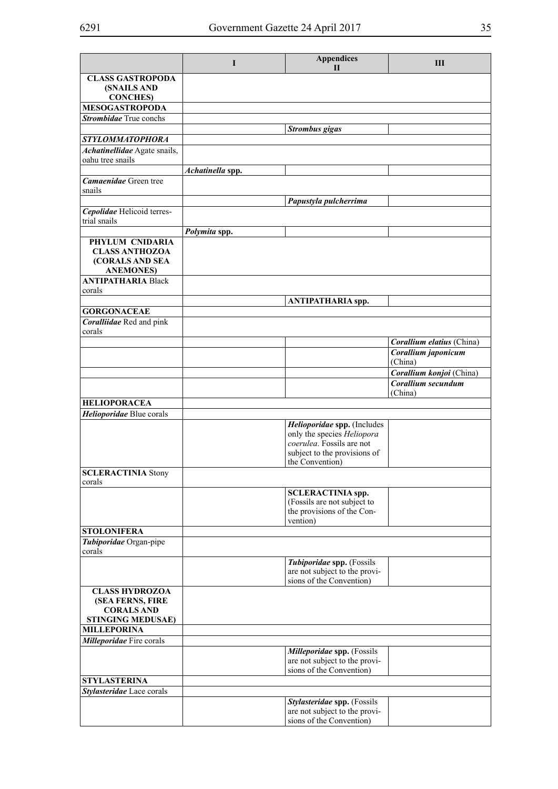|                                                              | I                | <b>Appendices</b><br>$\mathbf{I}$                                                       | Ш                         |
|--------------------------------------------------------------|------------------|-----------------------------------------------------------------------------------------|---------------------------|
| <b>CLASS GASTROPODA</b><br>(SNAILS AND                       |                  |                                                                                         |                           |
| <b>CONCHES</b> )                                             |                  |                                                                                         |                           |
| <b>MESOGASTROPODA</b>                                        |                  |                                                                                         |                           |
| Strombidae True conchs                                       |                  |                                                                                         |                           |
|                                                              |                  | <b>Strombus</b> gigas                                                                   |                           |
| STYLOMMATOPHORA<br>Achatinellidae Agate snails,              |                  |                                                                                         |                           |
| oahu tree snails                                             |                  |                                                                                         |                           |
|                                                              | Achatinella spp. |                                                                                         |                           |
| <b>Camaenidae</b> Green tree                                 |                  |                                                                                         |                           |
| snails                                                       |                  |                                                                                         |                           |
|                                                              |                  | Papustyla pulcherrima                                                                   |                           |
| Cepolidae Helicoid terres-<br>trial snails                   |                  |                                                                                         |                           |
|                                                              | Polymita spp.    |                                                                                         |                           |
| PHYLUM CNIDARIA                                              |                  |                                                                                         |                           |
| <b>CLASS ANTHOZOA</b><br>(CORALS AND SEA<br><b>ANEMONES)</b> |                  |                                                                                         |                           |
| <b>ANTIPATHARIA Black</b>                                    |                  |                                                                                         |                           |
| corals                                                       |                  |                                                                                         |                           |
|                                                              |                  | <b>ANTIPATHARIA spp.</b>                                                                |                           |
| <b>GORGONACEAE</b>                                           |                  |                                                                                         |                           |
| Coralliidae Red and pink<br>corals                           |                  |                                                                                         |                           |
|                                                              |                  |                                                                                         | Corallium elatius (China) |
|                                                              |                  |                                                                                         | Corallium japonicum       |
|                                                              |                  |                                                                                         | (China)                   |
|                                                              |                  |                                                                                         | Corallium konjoi (China)  |
|                                                              |                  |                                                                                         | Corallium secundum        |
| <b>HELIOPORACEA</b>                                          |                  |                                                                                         | (China)                   |
| Helioporidae Blue corals                                     |                  |                                                                                         |                           |
|                                                              |                  | Helioporidae spp. (Includes                                                             |                           |
|                                                              |                  | only the species <i>Heliopora</i>                                                       |                           |
|                                                              |                  | coerulea. Fossils are not<br>subject to the provisions of                               |                           |
|                                                              |                  | the Convention)                                                                         |                           |
| <b>SCLERACTINIA Stony</b><br>corals                          |                  |                                                                                         |                           |
|                                                              |                  | <b>SCLERACTINIA</b> spp.                                                                |                           |
|                                                              |                  | (Fossils are not subject to                                                             |                           |
|                                                              |                  | the provisions of the Con-<br>vention)                                                  |                           |
| <b>STOLONIFERA</b>                                           |                  |                                                                                         |                           |
| Tubiporidae Organ-pipe<br>corals                             |                  |                                                                                         |                           |
|                                                              |                  | Tubiporidae spp. (Fossils                                                               |                           |
|                                                              |                  | are not subject to the provi-<br>sions of the Convention)                               |                           |
| <b>CLASS HYDROZOA</b>                                        |                  |                                                                                         |                           |
| (SEA FERNS, FIRE<br><b>CORALS AND</b>                        |                  |                                                                                         |                           |
| <b>STINGING MEDUSAE)</b>                                     |                  |                                                                                         |                           |
| <b>MILLEPORINA</b>                                           |                  |                                                                                         |                           |
| <b>Milleporidae</b> Fire corals                              |                  |                                                                                         |                           |
|                                                              |                  | Milleporidae spp. (Fossils<br>are not subject to the provi-<br>sions of the Convention) |                           |
| <b>STYLASTERINA</b>                                          |                  |                                                                                         |                           |
| Stylasteridae Lace corals                                    |                  |                                                                                         |                           |
|                                                              |                  | Stylasteridae spp. (Fossils                                                             |                           |
|                                                              |                  | are not subject to the provi-<br>sions of the Convention)                               |                           |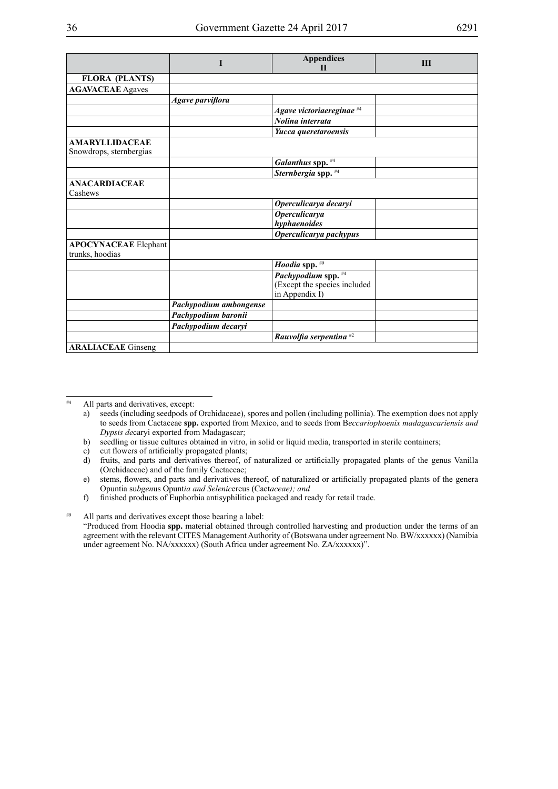|--|--|

|                                                | I                      | <b>Appendices</b><br>$\mathbf{H}$                                     | III |
|------------------------------------------------|------------------------|-----------------------------------------------------------------------|-----|
| <b>FLORA (PLANTS)</b>                          |                        |                                                                       |     |
| <b>AGAVACEAE</b> Agaves                        |                        |                                                                       |     |
|                                                | Agave parviflora       |                                                                       |     |
|                                                |                        | Agave victoriaereginae #4                                             |     |
|                                                |                        | Nolina interrata                                                      |     |
|                                                |                        | Yucca queretaroensis                                                  |     |
| <b>AMARYLLIDACEAE</b>                          |                        |                                                                       |     |
| Snowdrops, sternbergias                        |                        |                                                                       |     |
|                                                |                        | Galanthus spp. #4                                                     |     |
|                                                |                        | Sternbergia spp. #4                                                   |     |
| <b>ANACARDIACEAE</b><br>Cashews                |                        |                                                                       |     |
|                                                |                        | Operculicarya decaryi                                                 |     |
|                                                |                        | <b>Operculicarya</b><br>hyphaenoides                                  |     |
|                                                |                        | Operculicarya pachypus                                                |     |
| <b>APOCYNACEAE</b> Elephant<br>trunks, hoodias |                        |                                                                       |     |
|                                                |                        | Hoodia spp. #9                                                        |     |
|                                                |                        | Pachypodium spp. #4<br>(Except the species included<br>in Appendix I) |     |
|                                                | Pachypodium ambongense |                                                                       |     |
|                                                | Pachypodium baronii    |                                                                       |     |
|                                                | Pachypodium decaryi    |                                                                       |     |
|                                                |                        | Rauvolfia serpentina $#2$                                             |     |
| <b>ARALIACEAE</b> Ginseng                      |                        |                                                                       |     |

#4 All parts and derivatives, except:

b) seedling or tissue cultures obtained in vitro, in solid or liquid media, transported in sterile containers;

c) cut flowers of artificially propagated plants;

d) fruits, and parts and derivatives thereof, of naturalized or artificially propagated plants of the genus Vanilla (Orchidaceae) and of the family Cactaceae;

e) stems, flowers, and parts and derivatives thereof, of naturalized or artificially propagated plants of the genera Opuntia su*bgen*us Opunt*ia and Selenic*ereus (Cact*aceae); and*

f) finished products of Euphorbia antisyphilitica packaged and ready for retail trade.

#9 All parts and derivatives except those bearing a label:

"Produced from Hoodia **spp.** material obtained through controlled harvesting and production under the terms of an agreement with the relevant CITES Management Authority of (Botswana under agreement No. BW/xxxxxx) (Namibia under agreement No. NA/xxxxxx) (South Africa under agreement No. ZA/xxxxxx)".

a) seeds (including seedpods of Orchidaceae), spores and pollen (including pollinia). The exemption does not apply to seeds from Cactaceae **spp.** exported from Mexico, and to seeds from B*eccariophoenix madagascariensis and Dypsis de*caryi exported from Madagascar;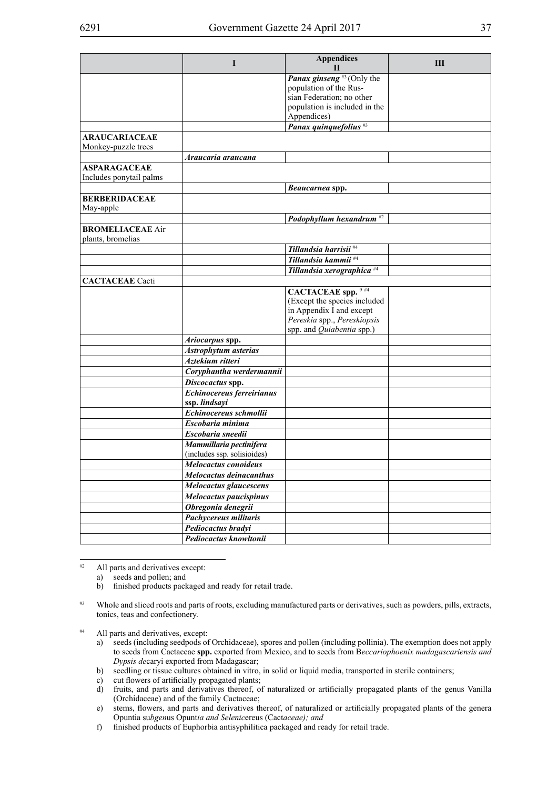|                                              |                             | <b>Appendices</b>                   |   |
|----------------------------------------------|-----------------------------|-------------------------------------|---|
|                                              | I                           | П                                   | Ш |
|                                              |                             | <b>Panax ginseng</b> $*3$ (Only the |   |
|                                              |                             | population of the Rus-              |   |
|                                              |                             | sian Federation; no other           |   |
|                                              |                             | population is included in the       |   |
|                                              |                             | Appendices)                         |   |
|                                              |                             | Panax quinquefolius <sup>#3</sup>   |   |
| <b>ARAUCARIACEAE</b>                         |                             |                                     |   |
| Monkey-puzzle trees                          |                             |                                     |   |
|                                              | Araucaria araucana          |                                     |   |
| <b>ASPARAGACEAE</b>                          |                             |                                     |   |
| Includes ponytail palms                      |                             |                                     |   |
|                                              |                             | Beaucarnea spp.                     |   |
| <b>BERBERIDACEAE</b>                         |                             |                                     |   |
| May-apple                                    |                             |                                     |   |
|                                              |                             | Podophyllum hexandrum <sup>#2</sup> |   |
| <b>BROMELIACEAE Air</b><br>plants, bromelias |                             |                                     |   |
|                                              |                             | Tillandsia harrisii <sup>#4</sup>   |   |
|                                              |                             | Tillandsia kammii <sup>#4</sup>     |   |
|                                              |                             | Tillandsia xerographica #4          |   |
| <b>CACTACEAE</b> Cacti                       |                             |                                     |   |
|                                              |                             | <b>CACTACEAE</b> spp. 9 #4          |   |
|                                              |                             | (Except the species included        |   |
|                                              |                             | in Appendix I and except            |   |
|                                              |                             | Pereskia spp., Pereskiopsis         |   |
|                                              |                             | spp. and Quiabentia spp.)           |   |
|                                              | Ariocarpus spp.             |                                     |   |
|                                              | Astrophytum asterias        |                                     |   |
|                                              | Aztekium ritteri            |                                     |   |
|                                              | Coryphantha werdermannii    |                                     |   |
|                                              | Discocactus spp.            |                                     |   |
|                                              | Echinocereus ferreirianus   |                                     |   |
|                                              | ssp. lindsayi               |                                     |   |
|                                              | Echinocereus schmollii      |                                     |   |
|                                              | Escobaria minima            |                                     |   |
|                                              | Escobaria sneedii           |                                     |   |
|                                              | Mammillaria pectinifera     |                                     |   |
|                                              | (includes ssp. solisioides) |                                     |   |
|                                              | Melocactus conoideus        |                                     |   |
|                                              | Melocactus deinacanthus     |                                     |   |
|                                              | Melocactus glaucescens      |                                     |   |
|                                              | Melocactus paucispinus      |                                     |   |
|                                              | Obregonia denegrii          |                                     |   |
|                                              | Pachycereus militaris       |                                     |   |
|                                              | Pediocactus bradyi          |                                     |   |
|                                              | Pediocactus knowltonii      |                                     |   |
|                                              |                             |                                     |   |

#2 All parts and derivatives except:

a) seeds and pollen; and

b) finished products packaged and ready for retail trade.

- #3 Whole and sliced roots and parts of roots, excluding manufactured parts or derivatives, such as powders, pills, extracts, tonics, teas and confectionery.
- #4 All parts and derivatives, except:
	- a) seeds (including seedpods of Orchidaceae), spores and pollen (including pollinia). The exemption does not apply to seeds from Cactaceae **spp.** exported from Mexico, and to seeds from B*eccariophoenix madagascariensis and Dypsis de*caryi exported from Madagascar;
	- b) seedling or tissue cultures obtained in vitro, in solid or liquid media, transported in sterile containers;
	- c) cut flowers of artificially propagated plants;
	- d) fruits, and parts and derivatives thereof, of naturalized or artificially propagated plants of the genus Vanilla (Orchidaceae) and of the family Cactaceae;
	- e) stems, flowers, and parts and derivatives thereof, of naturalized or artificially propagated plants of the genera Opuntia su*bgen*us Opunt*ia and Selenic*ereus (Cact*aceae); and*
	- f) finished products of Euphorbia antisyphilitica packaged and ready for retail trade.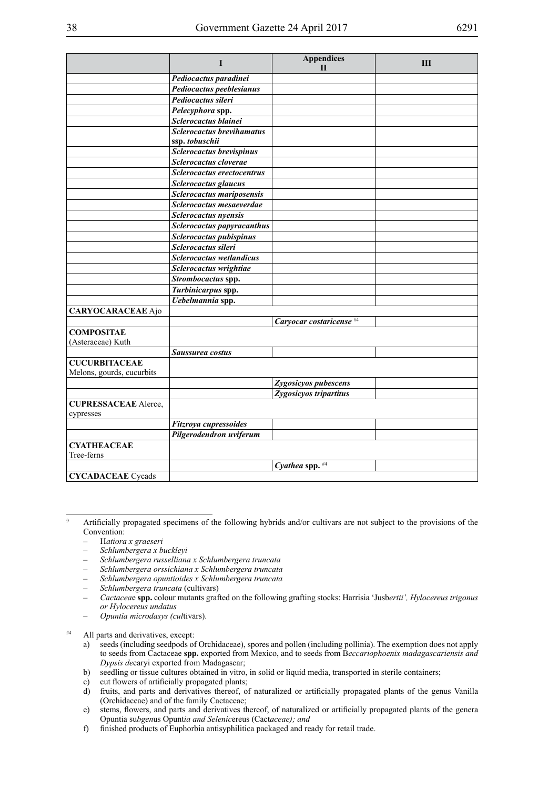|                             | I                                | <b>Appendices</b>                   | Ш |
|-----------------------------|----------------------------------|-------------------------------------|---|
|                             |                                  | П                                   |   |
|                             | Pediocactus paradinei            |                                     |   |
|                             | Pediocactus peeblesianus         |                                     |   |
|                             | Pediocactus sileri               |                                     |   |
|                             | Pelecyphora spp.                 |                                     |   |
|                             | Sclerocactus blainei             |                                     |   |
|                             | <b>Sclerocactus brevihamatus</b> |                                     |   |
|                             | ssp. tobuschii                   |                                     |   |
|                             | Sclerocactus brevispinus         |                                     |   |
|                             | Sclerocactus cloverae            |                                     |   |
|                             | Sclerocactus erectocentrus       |                                     |   |
|                             | Sclerocactus glaucus             |                                     |   |
|                             | Sclerocactus mariposensis        |                                     |   |
|                             | Sclerocactus mesaeverdae         |                                     |   |
|                             | <b>Sclerocactus</b> nyensis      |                                     |   |
|                             | Sclerocactus papyracanthus       |                                     |   |
|                             | Sclerocactus pubispinus          |                                     |   |
|                             | Sclerocactus sileri              |                                     |   |
|                             | Sclerocactus wetlandicus         |                                     |   |
|                             | Sclerocactus wrightiae           |                                     |   |
|                             | Strombocactus spp.               |                                     |   |
|                             | Turbinicarpus spp.               |                                     |   |
|                             | Uebelmannia spp.                 |                                     |   |
| <b>CARYOCARACEAE</b> Ajo    |                                  |                                     |   |
|                             |                                  | Caryocar costaricense <sup>#4</sup> |   |
| <b>COMPOSITAE</b>           |                                  |                                     |   |
| (Asteraceae) Kuth           |                                  |                                     |   |
|                             | Saussurea costus                 |                                     |   |
| <b>CUCURBITACEAE</b>        |                                  |                                     |   |
| Melons, gourds, cucurbits   |                                  |                                     |   |
|                             |                                  | Zygosicyos pubescens                |   |
|                             |                                  | Zygosicyos tripartitus              |   |
| <b>CUPRESSACEAE</b> Alerce, |                                  |                                     |   |
| cypresses                   |                                  |                                     |   |
|                             | Fitzroya cupressoides            |                                     |   |
|                             | Pilgerodendron uviferum          |                                     |   |
| <b>CYATHEACEAE</b>          |                                  |                                     |   |
| Tree-ferns                  |                                  |                                     |   |
|                             |                                  | Cyathea spp. #4                     |   |
| <b>CYCADACEAE</b> Cycads    |                                  |                                     |   |

– H*atiora x graeseri*

- *– Schlumbergera x buckleyi*
- *– Schlumbergera russelliana x Schlumbergera truncata*
- *– Schlumbergera orssichiana x Schlumbergera truncata*
- *– Schlumbergera opuntioides x Schlumbergera truncata*
- *– Schlumbergera truncata* (cultivars)
- *Cactacea*e **spp.** colour mutants grafted on the following grafting stocks: Harrisia 'Jusb*ertii', Hylocereus trigonus or Hylocereus undatus*
- *– Opuntia microdasys (cul*tivars).

#4 All parts and derivatives, except:

- a) seeds (including seedpods of Orchidaceae), spores and pollen (including pollinia). The exemption does not apply to seeds from Cactaceae **spp.** exported from Mexico, and to seeds from B*eccariophoenix madagascariensis and Dypsis de*caryi exported from Madagascar;
- b) seedling or tissue cultures obtained in vitro, in solid or liquid media, transported in sterile containers;
- c) cut flowers of artificially propagated plants;
- d) fruits, and parts and derivatives thereof, of naturalized or artificially propagated plants of the genus Vanilla (Orchidaceae) and of the family Cactaceae;
- e) stems, flowers, and parts and derivatives thereof, of naturalized or artificially propagated plants of the genera Opuntia su*bgen*us Opunt*ia and Selenic*ereus (Cact*aceae); and*
- f) finished products of Euphorbia antisyphilitica packaged and ready for retail trade.

<sup>9</sup> Artificially propagated specimens of the following hybrids and/or cultivars are not subject to the provisions of the Convention: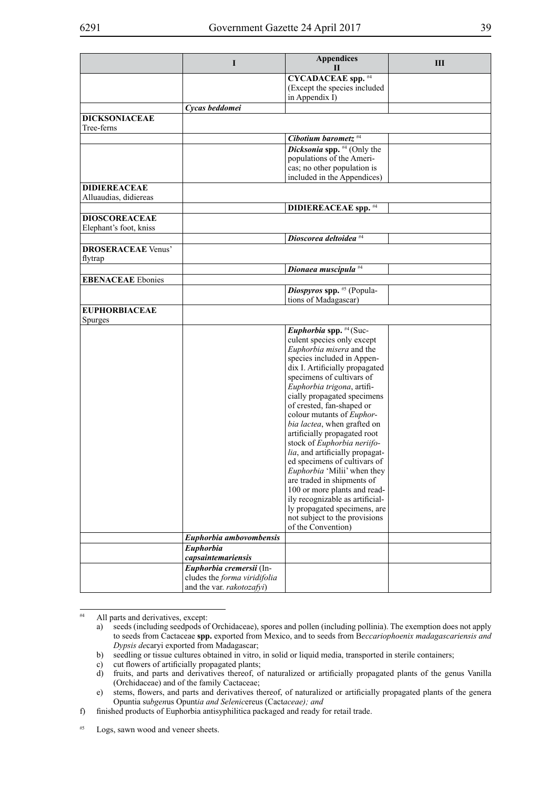|                                    | I                            | <b>Appendices</b><br>Н            | Ш |
|------------------------------------|------------------------------|-----------------------------------|---|
|                                    |                              |                                   |   |
|                                    |                              | <b>CYCADACEAE</b> spp. #4         |   |
|                                    |                              | (Except the species included      |   |
|                                    |                              | in Appendix I)                    |   |
|                                    | Cycas beddomei               |                                   |   |
| <b>DICKSONIACEAE</b><br>Tree-ferns |                              |                                   |   |
|                                    |                              | Cibotium barometz <sup>#4</sup>   |   |
|                                    |                              | Dicksonia spp. #4 (Only the       |   |
|                                    |                              | populations of the Ameri-         |   |
|                                    |                              | cas; no other population is       |   |
|                                    |                              | included in the Appendices)       |   |
| <b>DIDIEREACEAE</b>                |                              |                                   |   |
| Alluaudias, didiereas              |                              |                                   |   |
|                                    |                              | <b>DIDIEREACEAE</b> spp. #4       |   |
| <b>DIOSCOREACEAE</b>               |                              |                                   |   |
| Elephant's foot, kniss             |                              |                                   |   |
|                                    |                              | Dioscorea deltoidea <sup>#4</sup> |   |
| <b>DROSERACEAE Venus'</b>          |                              |                                   |   |
| flytrap                            |                              |                                   |   |
|                                    |                              | Dionaea muscipula <sup>#4</sup>   |   |
| <b>EBENACEAE</b> Ebonies           |                              |                                   |   |
|                                    |                              |                                   |   |
|                                    |                              | Diospyros spp. #5 (Popula-        |   |
|                                    |                              | tions of Madagascar)              |   |
| <b>EUPHORBIACEAE</b>               |                              |                                   |   |
| <b>Spurges</b>                     |                              |                                   |   |
|                                    |                              | Euphorbia spp. #4 (Suc-           |   |
|                                    |                              | culent species only except        |   |
|                                    |                              | Euphorbia misera and the          |   |
|                                    |                              | species included in Appen-        |   |
|                                    |                              | dix I. Artificially propagated    |   |
|                                    |                              | specimens of cultivars of         |   |
|                                    |                              | Euphorbia trigona, artifi-        |   |
|                                    |                              | cially propagated specimens       |   |
|                                    |                              | of crested, fan-shaped or         |   |
|                                    |                              | colour mutants of Euphor-         |   |
|                                    |                              | bia lactea, when grafted on       |   |
|                                    |                              | artificially propagated root      |   |
|                                    |                              | stock of Euphorbia neriifo-       |   |
|                                    |                              | lia, and artificially propagat-   |   |
|                                    |                              | ed specimens of cultivars of      |   |
|                                    |                              | Euphorbia 'Milii' when they       |   |
|                                    |                              | are traded in shipments of        |   |
|                                    |                              | 100 or more plants and read-      |   |
|                                    |                              | ily recognizable as artificial-   |   |
|                                    |                              | ly propagated specimens, are      |   |
|                                    |                              | not subject to the provisions     |   |
|                                    |                              | of the Convention)                |   |
|                                    | Euphorbia ambovombensis      |                                   |   |
|                                    | Euphorbia                    |                                   |   |
|                                    | capsaintemariensis           |                                   |   |
|                                    | Euphorbia cremersii (In-     |                                   |   |
|                                    | cludes the forma viridifolia |                                   |   |
|                                    | and the var. rakotozafyi)    |                                   |   |

#4 All parts and derivatives, except:

#5 Logs, sawn wood and veneer sheets.

a) seeds (including seedpods of Orchidaceae), spores and pollen (including pollinia). The exemption does not apply to seeds from Cactaceae **spp.** exported from Mexico, and to seeds from B*eccariophoenix madagascariensis and Dypsis de*caryi exported from Madagascar;

b) seedling or tissue cultures obtained in vitro, in solid or liquid media, transported in sterile containers;

c) cut flowers of artificially propagated plants;<br>d) fruits, and parts and derivatives thereof, or

fruits, and parts and derivatives thereof, of naturalized or artificially propagated plants of the genus Vanilla (Orchidaceae) and of the family Cactaceae;

e) stems, flowers, and parts and derivatives thereof, of naturalized or artificially propagated plants of the genera Opuntia su*bgen*us Opunt*ia and Selenic*ereus (Cact*aceae); and*

f) finished products of Euphorbia antisyphilitica packaged and ready for retail trade.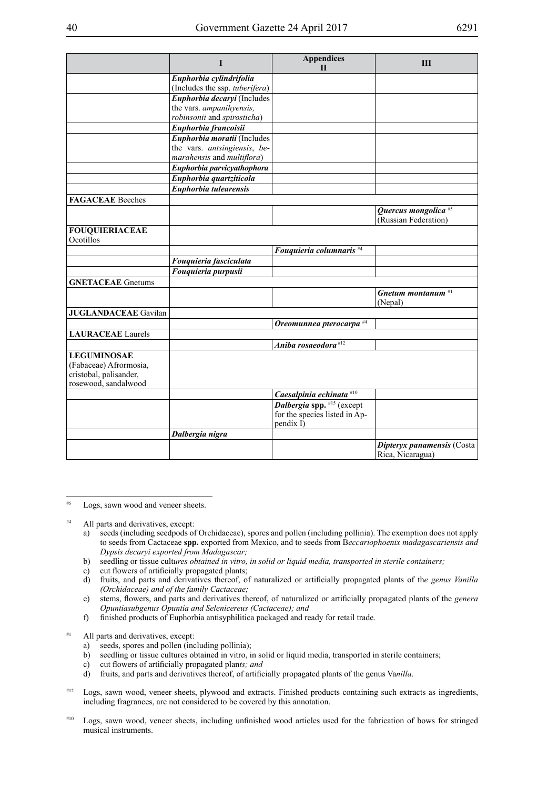|                             | I                                                        | <b>Appendices</b><br>$\mathbf{H}$   | Ш                                                       |
|-----------------------------|----------------------------------------------------------|-------------------------------------|---------------------------------------------------------|
|                             | Euphorbia cylindrifolia                                  |                                     |                                                         |
|                             | (Includes the ssp. tuberifera)                           |                                     |                                                         |
|                             | Euphorbia decaryi (Includes                              |                                     |                                                         |
|                             | the vars. ampanihyensis,                                 |                                     |                                                         |
|                             | robinsonii and spirosticha)                              |                                     |                                                         |
|                             | Euphorbia francoisii                                     |                                     |                                                         |
|                             | Euphorbia moratii (Includes                              |                                     |                                                         |
|                             | the vars. antsingiensis, be-                             |                                     |                                                         |
|                             | marahensis and multiflora)<br>Euphorbia parvicyathophora |                                     |                                                         |
|                             |                                                          |                                     |                                                         |
|                             | Euphorbia quartziticola<br>Euphorbia tulearensis         |                                     |                                                         |
|                             |                                                          |                                     |                                                         |
| <b>FAGACEAE</b> Beeches     |                                                          |                                     |                                                         |
|                             |                                                          |                                     | Quercus mongolica <sup>#5</sup><br>(Russian Federation) |
| <b>FOUQUIERIACEAE</b>       |                                                          |                                     |                                                         |
| Ocotillos                   |                                                          |                                     |                                                         |
|                             |                                                          | Fouquieria columnaris <sup>#4</sup> |                                                         |
|                             | Fouquieria fasciculata                                   |                                     |                                                         |
|                             | Fouquieria purpusii                                      |                                     |                                                         |
| <b>GNETACEAE</b> Gnetums    |                                                          |                                     |                                                         |
|                             |                                                          |                                     | Gnetum montanum $*1$                                    |
|                             |                                                          |                                     | (Nepal)                                                 |
| <b>JUGLANDACEAE</b> Gavilan |                                                          |                                     |                                                         |
|                             |                                                          | Oreomunnea pterocarpa #4            |                                                         |
| <b>LAURACEAE</b> Laurels    |                                                          |                                     |                                                         |
|                             |                                                          | Aniba rosaeodora $#12$              |                                                         |
| <b>LEGUMINOSAE</b>          |                                                          |                                     |                                                         |
| (Fabaceae) Afrormosia,      |                                                          |                                     |                                                         |
| cristobal, palisander,      |                                                          |                                     |                                                         |
| rosewood, sandalwood        |                                                          |                                     |                                                         |
|                             |                                                          | Caesalpinia echinata #10            |                                                         |
|                             |                                                          | Dalbergia spp. $#15$ (except        |                                                         |
|                             |                                                          | for the species listed in Ap-       |                                                         |
|                             |                                                          | pendix I)                           |                                                         |
|                             | Dalbergia nigra                                          |                                     |                                                         |
|                             |                                                          |                                     | Dipteryx panamensis (Costa<br>Rica, Nicaragua)          |

#5 Logs, sawn wood and veneer sheets.

<sup>#4</sup> All parts and derivatives, except:

- a) seeds (including seedpods of Orchidaceae), spores and pollen (including pollinia). The exemption does not apply to seeds from Cactaceae **spp.** exported from Mexico, and to seeds from B*eccariophoenix madagascariensis and Dypsis decaryi exported from Madagascar;*
- b) seedling or tissue cult*ures obtained in vitro, in solid or liquid media, transported in sterile containers;*
- c) cut flowers of artificially propagated plants;
- d) fruits, and parts and derivatives thereof, of naturalized or artificially propagated plants of th*e genus Vanilla (Orchidaceae) and of the family Cactaceae;*
- e) stems, flowers, and parts and derivatives thereof, of naturalized or artificially propagated plants of the *genera Opuntiasubgenus Opuntia and Selenicereus (Cactaceae); and*
- f) finished products of Euphorbia antisyphilitica packaged and ready for retail trade.

#1 All parts and derivatives, except:

- a) seeds, spores and pollen (including pollinia);
- b) seedling or tissue cultures obtained in vitro, in solid or liquid media, transported in sterile containers;
- c) cut flowers of artificially propagated plan*ts; and*
- d) fruits, and parts and derivatives thereof, of artificially propagated plants of the genus Va*nilla*.
- #12 Logs, sawn wood, veneer sheets, plywood and extracts. Finished products containing such extracts as ingredients, including fragrances, are not considered to be covered by this annotation.
- #10 Logs, sawn wood, veneer sheets, including unfinished wood articles used for the fabrication of bows for stringed musical instruments.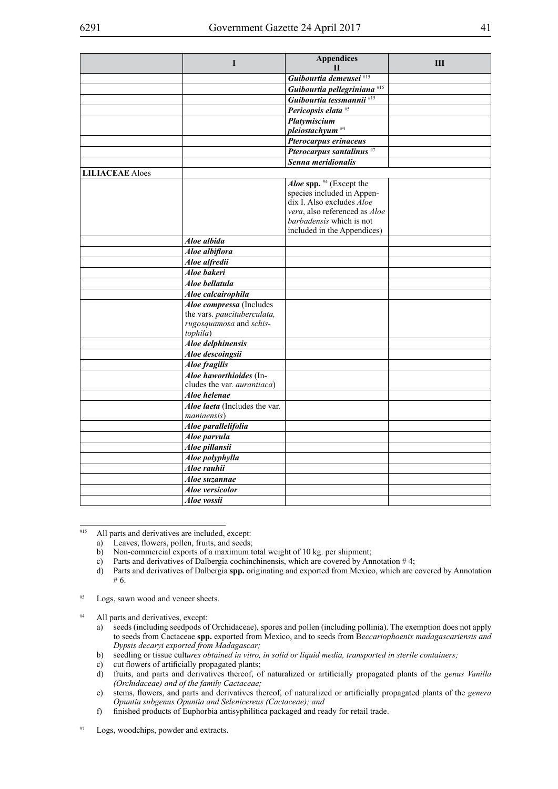| Guibourtia demeusei <sup>#15</sup><br>Guibourtia pellegriniana <sup>#15</sup><br>Guibourtia tessmannii #15<br>Pericopsis elata <sup>#5</sup><br>Platymiscium<br>pleiostachyum <sup>#4</sup><br>Pterocarpus erinaceus<br>Pterocarpus santalinus <sup>#7</sup><br>Senna meridionalis<br><b>LILIACEAE</b> Aloes<br>Aloe spp. #4 (Except the<br>species included in Appen-<br>dix I. Also excludes <i>Aloe</i><br>vera, also referenced as Aloe<br>barbadensis which is not<br>included in the Appendices)<br>Aloe albida<br>Aloe albiflora<br>Aloe alfredii<br>Aloe bakeri<br>Aloe bellatula<br>Aloe calcairophila<br>Aloe compressa (Includes<br>the vars. paucituberculata,<br>rugosquamosa and schis-<br>tophila)<br>Aloe delphinensis<br>Aloe descoingsii<br>Aloe fragilis<br>Aloe haworthioides (In-<br>cludes the var. <i>aurantiaca</i> )<br>Aloe helenae<br>Aloe laeta (Includes the var.<br>maniaensis)<br>Aloe parallelifolia<br>Aloe parvula<br>Aloe pillansii<br>Aloe polyphylla<br>Aloe rauhii<br>Aloe suzannae<br>Aloe versicolor<br>Aloe vossii | I | <b>Appendices</b><br>$\mathbf{H}$ | Ш |
|-------------------------------------------------------------------------------------------------------------------------------------------------------------------------------------------------------------------------------------------------------------------------------------------------------------------------------------------------------------------------------------------------------------------------------------------------------------------------------------------------------------------------------------------------------------------------------------------------------------------------------------------------------------------------------------------------------------------------------------------------------------------------------------------------------------------------------------------------------------------------------------------------------------------------------------------------------------------------------------------------------------------------------------------------------------|---|-----------------------------------|---|
|                                                                                                                                                                                                                                                                                                                                                                                                                                                                                                                                                                                                                                                                                                                                                                                                                                                                                                                                                                                                                                                             |   |                                   |   |
|                                                                                                                                                                                                                                                                                                                                                                                                                                                                                                                                                                                                                                                                                                                                                                                                                                                                                                                                                                                                                                                             |   |                                   |   |
|                                                                                                                                                                                                                                                                                                                                                                                                                                                                                                                                                                                                                                                                                                                                                                                                                                                                                                                                                                                                                                                             |   |                                   |   |
|                                                                                                                                                                                                                                                                                                                                                                                                                                                                                                                                                                                                                                                                                                                                                                                                                                                                                                                                                                                                                                                             |   |                                   |   |
|                                                                                                                                                                                                                                                                                                                                                                                                                                                                                                                                                                                                                                                                                                                                                                                                                                                                                                                                                                                                                                                             |   |                                   |   |
|                                                                                                                                                                                                                                                                                                                                                                                                                                                                                                                                                                                                                                                                                                                                                                                                                                                                                                                                                                                                                                                             |   |                                   |   |
|                                                                                                                                                                                                                                                                                                                                                                                                                                                                                                                                                                                                                                                                                                                                                                                                                                                                                                                                                                                                                                                             |   |                                   |   |
|                                                                                                                                                                                                                                                                                                                                                                                                                                                                                                                                                                                                                                                                                                                                                                                                                                                                                                                                                                                                                                                             |   |                                   |   |
|                                                                                                                                                                                                                                                                                                                                                                                                                                                                                                                                                                                                                                                                                                                                                                                                                                                                                                                                                                                                                                                             |   |                                   |   |
|                                                                                                                                                                                                                                                                                                                                                                                                                                                                                                                                                                                                                                                                                                                                                                                                                                                                                                                                                                                                                                                             |   |                                   |   |
|                                                                                                                                                                                                                                                                                                                                                                                                                                                                                                                                                                                                                                                                                                                                                                                                                                                                                                                                                                                                                                                             |   |                                   |   |
|                                                                                                                                                                                                                                                                                                                                                                                                                                                                                                                                                                                                                                                                                                                                                                                                                                                                                                                                                                                                                                                             |   |                                   |   |
|                                                                                                                                                                                                                                                                                                                                                                                                                                                                                                                                                                                                                                                                                                                                                                                                                                                                                                                                                                                                                                                             |   |                                   |   |
|                                                                                                                                                                                                                                                                                                                                                                                                                                                                                                                                                                                                                                                                                                                                                                                                                                                                                                                                                                                                                                                             |   |                                   |   |
|                                                                                                                                                                                                                                                                                                                                                                                                                                                                                                                                                                                                                                                                                                                                                                                                                                                                                                                                                                                                                                                             |   |                                   |   |
|                                                                                                                                                                                                                                                                                                                                                                                                                                                                                                                                                                                                                                                                                                                                                                                                                                                                                                                                                                                                                                                             |   |                                   |   |
|                                                                                                                                                                                                                                                                                                                                                                                                                                                                                                                                                                                                                                                                                                                                                                                                                                                                                                                                                                                                                                                             |   |                                   |   |
|                                                                                                                                                                                                                                                                                                                                                                                                                                                                                                                                                                                                                                                                                                                                                                                                                                                                                                                                                                                                                                                             |   |                                   |   |
|                                                                                                                                                                                                                                                                                                                                                                                                                                                                                                                                                                                                                                                                                                                                                                                                                                                                                                                                                                                                                                                             |   |                                   |   |
|                                                                                                                                                                                                                                                                                                                                                                                                                                                                                                                                                                                                                                                                                                                                                                                                                                                                                                                                                                                                                                                             |   |                                   |   |
|                                                                                                                                                                                                                                                                                                                                                                                                                                                                                                                                                                                                                                                                                                                                                                                                                                                                                                                                                                                                                                                             |   |                                   |   |
|                                                                                                                                                                                                                                                                                                                                                                                                                                                                                                                                                                                                                                                                                                                                                                                                                                                                                                                                                                                                                                                             |   |                                   |   |
|                                                                                                                                                                                                                                                                                                                                                                                                                                                                                                                                                                                                                                                                                                                                                                                                                                                                                                                                                                                                                                                             |   |                                   |   |
|                                                                                                                                                                                                                                                                                                                                                                                                                                                                                                                                                                                                                                                                                                                                                                                                                                                                                                                                                                                                                                                             |   |                                   |   |
|                                                                                                                                                                                                                                                                                                                                                                                                                                                                                                                                                                                                                                                                                                                                                                                                                                                                                                                                                                                                                                                             |   |                                   |   |
|                                                                                                                                                                                                                                                                                                                                                                                                                                                                                                                                                                                                                                                                                                                                                                                                                                                                                                                                                                                                                                                             |   |                                   |   |
|                                                                                                                                                                                                                                                                                                                                                                                                                                                                                                                                                                                                                                                                                                                                                                                                                                                                                                                                                                                                                                                             |   |                                   |   |
|                                                                                                                                                                                                                                                                                                                                                                                                                                                                                                                                                                                                                                                                                                                                                                                                                                                                                                                                                                                                                                                             |   |                                   |   |
|                                                                                                                                                                                                                                                                                                                                                                                                                                                                                                                                                                                                                                                                                                                                                                                                                                                                                                                                                                                                                                                             |   |                                   |   |
|                                                                                                                                                                                                                                                                                                                                                                                                                                                                                                                                                                                                                                                                                                                                                                                                                                                                                                                                                                                                                                                             |   |                                   |   |
|                                                                                                                                                                                                                                                                                                                                                                                                                                                                                                                                                                                                                                                                                                                                                                                                                                                                                                                                                                                                                                                             |   |                                   |   |
|                                                                                                                                                                                                                                                                                                                                                                                                                                                                                                                                                                                                                                                                                                                                                                                                                                                                                                                                                                                                                                                             |   |                                   |   |
|                                                                                                                                                                                                                                                                                                                                                                                                                                                                                                                                                                                                                                                                                                                                                                                                                                                                                                                                                                                                                                                             |   |                                   |   |
|                                                                                                                                                                                                                                                                                                                                                                                                                                                                                                                                                                                                                                                                                                                                                                                                                                                                                                                                                                                                                                                             |   |                                   |   |
|                                                                                                                                                                                                                                                                                                                                                                                                                                                                                                                                                                                                                                                                                                                                                                                                                                                                                                                                                                                                                                                             |   |                                   |   |
|                                                                                                                                                                                                                                                                                                                                                                                                                                                                                                                                                                                                                                                                                                                                                                                                                                                                                                                                                                                                                                                             |   |                                   |   |
|                                                                                                                                                                                                                                                                                                                                                                                                                                                                                                                                                                                                                                                                                                                                                                                                                                                                                                                                                                                                                                                             |   |                                   |   |
|                                                                                                                                                                                                                                                                                                                                                                                                                                                                                                                                                                                                                                                                                                                                                                                                                                                                                                                                                                                                                                                             |   |                                   |   |
|                                                                                                                                                                                                                                                                                                                                                                                                                                                                                                                                                                                                                                                                                                                                                                                                                                                                                                                                                                                                                                                             |   |                                   |   |
|                                                                                                                                                                                                                                                                                                                                                                                                                                                                                                                                                                                                                                                                                                                                                                                                                                                                                                                                                                                                                                                             |   |                                   |   |
|                                                                                                                                                                                                                                                                                                                                                                                                                                                                                                                                                                                                                                                                                                                                                                                                                                                                                                                                                                                                                                                             |   |                                   |   |

#15 All parts and derivatives are included, except:

- a) Leaves, flowers, pollen, fruits, and seeds;
- b) Non-commercial exports of a maximum total weight of 10 kg. per shipment;
- c) Parts and derivatives of Dalbergia cochinchinensis, which are covered by Annotation  $\#4$ ;<br>d) Parts and derivatives of Dalbergia spp. originating and exported from Mexico, which are of
- d) Parts and derivatives of Dalbergia **spp.** originating and exported from Mexico, which are covered by Annotation # 6.
- #5 Logs, sawn wood and veneer sheets.

#4 All parts and derivatives, except:

- a) seeds (including seedpods of Orchidaceae), spores and pollen (including pollinia). The exemption does not apply to seeds from Cactaceae **spp.** exported from Mexico, and to seeds from B*eccariophoenix madagascariensis and Dypsis decaryi exported from Madagascar;*
- b) seedling or tissue cult*ures obtained in vitro, in solid or liquid media, transported in sterile containers;*
- c) cut flowers of artificially propagated plants;<br>d) fruits, and parts and derivatives thereof, or
- fruits, and parts and derivatives thereof, of naturalized or artificially propagated plants of the genus Vanilla *(Orchidaceae) and of the family Cactaceae;*
- e) stems, flowers, and parts and derivatives thereof, of naturalized or artificially propagated plants of the *genera Opuntia subgenus Opuntia and Selenicereus (Cactaceae); and*
- f) finished products of Euphorbia antisyphilitica packaged and ready for retail trade.

#7 Logs, woodchips, powder and extracts.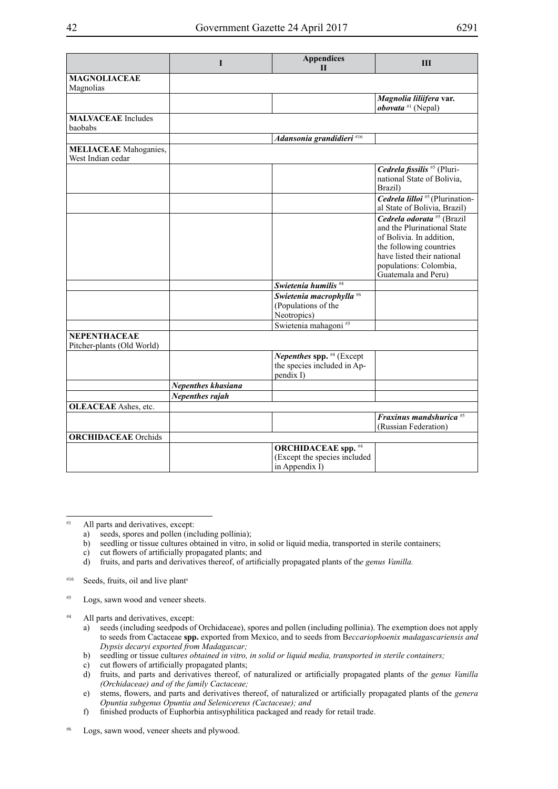|                                                   | I                  | <b>Appendices</b><br>$\mathbf{H}$                                            | Ш                                                                                                                                                                                                          |
|---------------------------------------------------|--------------------|------------------------------------------------------------------------------|------------------------------------------------------------------------------------------------------------------------------------------------------------------------------------------------------------|
| <b>MAGNOLIACEAE</b><br>Magnolias                  |                    |                                                                              |                                                                                                                                                                                                            |
|                                                   |                    |                                                                              | Magnolia liliifera var.<br><i>obovata</i> $*1$ (Nepal)                                                                                                                                                     |
| <b>MALVACEAE</b> Includes<br>baobabs              |                    |                                                                              |                                                                                                                                                                                                            |
|                                                   |                    | Adansonia grandidieri <sup>#16</sup>                                         |                                                                                                                                                                                                            |
| <b>MELIACEAE</b> Mahoganies,<br>West Indian cedar |                    |                                                                              |                                                                                                                                                                                                            |
|                                                   |                    |                                                                              | Cedrela fissilis <sup>#5</sup> (Pluri-<br>national State of Bolivia,<br>Brazil)                                                                                                                            |
|                                                   |                    |                                                                              | Cedrela lilloi #5 (Plurination-<br>al State of Bolivia, Brazil)                                                                                                                                            |
|                                                   |                    |                                                                              | Cedrela odorata <sup>#5</sup> (Brazil<br>and the Plurinational State<br>of Bolivia. In addition,<br>the following countries<br>have listed their national<br>populations: Colombia,<br>Guatemala and Peru) |
|                                                   |                    | Swietenia humilis <sup>#4</sup>                                              |                                                                                                                                                                                                            |
|                                                   |                    | Swietenia macrophylla #6<br>(Populations of the<br>Neotropics)               |                                                                                                                                                                                                            |
|                                                   |                    | Swietenia mahagoni <sup>#5</sup>                                             |                                                                                                                                                                                                            |
| <b>NEPENTHACEAE</b><br>Pitcher-plants (Old World) |                    |                                                                              |                                                                                                                                                                                                            |
|                                                   |                    | Nepenthes spp. #4 (Except<br>the species included in Ap-<br>pendix I)        |                                                                                                                                                                                                            |
|                                                   | Nepenthes khasiana |                                                                              |                                                                                                                                                                                                            |
|                                                   | Nepenthes rajah    |                                                                              |                                                                                                                                                                                                            |
| <b>OLEACEAE</b> Ashes, etc.                       |                    |                                                                              |                                                                                                                                                                                                            |
|                                                   |                    |                                                                              | Fraxinus mandshurica <sup>#5</sup><br>(Russian Federation)                                                                                                                                                 |
| <b>ORCHIDACEAE</b> Orchids                        |                    |                                                                              |                                                                                                                                                                                                            |
|                                                   |                    | <b>ORCHIDACEAE</b> spp. #4<br>(Except the species included<br>in Appendix I) |                                                                                                                                                                                                            |

#1 All parts and derivatives, except:

- a) seeds, spores and pollen (including pollinia);
- b) seedling or tissue cultures obtained in vitro, in solid or liquid media, transported in sterile containers;
- c) cut flowers of artificially propagated plants; and
- d) fruits, and parts and derivatives thereof, of artificially propagated plants of th*e genus Vanilla.*
- #16 Seeds, fruits, oil and live plants
- #5 Logs, sawn wood and veneer sheets.
- #4 All parts and derivatives, except:
	- a) seeds (including seedpods of Orchidaceae), spores and pollen (including pollinia). The exemption does not apply to seeds from Cactaceae **spp.** exported from Mexico, and to seeds from B*eccariophoenix madagascariensis and Dypsis decaryi exported from Madagascar;*
	- b) seedling or tissue cult*ures obtained in vitro, in solid or liquid media, transported in sterile containers;*
	- c) cut flowers of artificially propagated plants;
	- d) fruits, and parts and derivatives thereof, of naturalized or artificially propagated plants of th*e genus Vanilla (Orchidaceae) and of the family Cactaceae;*
	- e) stems, flowers, and parts and derivatives thereof, of naturalized or artificially propagated plants of the *genera Opuntia subgenus Opuntia and Selenicereus (Cactaceae); and*
	- f) finished products of Euphorbia antisyphilitica packaged and ready for retail trade.

#6 Logs, sawn wood, veneer sheets and plywood.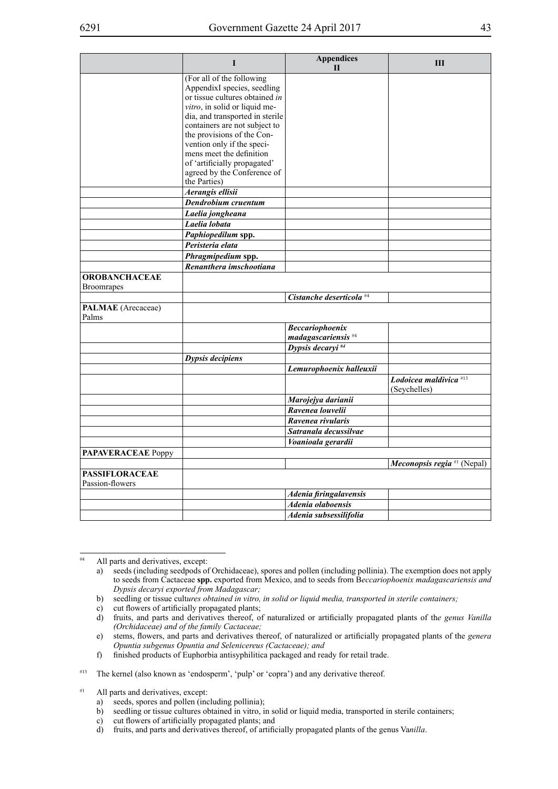|                                           | I                                                           | <b>Appendices</b><br>$\mathbf{H}$   | Ш                                             |
|-------------------------------------------|-------------------------------------------------------------|-------------------------------------|-----------------------------------------------|
|                                           | (For all of the following                                   |                                     |                                               |
|                                           | AppendixI species, seedling                                 |                                     |                                               |
|                                           | or tissue cultures obtained in                              |                                     |                                               |
|                                           | vitro, in solid or liquid me-                               |                                     |                                               |
|                                           | dia, and transported in sterile                             |                                     |                                               |
|                                           | containers are not subject to<br>the provisions of the Con- |                                     |                                               |
|                                           | vention only if the speci-                                  |                                     |                                               |
|                                           | mens meet the definition                                    |                                     |                                               |
|                                           | of 'artificially propagated'                                |                                     |                                               |
|                                           | agreed by the Conference of                                 |                                     |                                               |
|                                           | the Parties)                                                |                                     |                                               |
|                                           | Aerangis ellisii                                            |                                     |                                               |
|                                           | Dendrobium cruentum                                         |                                     |                                               |
|                                           | Laelia jongheana                                            |                                     |                                               |
|                                           | Laelia lobata                                               |                                     |                                               |
|                                           | Paphiopedilum spp.                                          |                                     |                                               |
|                                           | Peristeria elata                                            |                                     |                                               |
|                                           | Phragmipedium spp.                                          |                                     |                                               |
|                                           | Renanthera imschootiana                                     |                                     |                                               |
| <b>OROBANCHACEAE</b><br><b>Broomrapes</b> |                                                             |                                     |                                               |
|                                           |                                                             | Cistanche deserticola <sup>#4</sup> |                                               |
| PALMAE (Arecaceae)                        |                                                             |                                     |                                               |
| Palms                                     |                                                             |                                     |                                               |
|                                           |                                                             | <b>Beccariophoenix</b>              |                                               |
|                                           |                                                             | madagascariensis <sup>#4</sup>      |                                               |
|                                           |                                                             | Dypsis decaryi $#4$                 |                                               |
|                                           | Dypsis decipiens                                            |                                     |                                               |
|                                           |                                                             | Lemurophoenix halleuxii             |                                               |
|                                           |                                                             |                                     | Lodoicea maldivica #13<br>(Seychelles)        |
|                                           |                                                             | Marojejya darianii                  |                                               |
|                                           |                                                             | Ravenea louvelii                    |                                               |
|                                           |                                                             | Ravenea rivularis                   |                                               |
|                                           |                                                             | Satranala decussilvae               |                                               |
|                                           |                                                             | Voanioala gerardii                  |                                               |
| <b>PAPAVERACEAE</b> Poppy                 |                                                             |                                     |                                               |
|                                           |                                                             |                                     | <i>Meconopsis regia</i> <sup>#1</sup> (Nepal) |
| <b>PASSIFLORACEAE</b><br>Passion-flowers  |                                                             |                                     |                                               |
|                                           |                                                             | Adenia firingalavensis              |                                               |
|                                           |                                                             | Adenia olaboensis                   |                                               |
|                                           |                                                             | Adenia subsessilifolia              |                                               |

<sup>#4</sup> All parts and derivatives, except:

a) seeds (including seedpods of Orchidaceae), spores and pollen (including pollinia). The exemption does not apply to seeds from Cactaceae **spp.** exported from Mexico, and to seeds from B*eccariophoenix madagascariensis and Dypsis decaryi exported from Madagascar;*

b) seedling or tissue cult*ures obtained in vitro, in solid or liquid media, transported in sterile containers;*

c) cut flowers of artificially propagated plants;

d) fruits, and parts and derivatives thereof, of naturalized or artificially propagated plants of th*e genus Vanilla (Orchidaceae) and of the family Cactaceae;*

e) stems, flowers, and parts and derivatives thereof, of naturalized or artificially propagated plants of the *genera Opuntia subgenus Opuntia and Selenicereus (Cactaceae); and*

f) finished products of Euphorbia antisyphilitica packaged and ready for retail trade.

<sup>#13</sup> The kernel (also known as 'endosperm', 'pulp' or 'copra') and any derivative thereof.

<sup>#1</sup> All parts and derivatives, except:

a) seeds, spores and pollen (including pollinia);

b) seedling or tissue cultures obtained in vitro, in solid or liquid media, transported in sterile containers;

c) cut flowers of artificially propagated plants; and

d) fruits, and parts and derivatives thereof, of artificially propagated plants of the genus Va*nilla*.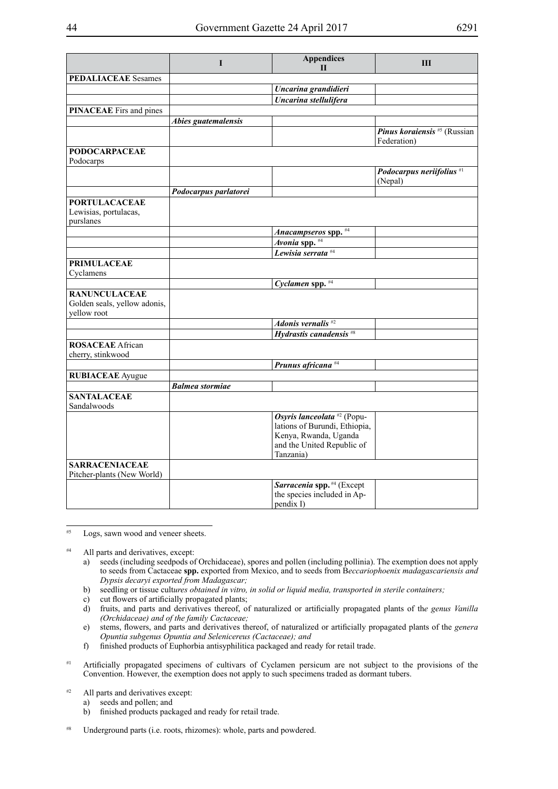|                                                                     | $\mathbf{I}$           | <b>Appendices</b><br>$\mathbf{H}$                                       | III                                                |
|---------------------------------------------------------------------|------------------------|-------------------------------------------------------------------------|----------------------------------------------------|
| <b>PEDALIACEAE</b> Sesames                                          |                        |                                                                         |                                                    |
|                                                                     |                        | Uncarina grandidieri                                                    |                                                    |
|                                                                     |                        | Uncarina stellulifera                                                   |                                                    |
| <b>PINACEAE</b> Firs and pines                                      |                        |                                                                         |                                                    |
|                                                                     | Abies guatemalensis    |                                                                         |                                                    |
|                                                                     |                        |                                                                         | <i>Pinus koraiensis</i> #5 (Russian<br>Federation) |
| <b>PODOCARPACEAE</b>                                                |                        |                                                                         |                                                    |
| Podocarps                                                           |                        |                                                                         |                                                    |
|                                                                     |                        |                                                                         | Podocarpus neriifolius <sup>#1</sup><br>(Nepal)    |
|                                                                     | Podocarpus parlatorei  |                                                                         |                                                    |
| <b>PORTULACACEAE</b><br>Lewisias, portulacas,<br>purslanes          |                        |                                                                         |                                                    |
|                                                                     |                        | Anacampseros spp. #4                                                    |                                                    |
|                                                                     |                        | $\overline{Avonia$ spp. $#4$                                            |                                                    |
|                                                                     |                        | Lewisia serrata $#4$                                                    |                                                    |
| <b>PRIMULACEAE</b><br>Cyclamens                                     |                        |                                                                         |                                                    |
|                                                                     |                        | Cyclamen spp. #4                                                        |                                                    |
| <b>RANUNCULACEAE</b><br>Golden seals, yellow adonis,<br>yellow root |                        |                                                                         |                                                    |
|                                                                     |                        | Adonis vernalis $#2$                                                    |                                                    |
|                                                                     |                        | Hydrastis canadensis <sup>#8</sup>                                      |                                                    |
| <b>ROSACEAE</b> African<br>cherry, stinkwood                        |                        |                                                                         |                                                    |
|                                                                     |                        | Prunus africana <sup>#4</sup>                                           |                                                    |
| <b>RUBIACEAE</b> Ayugue                                             |                        |                                                                         |                                                    |
|                                                                     | <b>Balmea</b> stormiae |                                                                         |                                                    |
| <b>SANTALACEAE</b><br>Sandalwoods                                   |                        |                                                                         |                                                    |
|                                                                     |                        | Osyris lanceolata <sup>#2</sup> (Popu-<br>lations of Burundi, Ethiopia, |                                                    |
|                                                                     |                        | Kenya, Rwanda, Uganda<br>and the United Republic of<br>Tanzania)        |                                                    |
| <b>SARRACENIACEAE</b><br>Pitcher-plants (New World)                 |                        |                                                                         |                                                    |
|                                                                     |                        | Sarracenia spp. #4 (Except<br>the species included in Ap-<br>pendix I)  |                                                    |

#5 Logs, sawn wood and veneer sheets.

<sup>#4</sup> All parts and derivatives, except:

- a) seeds (including seedpods of Orchidaceae), spores and pollen (including pollinia). The exemption does not apply to seeds from Cactaceae **spp.** exported from Mexico, and to seeds from B*eccariophoenix madagascariensis and Dypsis decaryi exported from Madagascar;*
- b) seedling or tissue cult*ures obtained in vitro, in solid or liquid media, transported in sterile containers;*
- c) cut flowers of artificially propagated plants;
- d) fruits, and parts and derivatives thereof, of naturalized or artificially propagated plants of th*e genus Vanilla (Orchidaceae) and of the family Cactaceae;*
- e) stems, flowers, and parts and derivatives thereof, of naturalized or artificially propagated plants of the *genera Opuntia subgenus Opuntia and Selenicereus (Cactaceae); and*
- f) finished products of Euphorbia antisyphilitica packaged and ready for retail trade.
- <sup>#1</sup> Artificially propagated specimens of cultivars of Cyclamen persicum are not subject to the provisions of the Convention. However, the exemption does not apply to such specimens traded as dormant tubers.
- $#2$  All parts and derivatives except:
	- a) seeds and pollen; and
		- b) finished products packaged and ready for retail trade.
- #8 Underground parts (i.e. roots, rhizomes): whole, parts and powdered.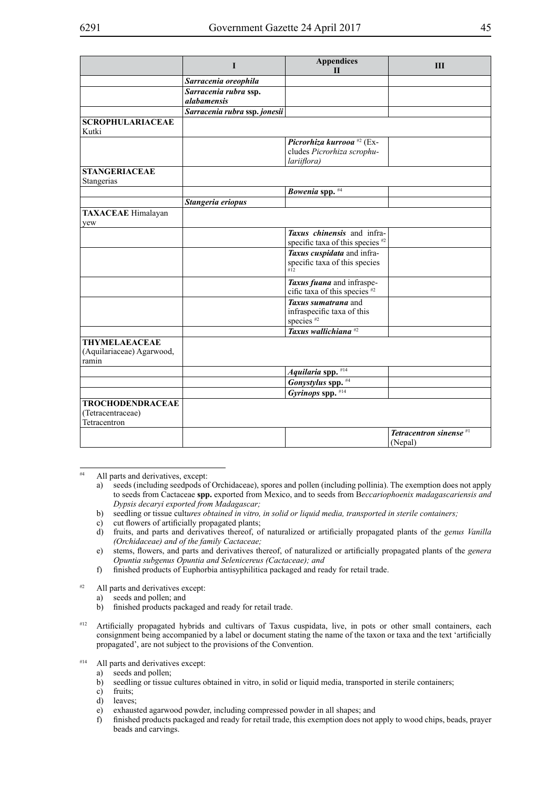|                                                              | П                                           | <b>Appendices</b><br>$\mathbf{H}$                                                  | III                                           |
|--------------------------------------------------------------|---------------------------------------------|------------------------------------------------------------------------------------|-----------------------------------------------|
|                                                              | Sarracenia oreophila                        |                                                                                    |                                               |
|                                                              | Sarracenia rubra ssp.<br><i>alabamensis</i> |                                                                                    |                                               |
|                                                              | Sarracenia rubra ssp. jonesii               |                                                                                    |                                               |
| <b>SCROPHULARIACEAE</b><br>Kutki                             |                                             |                                                                                    |                                               |
|                                                              |                                             | Picrorhiza kurrooa <sup>#2</sup> (Ex-<br>cludes Picrorhiza scrophu-<br>lariiflora) |                                               |
| <b>STANGERIACEAE</b><br>Stangerias                           |                                             |                                                                                    |                                               |
|                                                              |                                             | Bowenia spp. #4                                                                    |                                               |
|                                                              | Stangeria eriopus                           |                                                                                    |                                               |
| <b>TAXACEAE</b> Himalayan<br>yew                             |                                             |                                                                                    |                                               |
|                                                              |                                             | Taxus chinensis and infra-<br>specific taxa of this species <sup>#2</sup>          |                                               |
|                                                              |                                             | Taxus cuspidata and infra-<br>specific taxa of this species<br>$\overline{112}$    |                                               |
|                                                              |                                             | Taxus fuana and infraspe-<br>cific taxa of this species $#2$                       |                                               |
|                                                              |                                             | Taxus sumatrana and<br>infraspecific taxa of this<br>species $#2$                  |                                               |
|                                                              |                                             | Taxus wallichiana <sup>#2</sup>                                                    |                                               |
| <b>THYMELAEACEAE</b><br>(Aquilariaceae) Agarwood,<br>ramin   |                                             |                                                                                    |                                               |
|                                                              |                                             | Aquilaria spp. #14                                                                 |                                               |
|                                                              |                                             | Gonystylus spp. #4                                                                 |                                               |
|                                                              |                                             | Gyrinops spp. $#14$                                                                |                                               |
| <b>TROCHODENDRACEAE</b><br>(Tetracentraceae)<br>Tetracentron |                                             |                                                                                    |                                               |
|                                                              |                                             |                                                                                    | Tetracentron sinense <sup>#1</sup><br>(Nepal) |

All parts and derivatives, except:

- b) seedling or tissue cult*ures obtained in vitro, in solid or liquid media, transported in sterile containers;*
- c) cut flowers of artificially propagated plants;
- d) fruits, and parts and derivatives thereof, of naturalized or artificially propagated plants of th*e genus Vanilla (Orchidaceae) and of the family Cactaceae;*
- e) stems, flowers, and parts and derivatives thereof, of naturalized or artificially propagated plants of the *genera Opuntia subgenus Opuntia and Selenicereus (Cactaceae); and*
- f) finished products of Euphorbia antisyphilitica packaged and ready for retail trade.
- #2 All parts and derivatives except:
	- a) seeds and pollen; and
	- b) finished products packaged and ready for retail trade.
- #12 Artificially propagated hybrids and cultivars of Taxus cuspidata, live, in pots or other small containers, each consignment being accompanied by a label or document stating the name of the taxon or taxa and the text 'artificially propagated', are not subject to the provisions of the Convention.
- #14 All parts and derivatives except:
	- a) seeds and pollen;
	- b) seedling or tissue cultures obtained in vitro, in solid or liquid media, transported in sterile containers;
	- c) fruits;
	- d) leaves;
	- e) exhausted agarwood powder, including compressed powder in all shapes; and
	- f) finished products packaged and ready for retail trade, this exemption does not apply to wood chips, beads, prayer beads and carvings.

a) seeds (including seedpods of Orchidaceae), spores and pollen (including pollinia). The exemption does not apply to seeds from Cactaceae **spp.** exported from Mexico, and to seeds from B*eccariophoenix madagascariensis and Dypsis decaryi exported from Madagascar;*